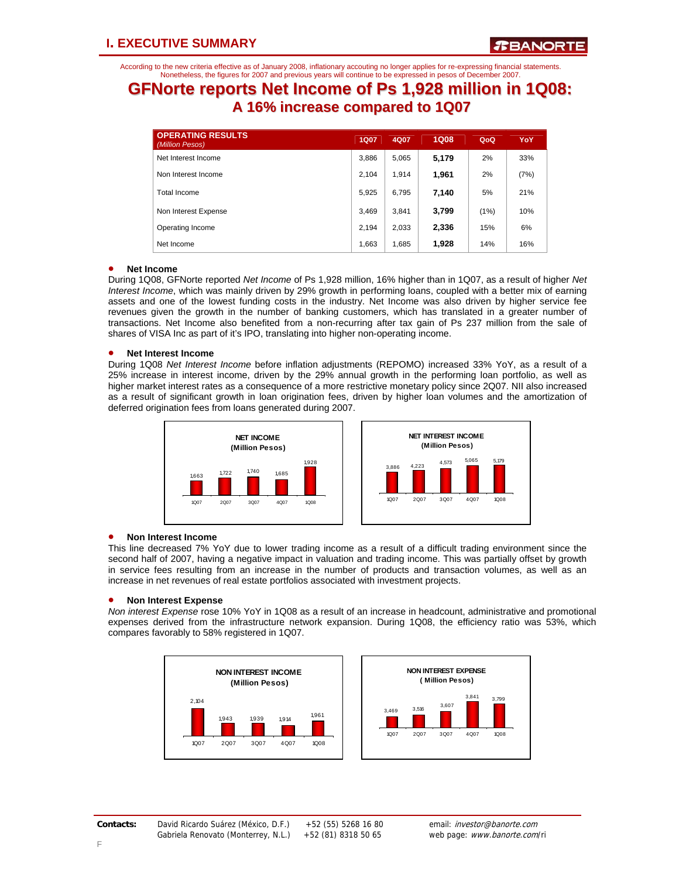According to the new criteria effective as of January 2008, inflationary accouting no longer applies for re-expressing financial statements. Nonetheless, the figures for 2007 and previous years will continue to be expressed in pesos of December 2007.

## **GFNorte reports Net Income of Ps 1,928 million in 1Q08: A 16% increase compared to 1Q07**

| <b>OPERATING RESULTS</b><br>(Million Pesos) | <b>1Q07</b> | 4Q07  | <b>1Q08</b> | QoQ  | YoY  |
|---------------------------------------------|-------------|-------|-------------|------|------|
| Net Interest Income                         | 3,886       | 5,065 | 5,179       | 2%   | 33%  |
| Non Interest Income                         | 2.104       | 1.914 | 1,961       | 2%   | (7%) |
| Total Income                                | 5,925       | 6.795 | 7.140       | 5%   | 21%  |
| Non Interest Expense                        | 3,469       | 3,841 | 3,799       | (1%) | 10%  |
| Operating Income                            | 2.194       | 2,033 | 2,336       | 15%  | 6%   |
| Net Income                                  | 1,663       | 1,685 | 1,928       | 14%  | 16%  |

### • **Net Income**

During 1Q08, GFNorte reported *Net Income* of Ps 1,928 million, 16% higher than in 1Q07, as a result of higher *Net Interest Income*, which was mainly driven by 29% growth in performing loans, coupled with a better mix of earning assets and one of the lowest funding costs in the industry. Net Income was also driven by higher service fee revenues given the growth in the number of banking customers, which has translated in a greater number of transactions. Net Income also benefited from a non-recurring after tax gain of Ps 237 million from the sale of shares of VISA Inc as part of it's IPO, translating into higher non-operating income.

### • **Net Interest Income**

During 1Q08 *Net Interest Income* before inflation adjustments (REPOMO) increased 33% YoY, as a result of a 25% increase in interest income, driven by the 29% annual growth in the performing loan portfolio, as well as higher market interest rates as a consequence of a more restrictive monetary policy since 2Q07. NII also increased as a result of significant growth in loan origination fees, driven by higher loan volumes and the amortization of deferred origination fees from loans generated during 2007.



## • **Non Interest Income**

This line decreased 7% YoY due to lower trading income as a result of a difficult trading environment since the second half of 2007, having a negative impact in valuation and trading income. This was partially offset by growth in service fees resulting from an increase in the number of products and transaction volumes, as well as an increase in net revenues of real estate portfolios associated with investment projects.

#### • **Non Interest Expense**

*Non interest Expense* rose 10% YoY in 1Q08 as a result of an increase in headcount, administrative and promotional expenses derived from the infrastructure network expansion. During 1Q08, the efficiency ratio was 53%, which compares favorably to 58% registered in 1Q07.

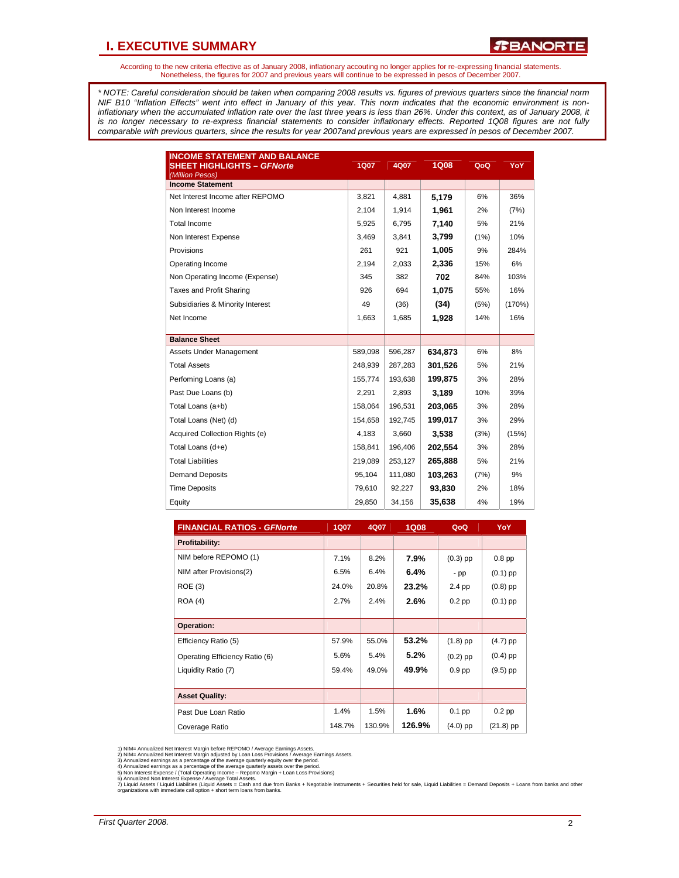## **I. EXECUTIVE SUMMARY**

According to the new criteria effective as of January 2008, inflationary accouting no longer applies for re-expressing financial statements. Nonetheless, the figures for 2007 and previous years will continue to be expressed in pesos of December 2007.

*\* NOTE: Careful consideration should be taken when comparing 2008 results vs. figures of previous quarters since the financial norm NIF B10 "Inflation Effects" went into effect in January of this year. This norm indicates that the economic environment is non*inflationary when the accumulated inflation rate over the last three years is less than 26%. Under this context, as of January 2008, it *is no longer necessary to re-express financial statements to consider inflationary effects. Reported 1Q08 figures are not fully comparable with previous quarters, since the results for year 2007and previous years are expressed in pesos of December 2007.* 

| <b>INCOME STATEMENT AND BALANCE</b><br><b>SHEET HIGHLIGHTS - GFNorte</b><br>(Million Pesos) | <b>1Q07</b> | 4Q07    | <b>1Q08</b> | QoQ  | YoY    |
|---------------------------------------------------------------------------------------------|-------------|---------|-------------|------|--------|
| <b>Income Statement</b>                                                                     |             |         |             |      |        |
| Net Interest Income after REPOMO                                                            | 3,821       | 4,881   | 5,179       | 6%   | 36%    |
| Non Interest Income                                                                         | 2,104       | 1,914   | 1,961       | 2%   | (7%)   |
| Total Income                                                                                | 5,925       | 6,795   | 7,140       | 5%   | 21%    |
| Non Interest Expense                                                                        | 3,469       | 3,841   | 3,799       | (1%) | 10%    |
| Provisions                                                                                  | 261         | 921     | 1,005       | 9%   | 284%   |
| Operating Income                                                                            | 2,194       | 2,033   | 2,336       | 15%  | 6%     |
| Non Operating Income (Expense)                                                              | 345         | 382     | 702         | 84%  | 103%   |
| Taxes and Profit Sharing                                                                    | 926         | 694     | 1,075       | 55%  | 16%    |
| Subsidiaries & Minority Interest                                                            | 49          | (36)    | (34)        | (5%) | (170%) |
| Net Income                                                                                  | 1,663       | 1,685   | 1,928       | 14%  | 16%    |
| <b>Balance Sheet</b>                                                                        |             |         |             |      |        |
| Assets Under Management                                                                     | 589,098     | 596,287 | 634,873     | 6%   | 8%     |
| <b>Total Assets</b>                                                                         | 248.939     | 287.283 | 301,526     | 5%   | 21%    |
| Perfoming Loans (a)                                                                         | 155,774     | 193,638 | 199,875     | 3%   | 28%    |
| Past Due Loans (b)                                                                          | 2,291       | 2.893   | 3,189       | 10%  | 39%    |
| Total Loans (a+b)                                                                           | 158,064     | 196,531 | 203,065     | 3%   | 28%    |
| Total Loans (Net) (d)                                                                       | 154,658     | 192,745 | 199,017     | 3%   | 29%    |
| Acquired Collection Rights (e)                                                              | 4,183       | 3,660   | 3,538       | (3%) | (15%)  |
| Total Loans (d+e)                                                                           | 158,841     | 196,406 | 202,554     | 3%   | 28%    |
| <b>Total Liabilities</b>                                                                    | 219,089     | 253,127 | 265,888     | 5%   | 21%    |
| <b>Demand Deposits</b>                                                                      | 95,104      | 111,080 | 103,263     | (7%) | 9%     |
| <b>Time Deposits</b>                                                                        | 79,610      | 92.227  | 93,830      | 2%   | 18%    |
| Equity                                                                                      | 29,850      | 34,156  | 35,638      | 4%   | 19%    |

| <b>FINANCIAL RATIOS - GFNorte</b> | 1Q07   | 4Q07   | 1Q08   | QoQ        | <b>YoY</b>  |
|-----------------------------------|--------|--------|--------|------------|-------------|
| <b>Profitability:</b>             |        |        |        |            |             |
| NIM before REPOMO (1)             | 7.1%   | 8.2%   | 7.9%   | $(0.3)$ pp | $0.8$ pp    |
| NIM after Provisions(2)           | 6.5%   | 6.4%   | 6.4%   | - pp       | $(0.1)$ pp  |
| ROE(3)                            | 24.0%  | 20.8%  | 23.2%  | 2.4 pp     | $(0.8)$ pp  |
| ROA(4)                            | 2.7%   | 2.4%   | 2.6%   | $0.2$ pp   | $(0.1)$ pp  |
|                                   |        |        |        |            |             |
| Operation:                        |        |        |        |            |             |
| Efficiency Ratio (5)              | 57.9%  | 55.0%  | 53.2%  | $(1.8)$ pp | $(4.7)$ pp  |
| Operating Efficiency Ratio (6)    | 5.6%   | 5.4%   | 5.2%   | $(0.2)$ pp | $(0.4)$ pp  |
| Liquidity Ratio (7)               | 59.4%  | 49.0%  | 49.9%  | $0.9$ pp   | $(9.5)$ pp  |
|                                   |        |        |        |            |             |
| <b>Asset Quality:</b>             |        |        |        |            |             |
| Past Due Loan Ratio               | 1.4%   | 1.5%   | 1.6%   | $0.1$ pp   | $0.2$ pp    |
| Coverage Ratio                    | 148.7% | 130.9% | 126.9% | $(4.0)$ pp | $(21.8)$ pp |

1) NIM= Annualized Net Interest Margin before REPOMO / Average Earnings Assets.<br>2) NIM= Annualized Net Interest Margin adjusted by Loan Loss Provisions / Average Earnings Assets.<br>3) Annualized earnings as a percentage of t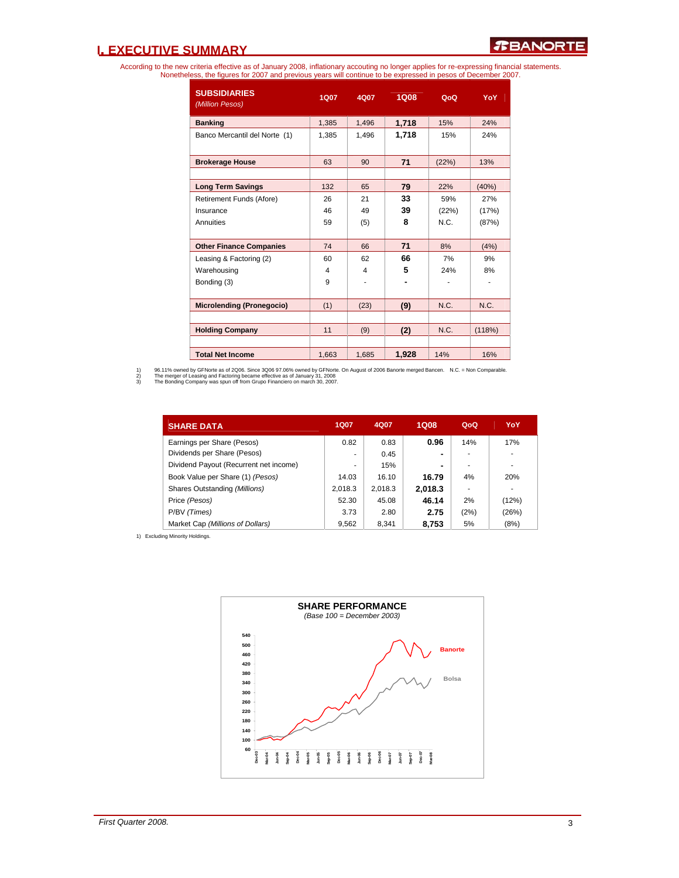## **I. EXECUTIVE SUMMARY**

According to the new criteria effective as of January 2008, inflationary accouting no longer applies for re-expressing financial statements.<br>Nonetheless, the figures for 2007 and previous years will continue to be expresse

| <b>SUBSIDIARIES</b><br>(Million Pesos) | 1Q07  | 4Q07  | 1Q08  | QoQ   | YoY    |
|----------------------------------------|-------|-------|-------|-------|--------|
| <b>Banking</b>                         | 1,385 | 1,496 | 1,718 | 15%   | 24%    |
| Banco Mercantil del Norte (1)          | 1,385 | 1,496 | 1,718 | 15%   | 24%    |
| <b>Brokerage House</b>                 | 63    | 90    | 71    | (22%) | 13%    |
|                                        |       |       |       |       |        |
| <b>Long Term Savings</b>               | 132   | 65    | 79    | 22%   | (40%)  |
| Retirement Funds (Afore)               | 26    | 21    | 33    | 59%   | 27%    |
| Insurance                              | 46    | 49    | 39    | (22%) | (17%)  |
| Annuities                              | 59    | (5)   | 8     | N.C.  | (87%)  |
|                                        |       |       |       |       |        |
| <b>Other Finance Companies</b>         | 74    | 66    | 71    | 8%    | (4% )  |
| Leasing & Factoring (2)                | 60    | 62    | 66    | 7%    | 9%     |
| Warehousing                            | 4     | 4     | 5     | 24%   | 8%     |
| Bonding (3)                            | 9     |       |       |       |        |
|                                        |       |       |       |       |        |
| <b>Microlending (Pronegocio)</b>       | (1)   | (23)  | (9)   | N.C.  | N.C.   |
|                                        |       |       |       |       |        |
| <b>Holding Company</b>                 | 11    | (9)   | (2)   | N.C.  | (118%) |
|                                        |       |       |       |       |        |
| <b>Total Net Income</b>                | 1,663 | 1,685 | 1,928 | 14%   | 16%    |

1) 96.11% owned by GFNorte as of 2006. Since 3006 97.06% owned by GFNorte. On August of 2006 Banorte merged Bancen. N.C. = Non Comparable.<br>2) The merger of Leasing and Factoring became effective as of January 31, 20

| <b>SHARE DATA</b>                      | <b>1Q07</b> | 4Q07    | <b>1Q08</b>    | QoQ  | YoY   |
|----------------------------------------|-------------|---------|----------------|------|-------|
| Earnings per Share (Pesos)             | 0.82        | 0.83    | 0.96           | 14%  | 17%   |
| Dividends per Share (Pesos)            |             | 0.45    | $\blacksquare$ |      |       |
| Dividend Payout (Recurrent net income) |             | 15%     | ۰              |      | ۰     |
| Book Value per Share (1) (Pesos)       | 14.03       | 16.10   | 16.79          | 4%   | 20%   |
| Shares Outstanding (Millions)          | 2.018.3     | 2,018.3 | 2,018.3        |      | ٠     |
| Price (Pesos)                          | 52.30       | 45.08   | 46.14          | 2%   | (12%) |
| P/BV (Times)                           | 3.73        | 2.80    | 2.75           | (2%) | (26%) |
| Market Cap (Millions of Dollars)       | 9.562       | 8.341   | 8.753          | 5%   | (8%)  |

1) Excluding Minority Holdings.

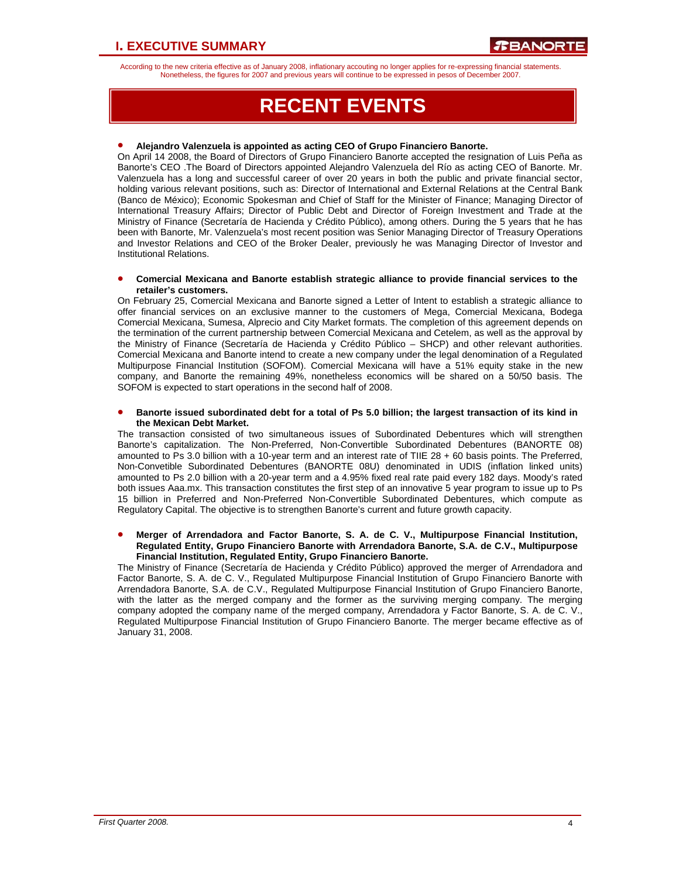According to the new criteria effective as of January 2008, inflationary accouting no longer applies for re-expressing financial statements. Nonetheless, the figures for 2007 and previous years will continue to be expressed in pesos of December 2007.

## **RECENT EVENTS**

#### • **Alejandro Valenzuela is appointed as acting CEO of Grupo Financiero Banorte.**

On April 14 2008, the Board of Directors of Grupo Financiero Banorte accepted the resignation of Luis Peña as Banorte's CEO .The Board of Directors appointed Alejandro Valenzuela del Río as acting CEO of Banorte. Mr. Valenzuela has a long and successful career of over 20 years in both the public and private financial sector, holding various relevant positions, such as: Director of International and External Relations at the Central Bank (Banco de México); Economic Spokesman and Chief of Staff for the Minister of Finance; Managing Director of International Treasury Affairs; Director of Public Debt and Director of Foreign Investment and Trade at the Ministry of Finance (Secretaría de Hacienda y Crédito Público), among others. During the 5 years that he has been with Banorte, Mr. Valenzuela's most recent position was Senior Managing Director of Treasury Operations and Investor Relations and CEO of the Broker Dealer, previously he was Managing Director of Investor and Institutional Relations.

#### • **Comercial Mexicana and Banorte establish strategic alliance to provide financial services to the retailer's customers.**

On February 25, Comercial Mexicana and Banorte signed a Letter of Intent to establish a strategic alliance to offer financial services on an exclusive manner to the customers of Mega, Comercial Mexicana, Bodega Comercial Mexicana, Sumesa, Alprecio and City Market formats. The completion of this agreement depends on the termination of the current partnership between Comercial Mexicana and Cetelem, as well as the approval by the Ministry of Finance (Secretaría de Hacienda y Crédito Público – SHCP) and other relevant authorities. Comercial Mexicana and Banorte intend to create a new company under the legal denomination of a Regulated Multipurpose Financial Institution (SOFOM). Comercial Mexicana will have a 51% equity stake in the new company, and Banorte the remaining 49%, nonetheless economics will be shared on a 50/50 basis. The SOFOM is expected to start operations in the second half of 2008.

#### • **Banorte issued subordinated debt for a total of Ps 5.0 billion; the largest transaction of its kind in the Mexican Debt Market.**

The transaction consisted of two simultaneous issues of Subordinated Debentures which will strengthen Banorte's capitalization. The Non-Preferred, Non-Convertible Subordinated Debentures (BANORTE 08) amounted to Ps 3.0 billion with a 10-year term and an interest rate of TIIE 28 + 60 basis points. The Preferred, Non-Convetible Subordinated Debentures (BANORTE 08U) denominated in UDIS (inflation linked units) amounted to Ps 2.0 billion with a 20-year term and a 4.95% fixed real rate paid every 182 days. Moody's rated both issues Aaa.mx. This transaction constitutes the first step of an innovative 5 year program to issue up to Ps 15 billion in Preferred and Non-Preferred Non-Convertible Subordinated Debentures, which compute as Regulatory Capital. The objective is to strengthen Banorte's current and future growth capacity.

#### • **Merger of Arrendadora and Factor Banorte, S. A. de C. V., Multipurpose Financial Institution, Regulated Entity, Grupo Financiero Banorte with Arrendadora Banorte, S.A. de C.V., Multipurpose Financial Institution, Regulated Entity, Grupo Financiero Banorte.**

The Ministry of Finance (Secretaría de Hacienda y Crédito Público) approved the merger of Arrendadora and Factor Banorte, S. A. de C. V., Regulated Multipurpose Financial Institution of Grupo Financiero Banorte with Arrendadora Banorte, S.A. de C.V., Regulated Multipurpose Financial Institution of Grupo Financiero Banorte, with the latter as the merged company and the former as the surviving merging company. The merging company adopted the company name of the merged company, Arrendadora y Factor Banorte, S. A. de C. V., Regulated Multipurpose Financial Institution of Grupo Financiero Banorte. The merger became effective as of January 31, 2008.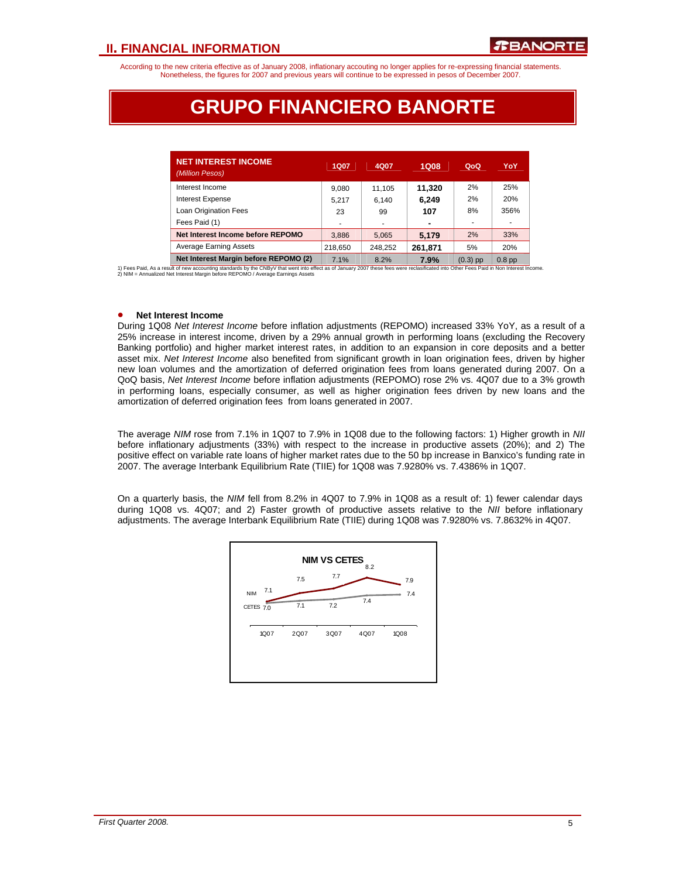According to the new criteria effective as of January 2008, inflationary accouting no longer applies for re-expressing financial statements. Nonetheless, the figures for 2007 and previous years will continue to be expressed in pesos of December 2007.

## **GRUPO FINANCIERO BANORTE**

| <b>NET INTEREST INCOME</b><br>(Million Pesos) | 1Q07    | 4Q07    | 1Q08    | QoQ    | YoY       |
|-----------------------------------------------|---------|---------|---------|--------|-----------|
| Interest Income                               | 9.080   | 11.105  | 11.320  | 2%     | 25%       |
| <b>Interest Expense</b>                       | 5.217   | 6.140   | 6.249   | 2%     | 20%       |
| Loan Origination Fees                         | 23      | 99      | 107     | 8%     | 356%      |
| Fees Paid (1)                                 |         | ۰       |         |        | ٠         |
| Net Interest Income before REPOMO             | 3,886   | 5,065   | 5,179   | 2%     | 33%       |
| <b>Average Earning Assets</b>                 | 218.650 | 248.252 | 261,871 | 5%     | 20%       |
| Net Interest Margin before REPOMO (2)         | 7.401   | 0.001   | 700/    | (0, 2) | $0.0 - 1$ |

**Net Interest Margin before REPOMO (2)** 7.1% 8.2% **7.9%** (0.3) pp 0.8 pp 1) Fees Paid, As a result of new accounting standards by the CNBy∨ that went into effect as of January 2007 these fees were reclasificated into Other Fees Paid in Non Interest Income.<br>2) NIM = Annualized Net Interest Marg

#### • **Net Interest Income**

During 1Q08 *Net Interest Income* before inflation adjustments (REPOMO) increased 33% YoY, as a result of a 25% increase in interest income, driven by a 29% annual growth in performing loans (excluding the Recovery Banking portfolio) and higher market interest rates, in addition to an expansion in core deposits and a better asset mix. *Net Interest Income* also benefited from significant growth in loan origination fees, driven by higher new loan volumes and the amortization of deferred origination fees from loans generated during 2007. On a QoQ basis, *Net Interest Income* before inflation adjustments (REPOMO) rose 2% vs. 4Q07 due to a 3% growth in performing loans, especially consumer, as well as higher origination fees driven by new loans and the amortization of deferred origination fees from loans generated in 2007.

The average *NIM* rose from 7.1% in 1Q07 to 7.9% in 1Q08 due to the following factors: 1) Higher growth in *NII* before inflationary adjustments (33%) with respect to the increase in productive assets (20%); and 2) The positive effect on variable rate loans of higher market rates due to the 50 bp increase in Banxico's funding rate in 2007. The average Interbank Equilibrium Rate (TIIE) for 1Q08 was 7.9280% vs. 7.4386% in 1Q07.

On a quarterly basis, the *NIM* fell from 8.2% in 4Q07 to 7.9% in 1Q08 as a result of: 1) fewer calendar days during 1Q08 vs. 4Q07; and 2) Faster growth of productive assets relative to the *NII* before inflationary adjustments. The average Interbank Equilibrium Rate (TIIE) during 1Q08 was 7.9280% vs. 7.8632% in 4Q07.

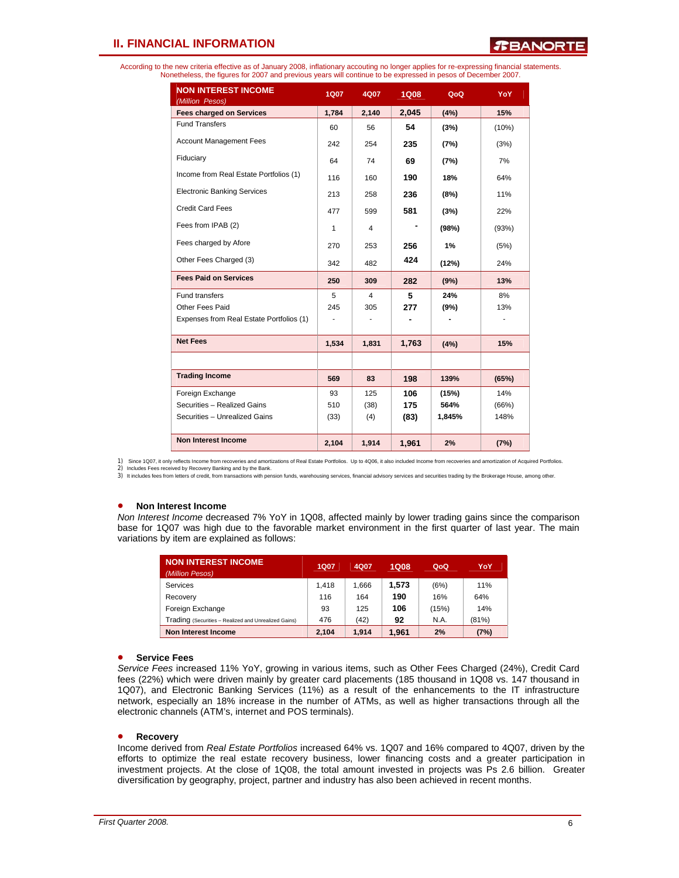*R***BANORTE** 

According to the new criteria effective as of January 2008, inflationary accouting no longer applies for re-expressing financial statements. Nonetheless, the figures for 2007 and previous years will continue to be expressed in pesos of December 2007.

| <b>NON INTEREST INCOME</b><br>(Million Pesos) | <b>1Q07</b>              | 4Q07  | <b>1Q08</b> | QoQ    | YoY   |
|-----------------------------------------------|--------------------------|-------|-------------|--------|-------|
| <b>Fees charged on Services</b>               | 1,784                    | 2,140 | 2,045       | (4%)   | 15%   |
| <b>Fund Transfers</b>                         | 60                       | 56    | 54          | (3%)   | (10%) |
| <b>Account Management Fees</b>                | 242                      | 254   | 235         | (7%)   | (3%)  |
| Fiduciary                                     | 64                       | 74    | 69          | (7%)   | 7%    |
| Income from Real Estate Portfolios (1)        | 116                      | 160   | 190         | 18%    | 64%   |
| <b>Electronic Banking Services</b>            | 213                      | 258   | 236         | (8%)   | 11%   |
| <b>Credit Card Fees</b>                       | 477                      | 599   | 581         | (3%)   | 22%   |
| Fees from IPAB (2)                            | 1                        | 4     |             | (98%)  | (93%) |
| Fees charged by Afore                         | 270                      | 253   | 256         | 1%     | (5%)  |
| Other Fees Charged (3)                        | 342                      | 482   | 424         | (12%)  | 24%   |
| <b>Fees Paid on Services</b>                  | 250                      | 309   | 282         | (9%)   | 13%   |
| <b>Fund transfers</b>                         | 5                        | 4     | 5           | 24%    | 8%    |
| Other Fees Paid                               | 245                      | 305   | 277         | (9%)   | 13%   |
| Expenses from Real Estate Portfolios (1)      | $\overline{\phantom{a}}$ |       |             |        |       |
| <b>Net Fees</b>                               | 1,534                    | 1,831 | 1,763       | (4%)   | 15%   |
|                                               |                          |       |             |        |       |
| <b>Trading Income</b>                         | 569                      | 83    | 198         | 139%   | (65%) |
| Foreign Exchange                              | 93                       | 125   | 106         | (15%)  | 14%   |
| Securities - Realized Gains                   | 510                      | (38)  | 175         | 564%   | (66%) |
| Securities - Unrealized Gains                 | (33)                     | (4)   | (83)        | 1,845% | 148%  |
|                                               |                          |       |             |        |       |
| <b>Non Interest Income</b>                    | 2,104                    | 1,914 | 1,961       | 2%     | (7%)  |

1) Since 1Q07, it only reflects Income from recoveries and amortizations of Real Estate Portfolios. Up to 4Q06, it also included Income from recoveries and amortization of Acquired Portfolios.

2) Includes Fees received by Recovery Banking and by the Bank.

3) It includes fees from letters of credit, from transactions with pension funds, warehousing services, financial advisory services and securities trading by the Brokerage House, among other.

#### • **Non Interest Income**

*Non Interest Income* decreased 7% YoY in 1Q08, affected mainly by lower trading gains since the comparison base for 1Q07 was high due to the favorable market environment in the first quarter of last year. The main variations by item are explained as follows:

| <b>NON INTEREST INCOME</b><br>(Million Pesos)        | 1Q07  | 4Q07  | 1Q08  | QoQ   | YoY   |
|------------------------------------------------------|-------|-------|-------|-------|-------|
| Services                                             | 1.418 | 1.666 | 1.573 | (6%)  | 11%   |
| Recovery                                             | 116   | 164   | 190   | 16%   | 64%   |
| Foreign Exchange                                     | 93    | 125   | 106   | (15%) | 14%   |
| Trading (Securities - Realized and Unrealized Gains) | 476   | (42)  | 92    | N.A.  | (81%) |
| <b>Non Interest Income</b>                           | 2.104 | 1.914 | 1.961 | 2%    | (7%)  |

#### • **Service Fees**

*Service Fees* increased 11% YoY, growing in various items, such as Other Fees Charged (24%), Credit Card fees (22%) which were driven mainly by greater card placements (185 thousand in 1Q08 vs. 147 thousand in 1Q07), and Electronic Banking Services (11%) as a result of the enhancements to the IT infrastructure network, especially an 18% increase in the number of ATMs, as well as higher transactions through all the electronic channels (ATM's, internet and POS terminals).

#### • **Recovery**

Income derived from *Real Estate Portfolios* increased 64% vs. 1Q07 and 16% compared to 4Q07, driven by the efforts to optimize the real estate recovery business, lower financing costs and a greater participation in investment projects. At the close of 1Q08, the total amount invested in projects was Ps 2.6 billion. Greater diversification by geography, project, partner and industry has also been achieved in recent months.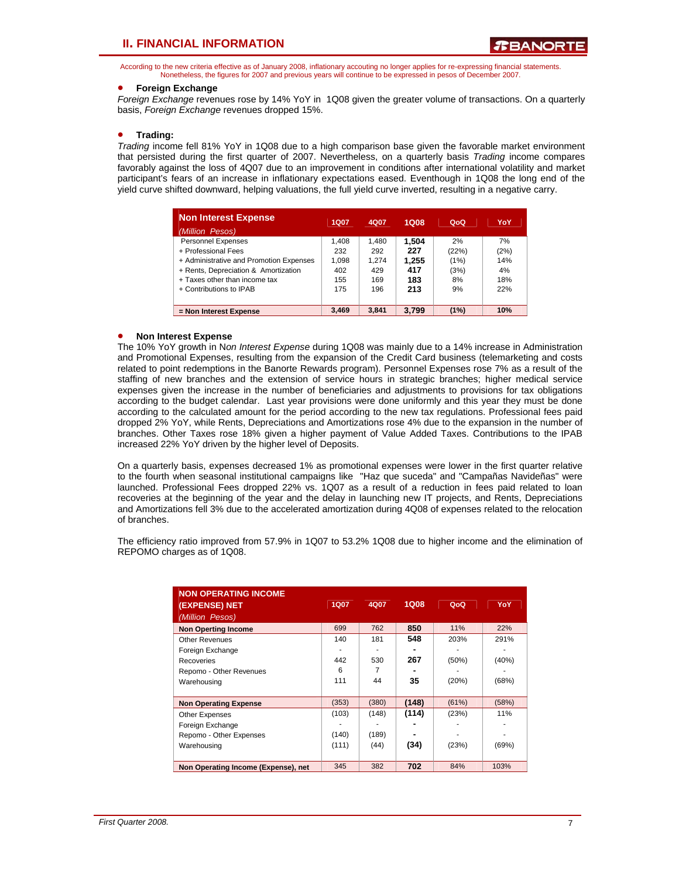According to the new criteria effective as of January 2008, inflationary accouting no longer applies for re-expressing financial statements. Nonetheless, the figures for 2007 and previous years will continue to be expressed in pesos of December 2007.

#### • **Foreign Exchange**

*Foreign Exchange* revenues rose by 14% YoY in 1Q08 given the greater volume of transactions. On a quarterly basis, *Foreign Exchange* revenues dropped 15%.

### • **Trading:**

*Trading* income fell 81% YoY in 1Q08 due to a high comparison base given the favorable market environment that persisted during the first quarter of 2007. Nevertheless, on a quarterly basis *Trading* income compares favorably against the loss of 4Q07 due to an improvement in conditions after international volatility and market participant's fears of an increase in inflationary expectations eased. Eventhough in 1Q08 the long end of the yield curve shifted downward, helping valuations, the full yield curve inverted, resulting in a negative carry.

| <b>Non Interest Expense</b><br>(Million Pesos) | 1Q07  | 4Q07  | 1Q08  | QoQ   | YoY  |
|------------------------------------------------|-------|-------|-------|-------|------|
| <b>Personnel Expenses</b>                      | 1.408 | 1.480 | 1.504 | 2%    | 7%   |
| + Professional Fees                            | 232   | 292   | 227   | (22%) | (2%) |
| + Administrative and Promotion Expenses        | 1.098 | 1.274 | 1.255 | (1%)  | 14%  |
| + Rents, Depreciation & Amortization           | 402   | 429   | 417   | (3%)  | 4%   |
| + Taxes other than income tax                  | 155   | 169   | 183   | 8%    | 18%  |
| + Contributions to IPAB                        | 175   | 196   | 213   | 9%    | 22%  |
|                                                |       |       |       |       |      |
| = Non Interest Expense                         | 3.469 | 3.841 | 3.799 | (1%)  | 10%  |

#### • **Non Interest Expense**

The 10% YoY growth in N*on Interest Expense* during 1Q08 was mainly due to a 14% increase in Administration and Promotional Expenses, resulting from the expansion of the Credit Card business (telemarketing and costs related to point redemptions in the Banorte Rewards program). Personnel Expenses rose 7% as a result of the staffing of new branches and the extension of service hours in strategic branches; higher medical service expenses given the increase in the number of beneficiaries and adjustments to provisions for tax obligations according to the budget calendar. Last year provisions were done uniformly and this year they must be done according to the calculated amount for the period according to the new tax regulations. Professional fees paid dropped 2% YoY, while Rents, Depreciations and Amortizations rose 4% due to the expansion in the number of branches. Other Taxes rose 18% given a higher payment of Value Added Taxes. Contributions to the IPAB increased 22% YoY driven by the higher level of Deposits.

On a quarterly basis, expenses decreased 1% as promotional expenses were lower in the first quarter relative to the fourth when seasonal institutional campaigns like "Haz que suceda" and "Campañas Navideñas" were launched. Professional Fees dropped 22% vs. 1Q07 as a result of a reduction in fees paid related to loan recoveries at the beginning of the year and the delay in launching new IT projects, and Rents, Depreciations and Amortizations fell 3% due to the accelerated amortization during 4Q08 of expenses related to the relocation of branches.

The efficiency ratio improved from 57.9% in 1Q07 to 53.2% 1Q08 due to higher income and the elimination of REPOMO charges as of 1Q08.

| <b>NON OPERATING INCOME</b><br>(EXPENSE) NET<br>(Million Pesos) | 1Q07  | 4Q07  | <b>1Q08</b> | QoQ   | YoY   |
|-----------------------------------------------------------------|-------|-------|-------------|-------|-------|
| <b>Non Operting Income</b>                                      | 699   | 762   | 850         | 11%   | 22%   |
| <b>Other Revenues</b>                                           | 140   | 181   | 548         | 203%  | 291%  |
| Foreign Exchange                                                |       |       |             |       |       |
| Recoveries                                                      | 442   | 530   | 267         | (50%) | (40%) |
| Repomo - Other Revenues                                         | 6     |       |             |       |       |
| Warehousing                                                     | 111   | 44    | 35          | (20%) | (68%) |
|                                                                 |       |       |             |       |       |
| <b>Non Operating Expense</b>                                    | (353) | (380) | (148)       | (61%) | (58%) |
| Other Expenses                                                  | (103) | (148) | (114)       | (23%) | 11%   |
| Foreign Exchange                                                |       |       |             |       |       |
| Repomo - Other Expenses                                         | (140) | (189) |             |       |       |
| Warehousing                                                     | (111) | (44)  | (34)        | (23%) | (69%) |
|                                                                 |       |       |             |       |       |
| Non Operating Income (Expense), net                             | 345   | 382   | 702         | 84%   | 103%  |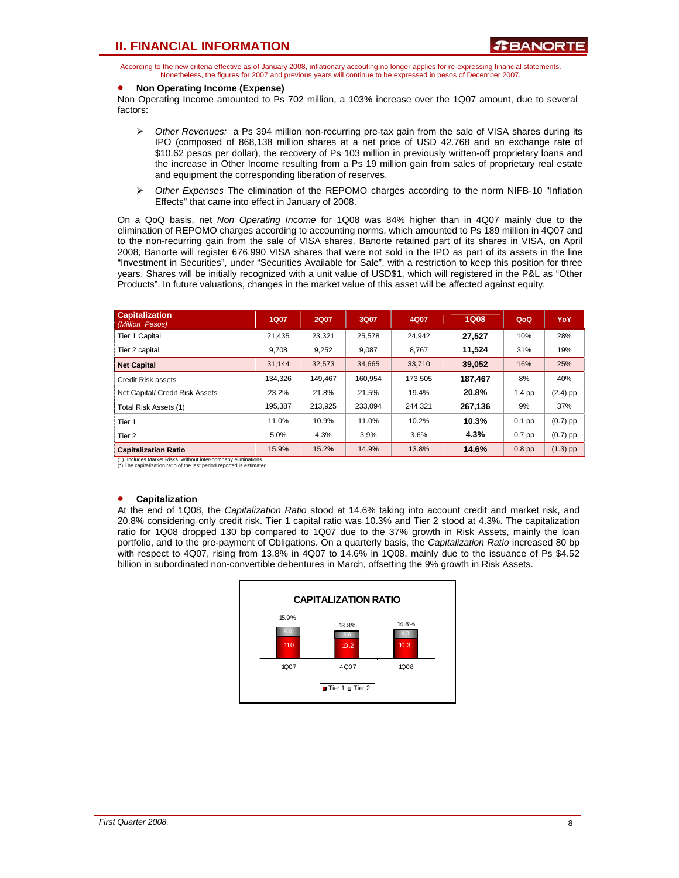According to the new criteria effective as of January 2008, inflationary accouting no longer applies for re-expressing financial statements. Nonetheless, the figures for 2007 and previous years will continue to be expressed in pesos of December 2007.

### • **Non Operating Income (Expense)**

Non Operating Income amounted to Ps 702 million, a 103% increase over the 1Q07 amount, due to several factors:

- ¾ *Other Revenues:* a Ps 394 million non-recurring pre-tax gain from the sale of VISA shares during its IPO (composed of 868,138 million shares at a net price of USD 42.768 and an exchange rate of \$10.62 pesos per dollar), the recovery of Ps 103 million in previously written-off proprietary loans and the increase in Other Income resulting from a Ps 19 million gain from sales of proprietary real estate and equipment the corresponding liberation of reserves.
- ¾ *Other Expenses* The elimination of the REPOMO charges according to the norm NIFB-10 "Inflation Effects" that came into effect in January of 2008.

On a QoQ basis, net *Non Operating Income* for 1Q08 was 84% higher than in 4Q07 mainly due to the elimination of REPOMO charges according to accounting norms, which amounted to Ps 189 million in 4Q07 and to the non-recurring gain from the sale of VISA shares. Banorte retained part of its shares in VISA, on April 2008, Banorte will register 676,990 VISA shares that were not sold in the IPO as part of its assets in the line "Investment in Securities", under "Securities Available for Sale", with a restriction to keep this position for three years. Shares will be initially recognized with a unit value of USD\$1, which will registered in the P&L as "Other Products". In future valuations, changes in the market value of this asset will be affected against equity.

| <b>Capitalization</b><br>(Million Pesos) | <b>1Q07</b> | <b>2Q07</b> | 3Q07    | 4Q07    | <b>1Q08</b> | QoQ               | YoY        |
|------------------------------------------|-------------|-------------|---------|---------|-------------|-------------------|------------|
| Tier 1 Capital                           | 21,435      | 23,321      | 25,578  | 24.942  | 27.527      | 10%               | 28%        |
| Tier 2 capital                           | 9.708       | 9,252       | 9,087   | 8.767   | 11,524      | 31%               | 19%        |
| <b>Net Capital</b>                       | 31.144      | 32.573      | 34.665  | 33.710  | 39,052      | 16%               | 25%        |
| Credit Risk assets                       | 134.326     | 149.467     | 160.954 | 173.505 | 187,467     | 8%                | 40%        |
| Net Capital/ Credit Risk Assets          | 23.2%       | 21.8%       | 21.5%   | 19.4%   | 20.8%       | $1.4$ pp          | $(2.4)$ pp |
| Total Risk Assets (1)                    | 195.387     | 213.925     | 233.094 | 244.321 | 267,136     | 9%                | 37%        |
| Tier 1                                   | 11.0%       | 10.9%       | 11.0%   | 10.2%   | 10.3%       | $0.1$ pp          | $(0.7)$ pp |
| Tier <sub>2</sub>                        | 5.0%        | 4.3%        | 3.9%    | 3.6%    | 4.3%        | $0.7$ pp          | $(0.7)$ pp |
| <b>Capitalization Ratio</b>              | 15.9%       | 15.2%       | 14.9%   | 13.8%   | 14.6%       | 0.8 <sub>pp</sub> | $(1.3)$ pp |

(1) Includes Market Risks. Without inter-company eliminations. (\*) The capitalization ratio of the last period reported is estimated.

#### • **Capitalization**

At the end of 1Q08, the *Capitalization Ratio* stood at 14.6% taking into account credit and market risk, and 20.8% considering only credit risk. Tier 1 capital ratio was 10.3% and Tier 2 stood at 4.3%. The capitalization ratio for 1Q08 dropped 130 bp compared to 1Q07 due to the 37% growth in Risk Assets, mainly the loan portfolio, and to the pre-payment of Obligations. On a quarterly basis, the *Capitalization Ratio* increased 80 bp with respect to 4Q07, rising from 13.8% in 4Q07 to 14.6% in 1Q08, mainly due to the issuance of Ps \$4.52 billion in subordinated non-convertible debentures in March, offsetting the 9% growth in Risk Assets.

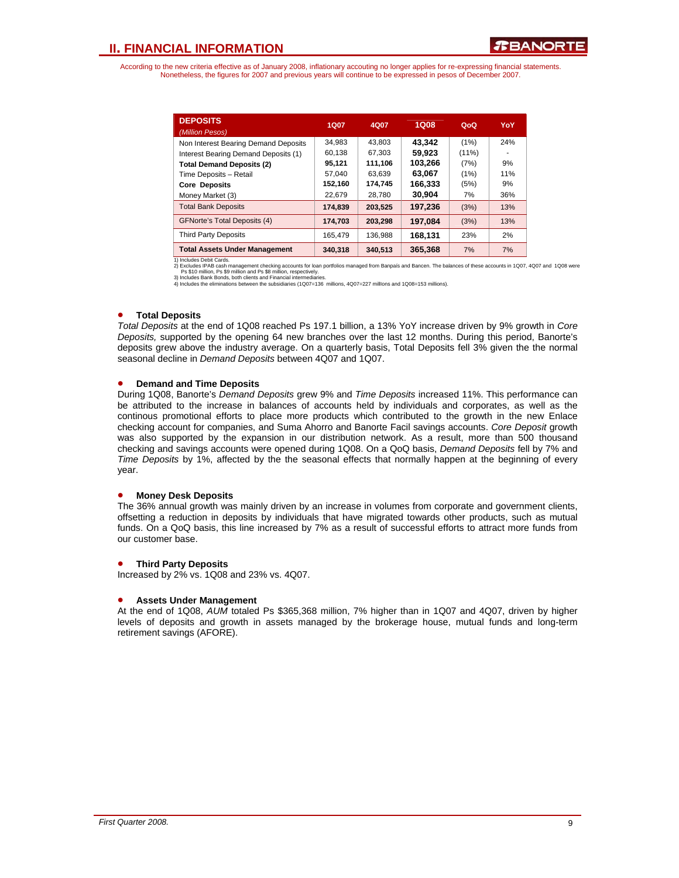According to the new criteria effective as of January 2008, inflationary accouting no longer applies for re-expressing financial statements. Nonetheless, the figures for 2007 and previous years will continue to be expressed in pesos of December 2007.

| <b>DEPOSITS</b><br>(Million Pesos)   | 1Q07    | 4Q07    | <b>1Q08</b> | QoQ      | YoY |
|--------------------------------------|---------|---------|-------------|----------|-----|
| Non Interest Bearing Demand Deposits | 34.983  | 43.803  | 43.342      | (1%)     | 24% |
| Interest Bearing Demand Deposits (1) | 60,138  | 67.303  | 59.923      | $(11\%)$ |     |
| <b>Total Demand Deposits (2)</b>     | 95,121  | 111,106 | 103.266     | (7%)     | 9%  |
| Time Deposits - Retail               | 57.040  | 63,639  | 63.067      | (1%)     | 11% |
| <b>Core Deposits</b>                 | 152,160 | 174,745 | 166.333     | (5%)     | 9%  |
| Money Market (3)                     | 22.679  | 28.780  | 30.904      | 7%       | 36% |
| <b>Total Bank Deposits</b>           | 174.839 | 203,525 | 197.236     | (3%)     | 13% |
| <b>GFNorte's Total Deposits (4)</b>  | 174.703 | 203.298 | 197.084     | (3%)     | 13% |
| <b>Third Party Deposits</b>          | 165.479 | 136.988 | 168.131     | 23%      | 2%  |
| <b>Total Assets Under Management</b> | 340.318 | 340.513 | 365,368     | 7%       | 7%  |

1) Includes Debit Cards.<br>2) Excludes IPAB cash management checking accounts for loan portfolios managed from Banpais and Bancen. The balances of these accounts in 1Q07, 4Q07 and 1Q08 were<br>Ps \$10 million, Ps \$9 million and

#### • **Total Deposits**

*Total Deposits* at the end of 1Q08 reached Ps 197.1 billion, a 13% YoY increase driven by 9% growth in *Core Deposits,* supported by the opening 64 new branches over the last 12 months. During this period, Banorte's deposits grew above the industry average. On a quarterly basis, Total Deposits fell 3% given the the normal seasonal decline in *Demand Deposits* between 4Q07 and 1Q07.

### • **Demand and Time Deposits**

During 1Q08, Banorte's *Demand Deposits* grew 9% and *Time Deposits* increased 11%. This performance can be attributed to the increase in balances of accounts held by individuals and corporates, as well as the continous promotional efforts to place more products which contributed to the growth in the new Enlace checking account for companies, and Suma Ahorro and Banorte Facil savings accounts. *Core Deposit* growth was also supported by the expansion in our distribution network. As a result, more than 500 thousand checking and savings accounts were opened during 1Q08. On a QoQ basis, *Demand Deposits* fell by 7% and *Time Deposits* by 1%, affected by the the seasonal effects that normally happen at the beginning of every year.

## • **Money Desk Deposits**

The 36% annual growth was mainly driven by an increase in volumes from corporate and government clients, offsetting a reduction in deposits by individuals that have migrated towards other products, such as mutual funds. On a QoQ basis, this line increased by 7% as a result of successful efforts to attract more funds from our customer base.

## • **Third Party Deposits**

Increased by 2% vs. 1Q08 and 23% vs. 4Q07.

## • **Assets Under Management**

At the end of 1Q08, *AUM* totaled Ps \$365,368 million, 7% higher than in 1Q07 and 4Q07, driven by higher levels of deposits and growth in assets managed by the brokerage house, mutual funds and long-term retirement savings (AFORE).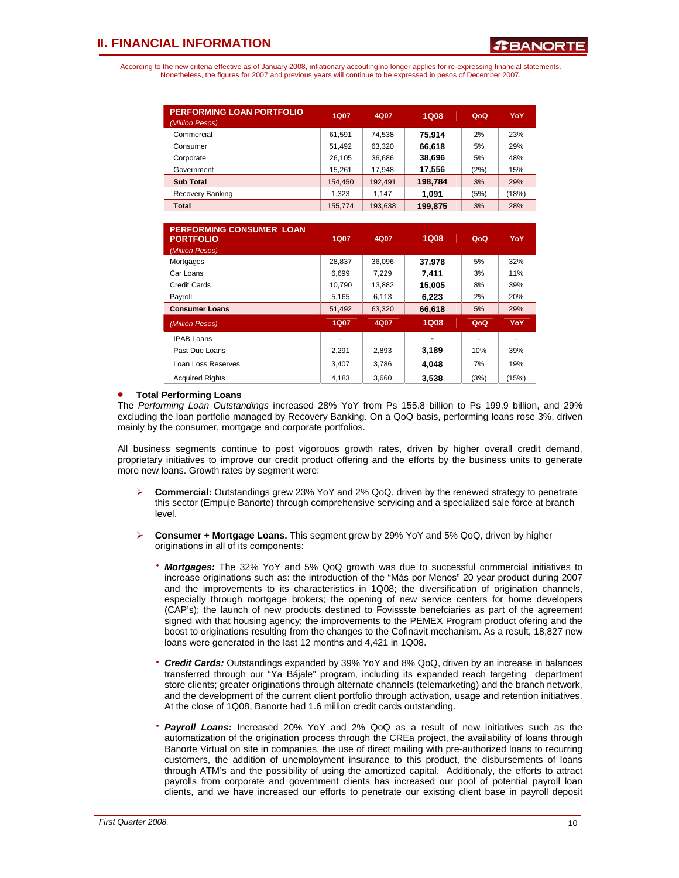According to the new criteria effective as of January 2008, inflationary accouting no longer applies for re-expressing financial statements. Nonetheless, the figures for 2007 and previous years will continue to be expressed in pesos of December 2007.

| <b>PERFORMING LOAN PORTFOLIO</b><br>(Million Pesos) | <b>1Q07</b> | 4Q07    | <b>1Q08</b> | QoQ  | YoY   |
|-----------------------------------------------------|-------------|---------|-------------|------|-------|
| Commercial                                          | 61.591      | 74.538  | 75.914      | 2%   | 23%   |
| Consumer                                            | 51,492      | 63,320  | 66,618      | 5%   | 29%   |
| Corporate                                           | 26.105      | 36.686  | 38,696      | 5%   | 48%   |
| Government                                          | 15,261      | 17,948  | 17,556      | (2%) | 15%   |
| <b>Sub Total</b>                                    | 154,450     | 192,491 | 198,784     | 3%   | 29%   |
| Recovery Banking                                    | 1.323       | 1.147   | 1.091       | (5%) | (18%) |
| Total                                               | 155,774     | 193,638 | 199,875     | 3%   | 28%   |

| <b>PERFORMING CONSUMER LOAN</b><br><b>PORTFOLIO</b><br>(Million Pesos) | <b>1Q07</b> | 4Q07   | 1Q08        | QoQ  | YoY   |
|------------------------------------------------------------------------|-------------|--------|-------------|------|-------|
| Mortgages                                                              | 28.837      | 36.096 | 37.978      | 5%   | 32%   |
| Car Loans                                                              | 6.699       | 7.229  | 7.411       | 3%   | 11%   |
| Credit Cards                                                           | 10.790      | 13.882 | 15,005      | 8%   | 39%   |
| Payroll                                                                | 5,165       | 6,113  | 6,223       | 2%   | 20%   |
| <b>Consumer Loans</b>                                                  | 51,492      | 63,320 | 66,618      | 5%   | 29%   |
| (Million Pesos)                                                        | <b>1Q07</b> | 4Q07   | <b>1Q08</b> | QoQ  | YoY   |
| <b>IPAB Loans</b>                                                      |             | ۰      |             |      |       |
| Past Due Loans                                                         | 2.291       | 2,893  | 3,189       | 10%  | 39%   |
| Loan Loss Reserves                                                     | 3,407       | 3.786  | 4.048       | 7%   | 19%   |
| <b>Acquired Rights</b>                                                 | 4.183       | 3.660  | 3,538       | (3%) | (15%) |

### • **Total Performing Loans**

The *Performing Loan Outstandings* increased 28% YoY from Ps 155.8 billion to Ps 199.9 billion, and 29% excluding the loan portfolio managed by Recovery Banking. On a QoQ basis, performing loans rose 3%, driven mainly by the consumer, mortgage and corporate portfolios.

All business segments continue to post vigorouos growth rates, driven by higher overall credit demand, proprietary initiatives to improve our credit product offering and the efforts by the business units to generate more new loans. Growth rates by segment were:

- ¾ **Commercial:** Outstandings grew 23% YoY and 2% QoQ, driven by the renewed strategy to penetrate this sector (Empuje Banorte) through comprehensive servicing and a specialized sale force at branch level.
- ¾ **Consumer + Mortgage Loans.** This segment grew by 29% YoY and 5% QoQ, driven by higher originations in all of its components:
	- ⋅ *Mortgages:* The 32% YoY and 5% QoQ growth was due to successful commercial initiatives to increase originations such as: the introduction of the "Más por Menos" 20 year product during 2007 and the improvements to its characteristics in 1Q08; the diversification of origination channels, especially through mortgage brokers; the opening of new service centers for home developers (CAP's); the launch of new products destined to Fovissste benefciaries as part of the agreement signed with that housing agency; the improvements to the PEMEX Program product ofering and the boost to originations resulting from the changes to the Cofinavit mechanism. As a result, 18,827 new loans were generated in the last 12 months and 4,421 in 1Q08.
	- ⋅ *Credit Cards:* Outstandings expanded by 39% YoY and 8% QoQ, driven by an increase in balances transferred through our "Ya Bájale" program, including its expanded reach targeting department store clients; greater originations through alternate channels (telemarketing) and the branch network, and the development of the current client portfolio through activation, usage and retention initiatives. At the close of 1Q08, Banorte had 1.6 million credit cards outstanding.
	- **Payroll Loans:** Increased 20% YoY and 2% QoQ as a result of new initiatives such as the automatization of the origination process through the CREa project, the availability of loans through Banorte Virtual on site in companies, the use of direct mailing with pre-authorized loans to recurring customers, the addition of unemployment insurance to this product, the disbursements of loans through ATM's and the possibility of using the amortized capital. Additionaly, the efforts to attract payrolls from corporate and government clients has increased our pool of potential payroll loan clients, and we have increased our efforts to penetrate our existing client base in payroll deposit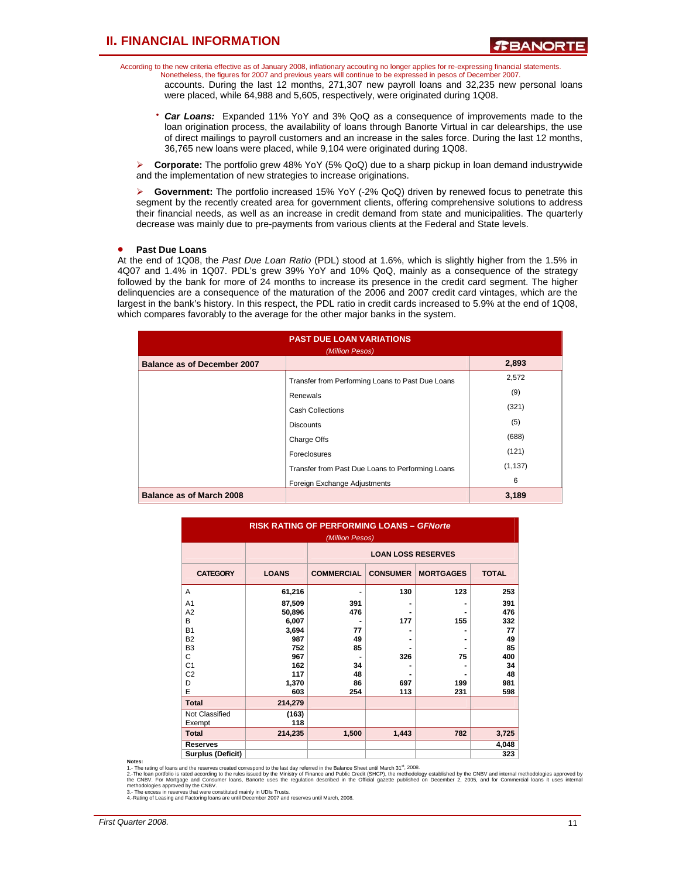According to the new criteria effective as of January 2008, inflationary accouting no longer applies for re-expressing financial statements. Nonetheless, the figures for 2007 and previous years will continue to be expressed in pesos of December 2007.

accounts. During the last 12 months, 271,307 new payroll loans and 32,235 new personal loans were placed, while 64,988 and 5,605, respectively, were originated during 1Q08.

⋅ *Car Loans:* Expanded 11% YoY and 3% QoQ as a consequence of improvements made to the loan origination process, the availability of loans through Banorte Virtual in car delearships, the use of direct mailings to payroll customers and an increase in the sales force. During the last 12 months, 36,765 new loans were placed, while 9,104 were originated during 1Q08.

¾ **Corporate:** The portfolio grew 48% YoY (5% QoQ) due to a sharp pickup in loan demand industrywide and the implementation of new strategies to increase originations.

¾ **Government:** The portfolio increased 15% YoY (-2% QoQ) driven by renewed focus to penetrate this segment by the recently created area for government clients, offering comprehensive solutions to address their financial needs, as well as an increase in credit demand from state and municipalities. The quarterly decrease was mainly due to pre-payments from various clients at the Federal and State levels.

#### • **Past Due Loans**

At the end of 1Q08, the *Past Due Loan Ratio* (PDL) stood at 1.6%, which is slightly higher from the 1.5% in 4Q07 and 1.4% in 1Q07. PDL's grew 39% YoY and 10% QoQ, mainly as a consequence of the strategy followed by the bank for more of 24 months to increase its presence in the credit card segment. The higher delinquencies are a consequence of the maturation of the 2006 and 2007 credit card vintages, which are the largest in the bank's history. In this respect, the PDL ratio in credit cards increased to 5.9% at the end of 1Q08, which compares favorably to the average for the other major banks in the system.

| <b>PAST DUE LOAN VARIATIONS</b><br>(Million Pesos) |                                                  |          |  |  |
|----------------------------------------------------|--------------------------------------------------|----------|--|--|
| <b>Balance as of December 2007</b>                 |                                                  | 2,893    |  |  |
|                                                    | Transfer from Performing Loans to Past Due Loans | 2,572    |  |  |
|                                                    | Renewals                                         | (9)      |  |  |
|                                                    | <b>Cash Collections</b>                          | (321)    |  |  |
|                                                    | <b>Discounts</b>                                 | (5)      |  |  |
|                                                    | Charge Offs                                      | (688)    |  |  |
|                                                    | Foreclosures                                     | (121)    |  |  |
|                                                    | Transfer from Past Due Loans to Performing Loans | (1, 137) |  |  |
|                                                    | Foreign Exchange Adjustments                     | 6        |  |  |
| Balance as of March 2008                           |                                                  | 3,189    |  |  |

| <b>RISK RATING OF PERFORMING LOANS - GFNorte</b><br>(Million Pesos) |                           |                   |                 |                  |              |  |  |
|---------------------------------------------------------------------|---------------------------|-------------------|-----------------|------------------|--------------|--|--|
|                                                                     | <b>LOAN LOSS RESERVES</b> |                   |                 |                  |              |  |  |
| <b>CATEGORY</b>                                                     | <b>LOANS</b>              | <b>COMMERCIAL</b> | <b>CONSUMER</b> | <b>MORTGAGES</b> | <b>TOTAL</b> |  |  |
| A                                                                   | 61,216                    |                   | 130             | 123              | 253          |  |  |
| A <sub>1</sub>                                                      | 87,509                    | 391               |                 |                  | 391          |  |  |
| A2                                                                  | 50,896                    | 476               |                 |                  | 476          |  |  |
| B                                                                   | 6,007                     |                   | 177             | 155              | 332          |  |  |
| <b>B1</b>                                                           | 3,694                     | 77                |                 |                  | 77           |  |  |
| <b>B2</b>                                                           | 987                       | 49                |                 |                  | 49           |  |  |
| B <sub>3</sub>                                                      | 752                       | 85                |                 |                  | 85           |  |  |
| C                                                                   | 967                       |                   | 326             | 75               | 400          |  |  |
| C <sub>1</sub>                                                      | 162                       | 34                |                 |                  | 34           |  |  |
| C <sub>2</sub>                                                      | 117                       | 48                |                 |                  | 48           |  |  |
| D                                                                   | 1,370                     | 86                | 697             | 199              | 981          |  |  |
| E                                                                   | 603                       | 254               | 113             | 231              | 598          |  |  |
| <b>Total</b>                                                        | 214,279                   |                   |                 |                  |              |  |  |
| Not Classified                                                      | (163)                     |                   |                 |                  |              |  |  |
| Exempt                                                              | 118                       |                   |                 |                  |              |  |  |
| <b>Total</b>                                                        | 214,235                   | 1,500             | 1,443           | 782              | 3,725        |  |  |
| <b>Reserves</b>                                                     |                           |                   |                 |                  | 4,048        |  |  |
| <b>Surplus (Deficit)</b>                                            |                           |                   |                 |                  | 323          |  |  |

Notes:<br>1. The rating of loans and the reserves created correspond to the last day referred in the Balance Sheet until March 31<sup>#</sup>, 2008.<br>2. The loan portfolio is rated according to the rules issued by the Ministry of Finan

3.- The excess in reserves that were constituted mainly in UDIs Trusts. 4.-Rating of Leasing and Factoring loans are until December 2007 and reserves until March, 2008.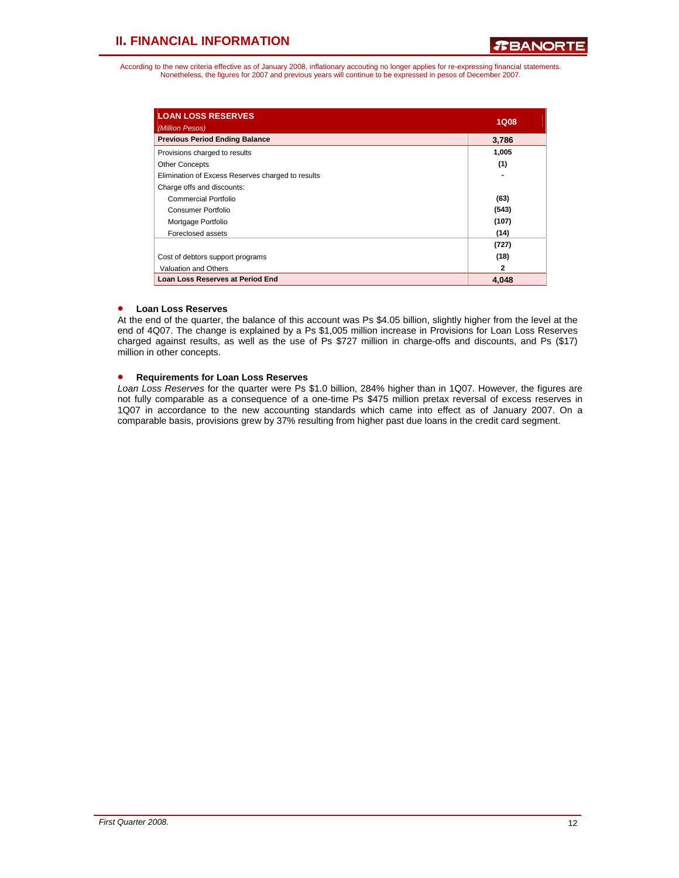According to the new criteria effective as of January 2008, inflationary accouting no longer applies for re-expressing financial statements. Nonetheless, the figures for 2007 and previous years will continue to be expressed in pesos of December 2007.

| <b>LOAN LOSS RESERVES</b><br>(Million Pesos)      | <b>1Q08</b>  |
|---------------------------------------------------|--------------|
| <b>Previous Period Ending Balance</b>             | 3,786        |
| Provisions charged to results                     | 1,005        |
| <b>Other Concepts</b>                             | (1)          |
| Elimination of Excess Reserves charged to results |              |
| Charge offs and discounts:                        |              |
| Commercial Portfolio                              | (63)         |
| Consumer Portfolio                                | (543)        |
| Mortgage Portfolio                                | (107)        |
| Foreclosed assets                                 | (14)         |
|                                                   | (727)        |
| Cost of debtors support programs                  | (18)         |
| <b>Valuation and Others</b>                       | $\mathbf{2}$ |
| <b>Loan Loss Reserves at Period End</b>           | 4.048        |

### • **Loan Loss Reserves**

At the end of the quarter, the balance of this account was Ps \$4.05 billion, slightly higher from the level at the end of 4Q07. The change is explained by a Ps \$1,005 million increase in Provisions for Loan Loss Reserves charged against results, as well as the use of Ps \$727 million in charge-offs and discounts, and Ps (\$17) million in other concepts.

### • **Requirements for Loan Loss Reserves**

*Loan Loss Reserves* for the quarter were Ps \$1.0 billion, 284% higher than in 1Q07. However, the figures are not fully comparable as a consequence of a one-time Ps \$475 million pretax reversal of excess reserves in 1Q07 in accordance to the new accounting standards which came into effect as of January 2007. On a comparable basis, provisions grew by 37% resulting from higher past due loans in the credit card segment.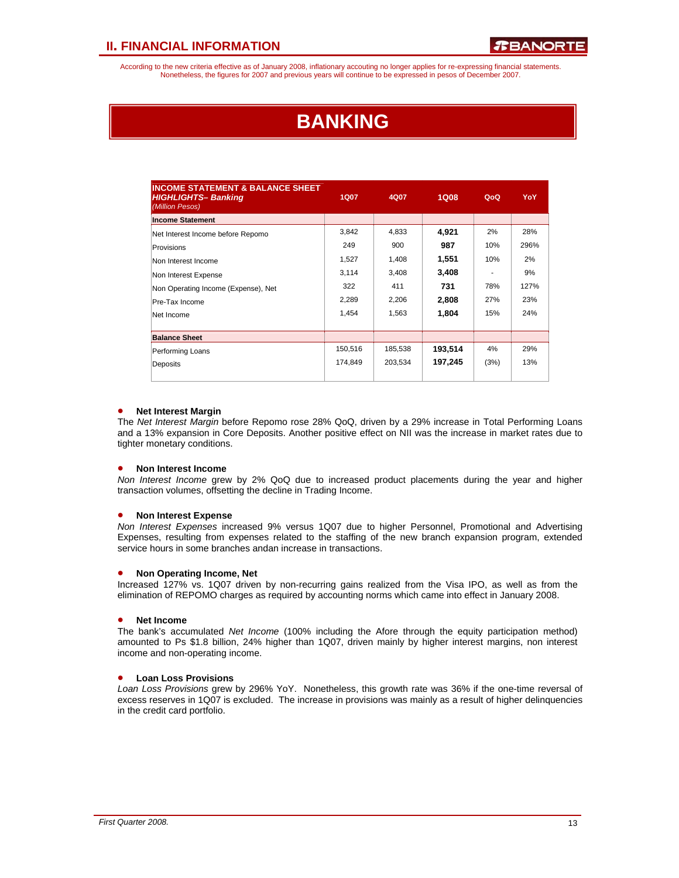According to the new criteria effective as of January 2008, inflationary accouting no longer applies for re-expressing financial statements. Nonetheless, the figures for 2007 and previous years will continue to be expressed in pesos of December 2007.

## **BANKING**

| <b>INCOME STATEMENT &amp; BALANCE SHEET</b><br><b>HIGHLIGHTS-Banking</b><br>(Million Pesos) | <b>1Q07</b> | 4Q07    | <b>1Q08</b> | QoQ  | <b>YoY</b> |
|---------------------------------------------------------------------------------------------|-------------|---------|-------------|------|------------|
| <b>Income Statement</b>                                                                     |             |         |             |      |            |
| Net Interest Income before Repomo                                                           | 3,842       | 4,833   | 4,921       | 2%   | 28%        |
| Provisions                                                                                  | 249         | 900     | 987         | 10%  | 296%       |
| Non Interest Income                                                                         | 1,527       | 1,408   | 1,551       | 10%  | 2%         |
| Non Interest Expense                                                                        | 3,114       | 3,408   | 3,408       | ۰    | 9%         |
| Non Operating Income (Expense), Net                                                         | 322         | 411     | 731         | 78%  | 127%       |
| Pre-Tax Income                                                                              | 2,289       | 2,206   | 2,808       | 27%  | 23%        |
| Net Income                                                                                  | 1,454       | 1,563   | 1,804       | 15%  | 24%        |
|                                                                                             |             |         |             |      |            |
| <b>Balance Sheet</b>                                                                        |             |         |             |      |            |
| Performing Loans                                                                            | 150,516     | 185,538 | 193,514     | 4%   | 29%        |
| Deposits                                                                                    | 174,849     | 203,534 | 197,245     | (3%) | 13%        |
|                                                                                             |             |         |             |      |            |

### • **Net Interest Margin**

The *Net Interest Margin* before Repomo rose 28% QoQ, driven by a 29% increase in Total Performing Loans and a 13% expansion in Core Deposits. Another positive effect on NII was the increase in market rates due to tighter monetary conditions.

### • **Non Interest Income**

*Non Interest Income* grew by 2% QoQ due to increased product placements during the year and higher transaction volumes, offsetting the decline in Trading Income.

#### • **Non Interest Expense**

*Non Interest Expenses* increased 9% versus 1Q07 due to higher Personnel, Promotional and Advertising Expenses, resulting from expenses related to the staffing of the new branch expansion program, extended service hours in some branches andan increase in transactions.

#### • **Non Operating Income, Net**

Increased 127% vs. 1Q07 driven by non-recurring gains realized from the Visa IPO, as well as from the elimination of REPOMO charges as required by accounting norms which came into effect in January 2008.

#### • **Net Income**

The bank's accumulated *Net Income* (100% including the Afore through the equity participation method) amounted to Ps \$1.8 billion, 24% higher than 1Q07, driven mainly by higher interest margins, non interest income and non-operating income.

## • **Loan Loss Provisions**

*Loan Loss Provisions* grew by 296% YoY. Nonetheless, this growth rate was 36% if the one-time reversal of excess reserves in 1Q07 is excluded. The increase in provisions was mainly as a result of higher delinquencies in the credit card portfolio.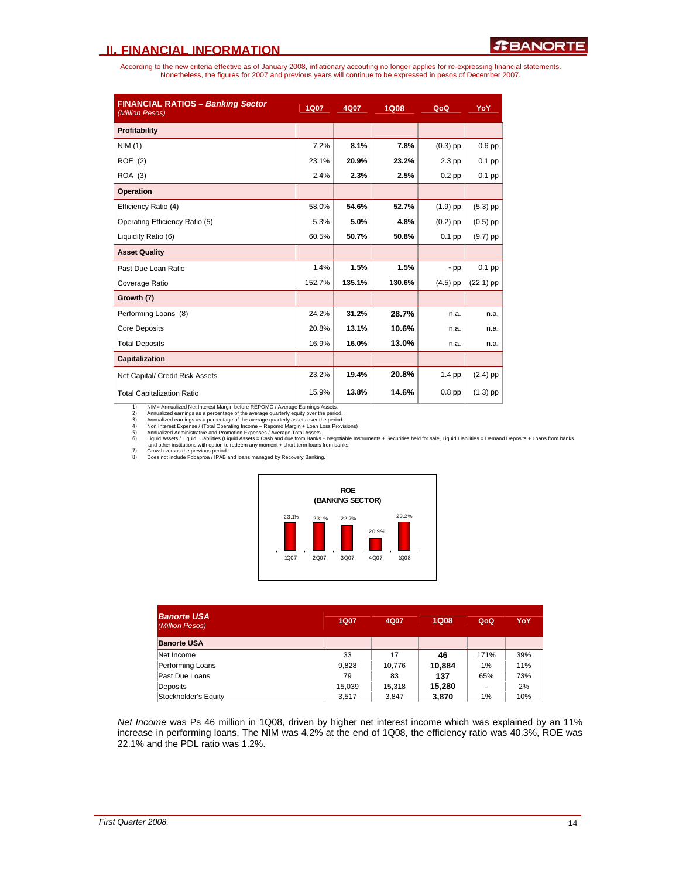According to the new criteria effective as of January 2008, inflationary accouting no longer applies for re-expressing financial statements. Nonetheless, the figures for 2007 and previous years will continue to be expressed in pesos of December 2007.

| <b>FINANCIAL RATIOS - Banking Sector</b><br>(Million Pesos) | <b>1Q07</b> | 4Q07   | <b>1Q08</b> | QoQ        | YoY         |
|-------------------------------------------------------------|-------------|--------|-------------|------------|-------------|
| Profitability                                               |             |        |             |            |             |
| NIM(1)                                                      | 7.2%        | 8.1%   | 7.8%        | $(0.3)$ pp | $0.6$ pp    |
| ROE (2)                                                     | 23.1%       | 20.9%  | 23.2%       | $2.3$ pp   | $0.1$ pp    |
| ROA (3)                                                     | 2.4%        | 2.3%   | 2.5%        | $0.2$ pp   | $0.1$ pp    |
| <b>Operation</b>                                            |             |        |             |            |             |
| Efficiency Ratio (4)                                        | 58.0%       | 54.6%  | 52.7%       | $(1.9)$ pp | $(5.3)$ pp  |
| Operating Efficiency Ratio (5)                              | 5.3%        | 5.0%   | 4.8%        | $(0.2)$ pp | $(0.5)$ pp  |
| Liquidity Ratio (6)                                         | 60.5%       | 50.7%  | 50.8%       | $0.1$ pp   | $(9.7)$ pp  |
| <b>Asset Quality</b>                                        |             |        |             |            |             |
| Past Due Loan Ratio                                         | 1.4%        | 1.5%   | 1.5%        | $-pp$      | $0.1$ pp    |
| Coverage Ratio                                              | 152.7%      | 135.1% | 130.6%      | $(4.5)$ pp | $(22.1)$ pp |
| Growth (7)                                                  |             |        |             |            |             |
| Performing Loans (8)                                        | 24.2%       | 31.2%  | 28.7%       | n.a.       | n.a.        |
| <b>Core Deposits</b>                                        | 20.8%       | 13.1%  | 10.6%       | n.a.       | n.a.        |
| <b>Total Deposits</b>                                       | 16.9%       | 16.0%  | 13.0%       | n.a.       | n.a.        |
| <b>Capitalization</b>                                       |             |        |             |            |             |
| Net Capital/ Credit Risk Assets                             | 23.2%       | 19.4%  | 20.8%       | $1.4$ pp   | $(2.4)$ pp  |
| <b>Total Capitalization Ratio</b>                           | 15.9%       | 13.8%  | 14.6%       | $0.8$ pp   | $(1.3)$ pp  |

1) NIM= Annualized Net Interest Margin before REPOMO / Average Earnings Assets.<br>2) Annualized earnings as a percentage of the average quarterly equity over the period 3) Annualized earnings as a percentage of the average q

Annualized earnings as a percentage of the average quarterly equity over the period.<br>3) Annualized earnings as a percentage of the average quarterly assets over the period.<br>4) Non Interest Expense / (Total Operating Income





| <b>Banorte USA</b><br>(Million Pesos) | <b>1Q07</b> | 4Q07   | <b>1Q08</b> | QoQ  | YoY |
|---------------------------------------|-------------|--------|-------------|------|-----|
| <b>Banorte USA</b>                    |             |        |             |      |     |
| Net Income                            | 33          | 17     | 46          | 171% | 39% |
| Performing Loans                      | 9,828       | 10.776 | 10,884      | 1%   | 11% |
| Past Due Loans                        | 79          | 83     | 137         | 65%  | 73% |
| Deposits                              | 15.039      | 15.318 | 15,280      | ٠    | 2%  |
| Stockholder's Equity                  | 3.517       | 3.847  | 3,870       | 1%   | 10% |

*Net Income* was Ps 46 million in 1Q08, driven by higher net interest income which was explained by an 11% increase in performing loans. The NIM was 4.2% at the end of 1Q08, the efficiency ratio was 40.3%, ROE was 22.1% and the PDL ratio was 1.2%.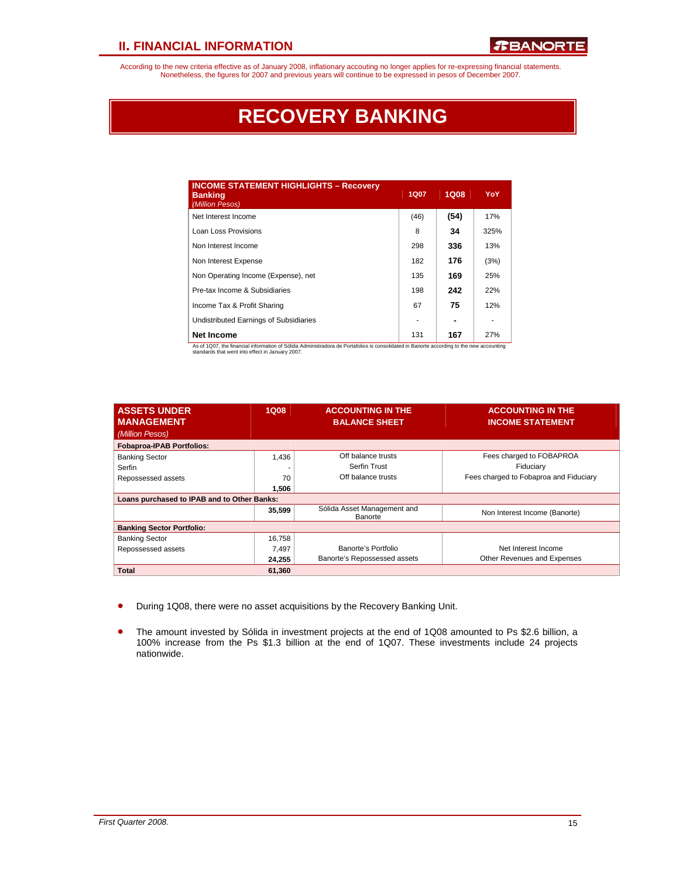According to the new criteria effective as of January 2008, inflationary accouting no longer applies for re-expressing financial statements.<br>Nonetheless, the figures for 2007 and previous years will continue to be expresse

## **RECOVERY BANKING**

| <b>INCOME STATEMENT HIGHLIGHTS - Recovery</b><br><b>Banking</b><br>(Million Pesos)                                                                               | <b>1Q07</b> | <b>1Q08</b> | <b>YoY</b> |
|------------------------------------------------------------------------------------------------------------------------------------------------------------------|-------------|-------------|------------|
| Net Interest Income                                                                                                                                              | (46)        | (54)        | 17%        |
| Loan Loss Provisions                                                                                                                                             | 8           | 34          | 325%       |
| Non Interest Income                                                                                                                                              | 298         | 336         | 13%        |
| Non Interest Expense                                                                                                                                             | 182         | 176         | (3%)       |
| Non Operating Income (Expense), net                                                                                                                              | 135         | 169         | 25%        |
| Pre-tax Income & Subsidiaries                                                                                                                                    | 198         | 242         | 22%        |
| Income Tax & Profit Sharing                                                                                                                                      | 67          | 75          | 12%        |
| Undistributed Earnings of Subsidiaries                                                                                                                           |             |             |            |
| <b>Net Income</b><br>An of 1007, the financial information of Cálido. Administrators de Destafolion in concelidated in Ranaste concerting to the new concursting | 131         | 167         | 27%        |

As of 1Q07, the financial information of Sólida Administradora de Portafolios is consolidated in Banorte according to the new accounting standards that went into effect in January 2007.

| <b>ASSETS UNDER</b>                         | 1Q08   | <b>ACCOUNTING IN THE</b>               | <b>ACCOUNTING IN THE</b>               |
|---------------------------------------------|--------|----------------------------------------|----------------------------------------|
| <b>MANAGEMENT</b>                           |        | <b>BALANCE SHEET</b>                   | <b>INCOME STATEMENT</b>                |
| (Million Pesos)                             |        |                                        |                                        |
| <b>Fobaproa-IPAB Portfolios:</b>            |        |                                        |                                        |
| <b>Banking Sector</b>                       | 1,436  | Off balance trusts                     | Fees charged to FOBAPROA               |
| Serfin                                      |        | Serfin Trust                           | Fiduciary                              |
| Repossessed assets                          | 70     | Off balance trusts                     | Fees charged to Fobaproa and Fiduciary |
|                                             | 1,506  |                                        |                                        |
| Loans purchased to IPAB and to Other Banks: |        |                                        |                                        |
|                                             | 35,599 | Sólida Asset Management and<br>Banorte | Non Interest Income (Banorte)          |
| <b>Banking Sector Portfolio:</b>            |        |                                        |                                        |
| <b>Banking Sector</b>                       | 16,758 |                                        |                                        |
| Repossessed assets                          | 7.497  | Banorte's Portfolio                    | Net Interest Income                    |
|                                             | 24.255 | Banorte's Repossessed assets           | Other Revenues and Expenses            |
| Total                                       | 61,360 |                                        |                                        |

- During 1Q08, there were no asset acquisitions by the Recovery Banking Unit.
- The amount invested by Sólida in investment projects at the end of 1Q08 amounted to Ps \$2.6 billion, a 100% increase from the Ps \$1.3 billion at the end of 1Q07. These investments include 24 projects nationwide.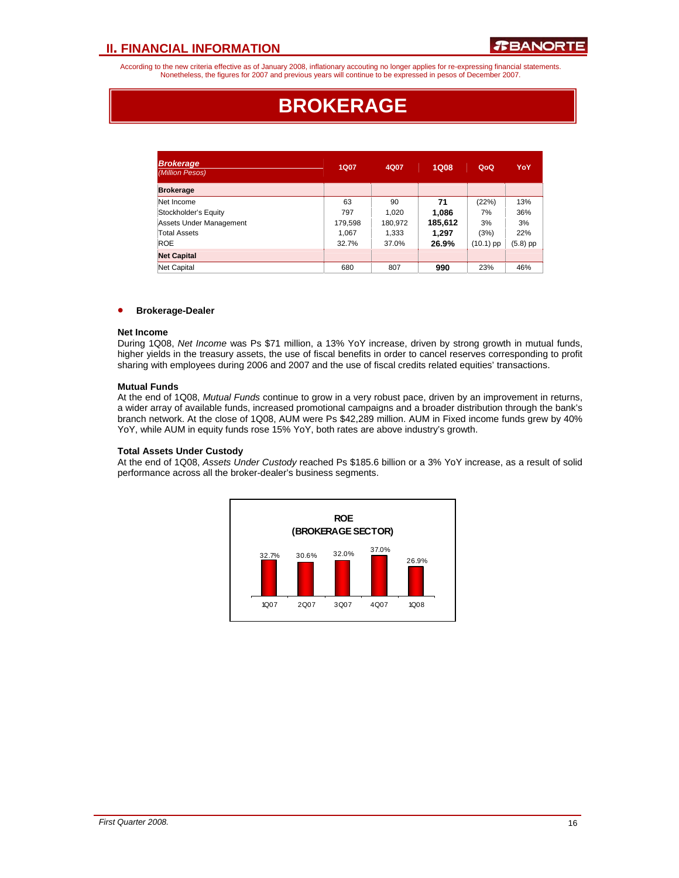According to the new criteria effective as of January 2008, inflationary accouting no longer applies for re-expressing financial statements. Nonetheless, the figures for 2007 and previous years will continue to be expressed in pesos of December 2007.

## **BROKERAGE**

| <b>Brokerage</b><br>(Million Pesos) | 1Q07    | 4Q07    | <b>1Q08</b> | QoQ         | YoY      |
|-------------------------------------|---------|---------|-------------|-------------|----------|
| <b>Brokerage</b>                    |         |         |             |             |          |
| Net Income                          | 63      | 90      | 71          | (22%)       | 13%      |
| Stockholder's Equity                | 797     | 1,020   | 1,086       | 7%          | 36%      |
| Assets Under Management             | 179,598 | 180,972 | 185,612     | 3%          | 3%       |
| Total Assets                        | 1,067   | 1,333   | 1.297       | (3%)        | 22%      |
| <b>ROE</b>                          | 32.7%   | 37.0%   | 26.9%       | $(10.1)$ pp | (5.8) pp |
| <b>Net Capital</b>                  |         |         |             |             |          |
| Net Capital                         | 680     | 807     | 990         | 23%         | 46%      |

#### • **Brokerage-Dealer**

#### **Net Income**

During 1Q08, *Net Income* was Ps \$71 million, a 13% YoY increase, driven by strong growth in mutual funds, higher yields in the treasury assets, the use of fiscal benefits in order to cancel reserves corresponding to profit sharing with employees during 2006 and 2007 and the use of fiscal credits related equities' transactions.

#### **Mutual Funds**

At the end of 1Q08, *Mutual Funds* continue to grow in a very robust pace, driven by an improvement in returns, a wider array of available funds, increased promotional campaigns and a broader distribution through the bank's branch network. At the close of 1Q08, AUM were Ps \$42,289 million. AUM in Fixed income funds grew by 40% YoY, while AUM in equity funds rose 15% YoY, both rates are above industry's growth.

#### **Total Assets Under Custody**

At the end of 1Q08, *Assets Under Custody* reached Ps \$185.6 billion or a 3% YoY increase, as a result of solid performance across all the broker-dealer's business segments.

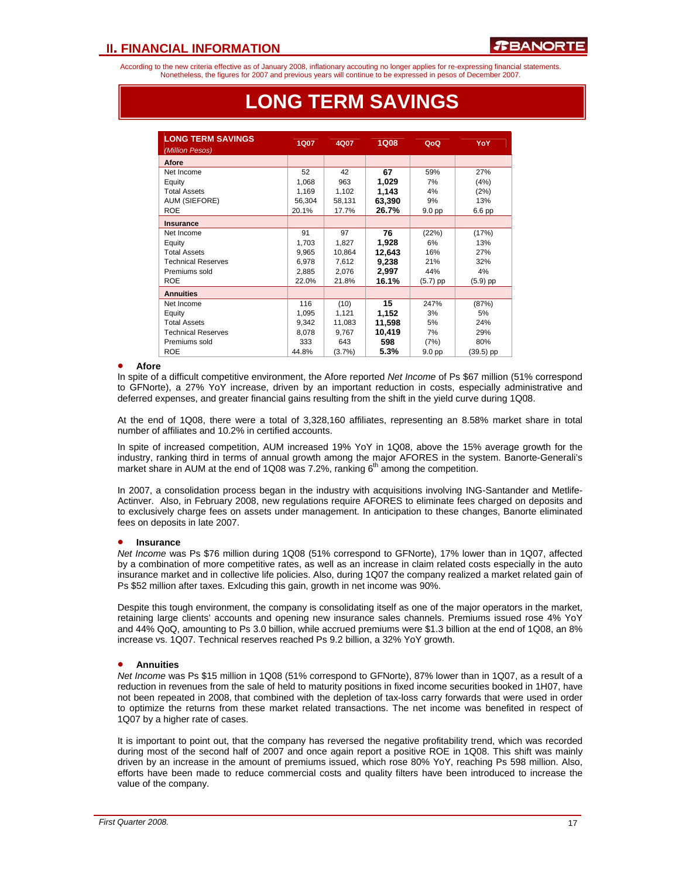According to the new criteria effective as of January 2008, inflationary accouting no longer applies for re-expressing financial statements. Nonetheless, the figures for 2007 and previous years will continue to be expressed in pesos of December 2007.

| <b>LONG TERM SAVINGS</b>  | <b>1Q07</b> |        |             |            | YoY        |
|---------------------------|-------------|--------|-------------|------------|------------|
| (Million Pesos)           |             | 4Q07   | <b>1Q08</b> | QoQ        |            |
| <b>Afore</b>              |             |        |             |            |            |
| Net Income                | 52          | 42     | 67          | 59%        | 27%        |
| Equity                    | 1,068       | 963    | 1,029       | 7%         | (4%)       |
| <b>Total Assets</b>       | 1,169       | 1,102  | 1.143       | 4%         | (2%)       |
| <b>AUM (SIEFORE)</b>      | 56,304      | 58,131 | 63,390      | 9%         | 13%        |
| <b>ROE</b>                | 20.1%       | 17.7%  | 26.7%       | 9.0 pp     | 6.6 pp     |
| <b>Insurance</b>          |             |        |             |            |            |
| Net Income                | 91          | 97     | 76          | (22%)      | (17%)      |
| Equity                    | 1,703       | 1,827  | 1,928       | 6%         | 13%        |
| <b>Total Assets</b>       | 9,965       | 10,864 | 12,643      | 16%        | 27%        |
| <b>Technical Reserves</b> | 6,978       | 7,612  | 9,238       | 21%        | 32%        |
| Premiums sold             | 2,885       | 2,076  | 2,997       | 44%        | 4%         |
| <b>ROE</b>                | 22.0%       | 21.8%  | 16.1%       | $(5.7)$ pp | $(5.9)$ pp |
| <b>Annuities</b>          |             |        |             |            |            |
| Net Income                | 116         | (10)   | 15          | 247%       | (87%)      |
| Equity                    | 1,095       | 1,121  | 1,152       | 3%         | 5%         |
| <b>Total Assets</b>       | 9,342       | 11,083 | 11,598      | 5%         | 24%        |
| <b>Technical Reserves</b> | 8,078       | 9,767  | 10,419      | 7%         | 29%        |
| Premiums sold             | 333         | 643    | 598         | (7%)       | 80%        |
| <b>ROE</b>                | 44.8%       | (3.7%) | 5.3%        | 9.0 pp     | (39.5) pp  |

## **LONG TERM SAVINGS**

#### • **Afore**

• ֦֘

In spite of a difficult competitive environment, the Afore reported *Net Income* of Ps \$67 million (51% correspond to GFNorte), a 27% YoY increase, driven by an important reduction in costs, especially administrative and deferred expenses, and greater financial gains resulting from the shift in the yield curve during 1Q08.

At the end of 1Q08, there were a total of 3,328,160 affiliates, representing an 8.58% market share in total number of affiliates and 10.2% in certified accounts.

In spite of increased competition, AUM increased 19% YoY in 1Q08, above the 15% average growth for the industry, ranking third in terms of annual growth among the major AFORES in the system. Banorte-Generali's market share in AUM at the end of 1Q08 was 7.2%, ranking  $6<sup>th</sup>$  among the competition.

In 2007, a consolidation process began in the industry with acquisitions involving ING-Santander and Metlife-Actinver. Also, in February 2008, new regulations require AFORES to eliminate fees charged on deposits and to exclusively charge fees on assets under management. In anticipation to these changes, Banorte eliminated fees on deposits in late 2007.

#### • **Insurance**

*Net Income* was Ps \$76 million during 1Q08 (51% correspond to GFNorte), 17% lower than in 1Q07, affected by a combination of more competitive rates, as well as an increase in claim related costs especially in the auto insurance market and in collective life policies. Also, during 1Q07 the company realized a market related gain of Ps \$52 million after taxes. Exlcuding this gain, growth in net income was 90%.

Despite this tough environment, the company is consolidating itself as one of the major operators in the market, retaining large clients' accounts and opening new insurance sales channels. Premiums issued rose 4% YoY and 44% QoQ, amounting to Ps 3.0 billion, while accrued premiums were \$1.3 billion at the end of 1Q08, an 8% increase vs. 1Q07. Technical reserves reached Ps 9.2 billion, a 32% YoY growth.

## • **Annuities**

*Net Income* was Ps \$15 million in 1Q08 (51% correspond to GFNorte), 87% lower than in 1Q07, as a result of a reduction in revenues from the sale of held to maturity positions in fixed income securities booked in 1H07, have not been repeated in 2008, that combined with the depletion of tax-loss carry forwards that were used in order to optimize the returns from these market related transactions. The net income was benefited in respect of 1Q07 by a higher rate of cases.

It is important to point out, that the company has reversed the negative profitability trend, which was recorded during most of the second half of 2007 and once again report a positive ROE in 1Q08. This shift was mainly driven by an increase in the amount of premiums issued, which rose 80% YoY, reaching Ps 598 million. Also, efforts have been made to reduce commercial costs and quality filters have been introduced to increase the value of the company.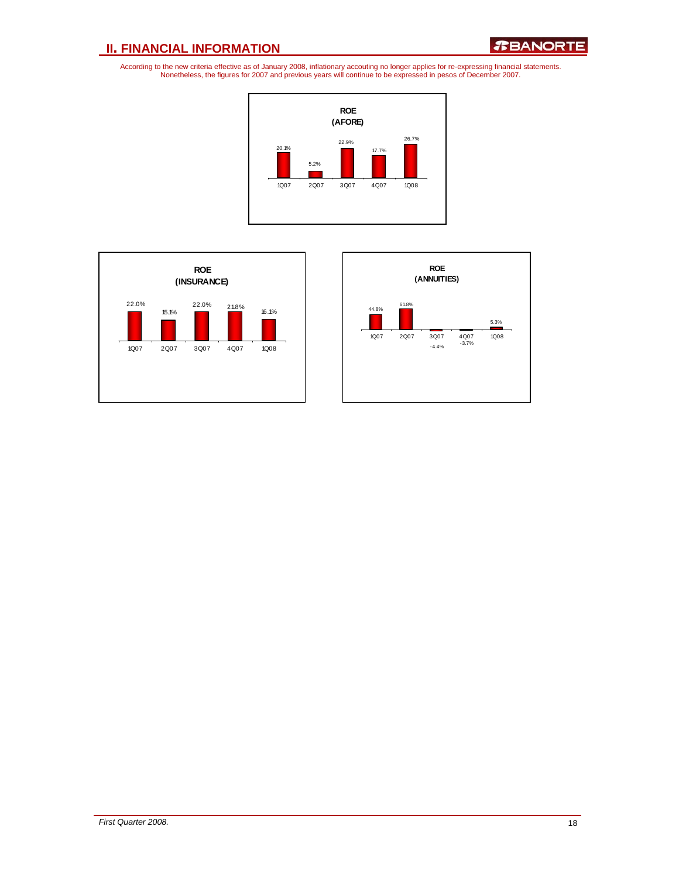*R***BANORTE** 





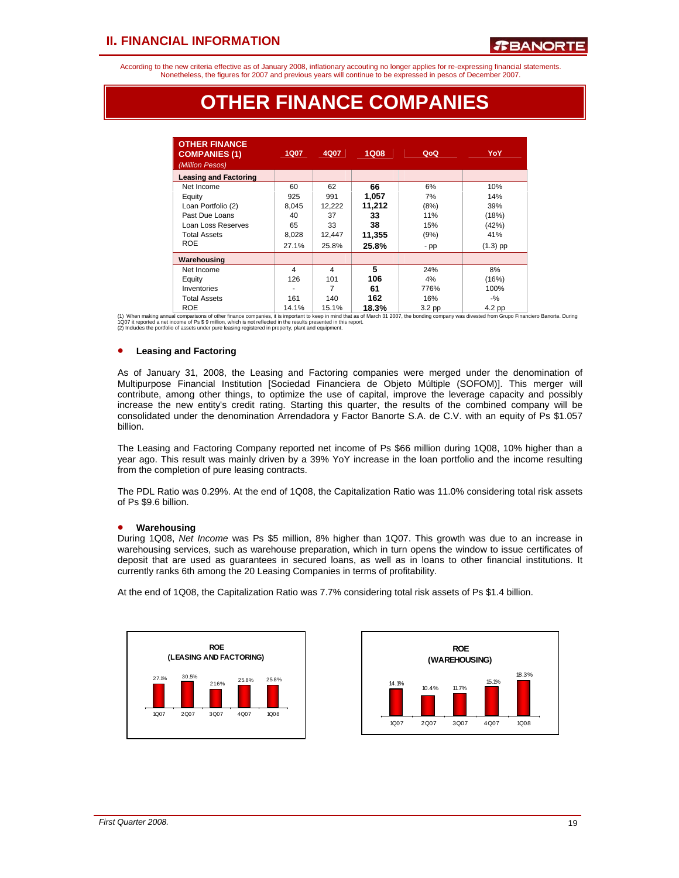According to the new criteria effective as of January 2008, inflationary accouting no longer applies for re-expressing financial statements. Nonetheless, the figures for 2007 and previous years will continue to be expressed in pesos of December 2007.

## **OTHER FINANCE COMPANIES**

| <b>OTHER FINANCE</b><br><b>COMPANIES (1)</b><br>(Million Pesos) | 1Q07  | 4Q07   | 1Q08   | QoQ    | YoY        |
|-----------------------------------------------------------------|-------|--------|--------|--------|------------|
| <b>Leasing and Factoring</b>                                    |       |        |        |        |            |
| Net Income                                                      | 60    | 62     | 66     | 6%     | 10%        |
| Equity                                                          | 925   | 991    | 1,057  | 7%     | 14%        |
| Loan Portfolio (2)                                              | 8,045 | 12,222 | 11,212 | (8%)   | 39%        |
| Past Due Loans                                                  | 40    | 37     | 33     | 11%    | (18%)      |
| Loan Loss Reserves                                              | 65    | 33     | 38     | 15%    | (42%)      |
| <b>Total Assets</b>                                             | 8,028 | 12,447 | 11,355 | (9%)   | 41%        |
| <b>ROE</b>                                                      | 27.1% | 25.8%  | 25.8%  | - pp   | $(1.3)$ pp |
| Warehousing                                                     |       |        |        |        |            |
| Net Income                                                      | 4     | 4      | 5      | 24%    | 8%         |
| Equity                                                          | 126   | 101    | 106    | 4%     | (16%)      |
| Inventories                                                     |       | 7      | 61     | 776%   | 100%       |
| <b>Total Assets</b>                                             | 161   | 140    | 162    | 16%    | $-$ %      |
| <b>ROE</b>                                                      | 14.1% | 15.1%  | 18.3%  | 3.2 pp | 4.2 pp     |

ROE 14.1% 15.1% 18.3% 3.2 pp 4.2 pp<br>10.07 it reported a net income of Ps \$ 9 million, which is not reliested in the results premated to keep in mind that as of March 31 2007, the bonding company was divested from Grupo Fin

### • **Leasing and Factoring**

As of January 31, 2008, the Leasing and Factoring companies were merged under the denomination of Multipurpose Financial Institution [Sociedad Financiera de Objeto Múltiple (SOFOM)]. This merger will contribute, among other things, to optimize the use of capital, improve the leverage capacity and possibly increase the new entity's credit rating. Starting this quarter, the results of the combined company will be consolidated under the denomination Arrendadora y Factor Banorte S.A. de C.V. with an equity of Ps \$1.057 billion.

The Leasing and Factoring Company reported net income of Ps \$66 million during 1Q08, 10% higher than a year ago. This result was mainly driven by a 39% YoY increase in the loan portfolio and the income resulting from the completion of pure leasing contracts.

The PDL Ratio was 0.29%. At the end of 1Q08, the Capitalization Ratio was 11.0% considering total risk assets of Ps \$9.6 billion.

#### • **Warehousing**

During 1Q08, *Net Income* was Ps \$5 million, 8% higher than 1Q07. This growth was due to an increase in warehousing services, such as warehouse preparation, which in turn opens the window to issue certificates of deposit that are used as guarantees in secured loans, as well as in loans to other financial institutions. It currently ranks 6th among the 20 Leasing Companies in terms of profitability.

At the end of 1Q08, the Capitalization Ratio was 7.7% considering total risk assets of Ps \$1.4 billion.



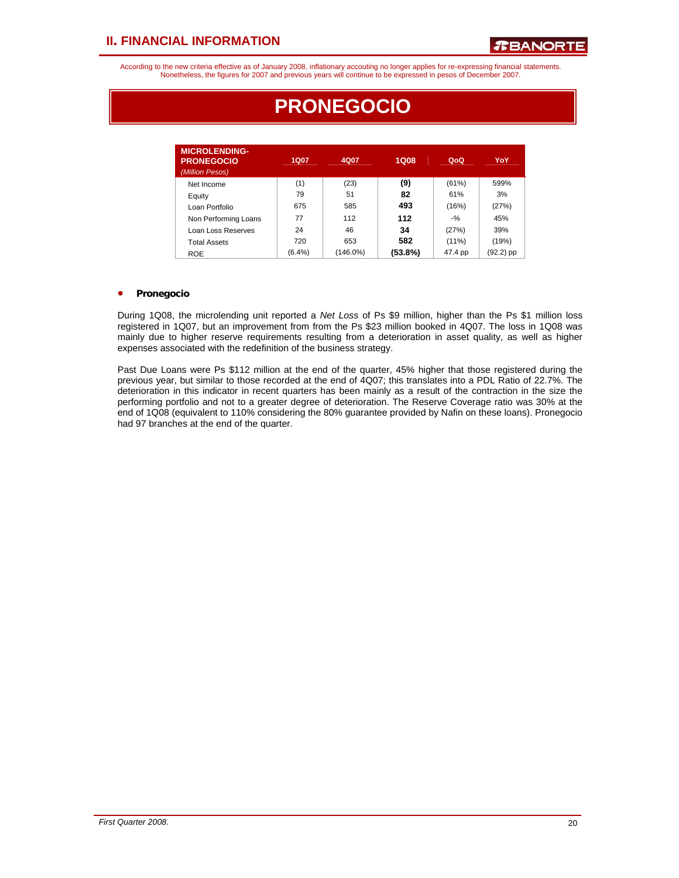According to the new criteria effective as of January 2008, inflationary accouting no longer applies for re-expressing financial statements. Nonetheless, the figures for 2007 and previous years will continue to be expressed in pesos of December 2007.

| <b>MICROLENDING-</b><br><b>PRONEGOCIO</b><br>(Million Pesos) | 1Q07      | 4Q07     | <b>1Q08</b> | QoQ      | YoY         |
|--------------------------------------------------------------|-----------|----------|-------------|----------|-------------|
| Net Income                                                   | (1)       | (23)     | (9)         | (61%)    | 599%        |
| Equity                                                       | 79        | 51       | 82          | 61%      | 3%          |
| Loan Portfolio                                               | 675       | 585      | 493         | (16%)    | (27%)       |
| Non Performing Loans                                         | 77        | 112      | 112         | $-9/6$   | 45%         |
| Loan Loss Reserves                                           | 24        | 46       | 34          | (27%)    | 39%         |
| <b>Total Assets</b>                                          | 720       | 653      | 582         | $(11\%)$ | (19%)       |
| <b>ROE</b>                                                   | $(6.4\%)$ | (146.0%) | (53.8%)     | 47.4 pp  | $(92.2)$ pp |

## **PRONEGOCIO**

## • **Pronegocio**

During 1Q08, the microlending unit reported a *Net Loss* of Ps \$9 million, higher than the Ps \$1 million loss registered in 1Q07, but an improvement from from the Ps \$23 million booked in 4Q07. The loss in 1Q08 was mainly due to higher reserve requirements resulting from a deterioration in asset quality, as well as higher expenses associated with the redefinition of the business strategy.

Past Due Loans were Ps \$112 million at the end of the quarter, 45% higher that those registered during the previous year, but similar to those recorded at the end of 4Q07; this translates into a PDL Ratio of 22.7%. The deterioration in this indicator in recent quarters has been mainly as a result of the contraction in the size the performing portfolio and not to a greater degree of deterioration. The Reserve Coverage ratio was 30% at the end of 1Q08 (equivalent to 110% considering the 80% guarantee provided by Nafin on these loans). Pronegocio had 97 branches at the end of the quarter.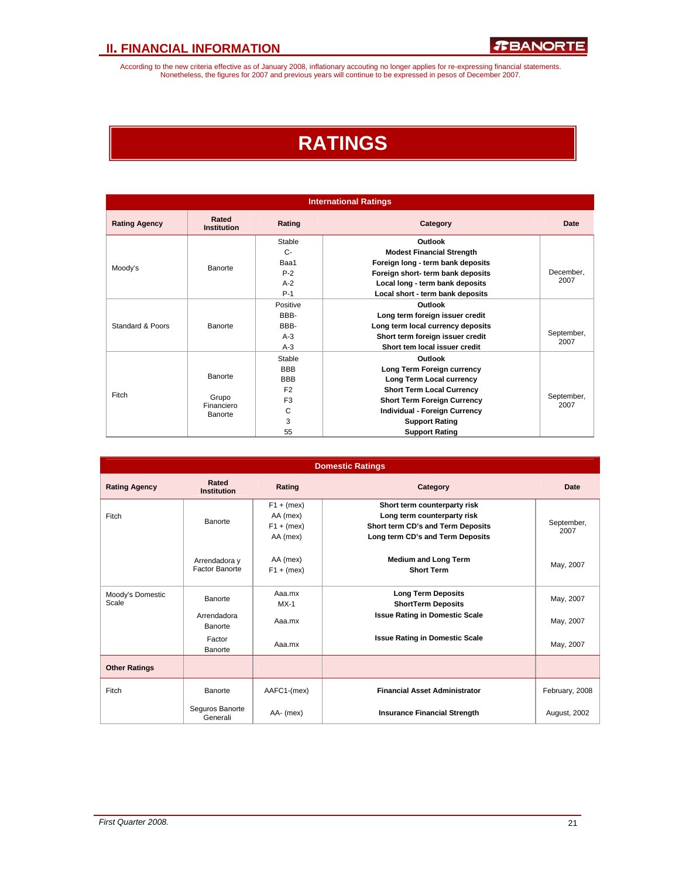According to the new criteria effective as of January 2008, inflationary accouting no longer applies for re-expressing financial statements.<br>Nonetheless, the figures for 2007 and previous years will continue to be expresse

## **RATINGS**

| <b>International Ratings</b> |                             |                |                                    |                                 |  |  |  |  |
|------------------------------|-----------------------------|----------------|------------------------------------|---------------------------------|--|--|--|--|
| <b>Rating Agency</b>         | Rated<br><b>Institution</b> | Rating         | Category                           | Date                            |  |  |  |  |
|                              |                             | Stable         | Outlook                            |                                 |  |  |  |  |
|                              |                             | $C -$          | <b>Modest Financial Strength</b>   |                                 |  |  |  |  |
| Moody's                      | Banorte                     | Baa1           | Foreign long - term bank deposits  |                                 |  |  |  |  |
|                              |                             | $P-2$          | Foreign short- term bank deposits  | December.                       |  |  |  |  |
|                              |                             | $A-2$          | Local long - term bank deposits    | 2007                            |  |  |  |  |
|                              |                             | $P-1$          | Local short - term bank deposits   |                                 |  |  |  |  |
|                              |                             | Positive       | Outlook                            |                                 |  |  |  |  |
|                              |                             | BBB-           |                                    | Long term foreign issuer credit |  |  |  |  |
| Standard & Poors             | Banorte                     | BBB-           | Long term local currency deposits  |                                 |  |  |  |  |
|                              |                             | $A-3$          | Short term foreign issuer credit   | September,<br>2007              |  |  |  |  |
|                              |                             | $A-3$          | Short tem local issuer credit      |                                 |  |  |  |  |
|                              |                             | Stable         | Outlook                            |                                 |  |  |  |  |
|                              |                             | <b>BBB</b>     | Long Term Foreign currency         |                                 |  |  |  |  |
|                              | Banorte                     | <b>BBB</b>     | Long Term Local currency           |                                 |  |  |  |  |
|                              |                             | F <sub>2</sub> | <b>Short Term Local Currency</b>   |                                 |  |  |  |  |
| Fitch                        | Grupo                       | F <sub>3</sub> | <b>Short Term Foreign Currency</b> | September,<br>2007              |  |  |  |  |
|                              | Financiero<br>Banorte       | C              | Individual - Foreign Currency      |                                 |  |  |  |  |
|                              |                             | 3              | <b>Support Rating</b>              |                                 |  |  |  |  |
|                              |                             | 55             | <b>Support Rating</b>              |                                 |  |  |  |  |

| <b>Domestic Ratings</b>   |                                        |                                                      |                                                                                                                                      |                    |  |  |  |  |
|---------------------------|----------------------------------------|------------------------------------------------------|--------------------------------------------------------------------------------------------------------------------------------------|--------------------|--|--|--|--|
| <b>Rating Agency</b>      | Rated<br><b>Institution</b>            | Rating                                               | Category                                                                                                                             | Date               |  |  |  |  |
| Fitch                     | Banorte                                | $F1 + (mex)$<br>AA (mex)<br>$F1 + (mex)$<br>AA (mex) | Short term counterparty risk<br>Long term counterparty risk<br>Short term CD's and Term Deposits<br>Long term CD's and Term Deposits | September,<br>2007 |  |  |  |  |
|                           | Arrendadora y<br><b>Factor Banorte</b> | AA (mex)<br>$F1 + (mex)$                             | <b>Medium and Long Term</b><br><b>Short Term</b>                                                                                     | May, 2007          |  |  |  |  |
| Moody's Domestic<br>Scale | Banorte                                | Aaa.mx<br>$MX-1$                                     | <b>Long Term Deposits</b><br><b>ShortTerm Deposits</b>                                                                               | May, 2007          |  |  |  |  |
|                           | Arrendadora<br>Banorte                 | Aaa.mx                                               | <b>Issue Rating in Domestic Scale</b>                                                                                                | May, 2007          |  |  |  |  |
|                           | Factor<br>Banorte                      | Aaa.mx                                               | <b>Issue Rating in Domestic Scale</b>                                                                                                | May, 2007          |  |  |  |  |
| <b>Other Ratings</b>      |                                        |                                                      |                                                                                                                                      |                    |  |  |  |  |
| Fitch                     | Banorte                                | AAFC1-(mex)                                          | <b>Financial Asset Administrator</b>                                                                                                 | February, 2008     |  |  |  |  |
|                           | Seguros Banorte<br>Generali            | AA- (mex)                                            | <b>Insurance Financial Strength</b>                                                                                                  | August, 2002       |  |  |  |  |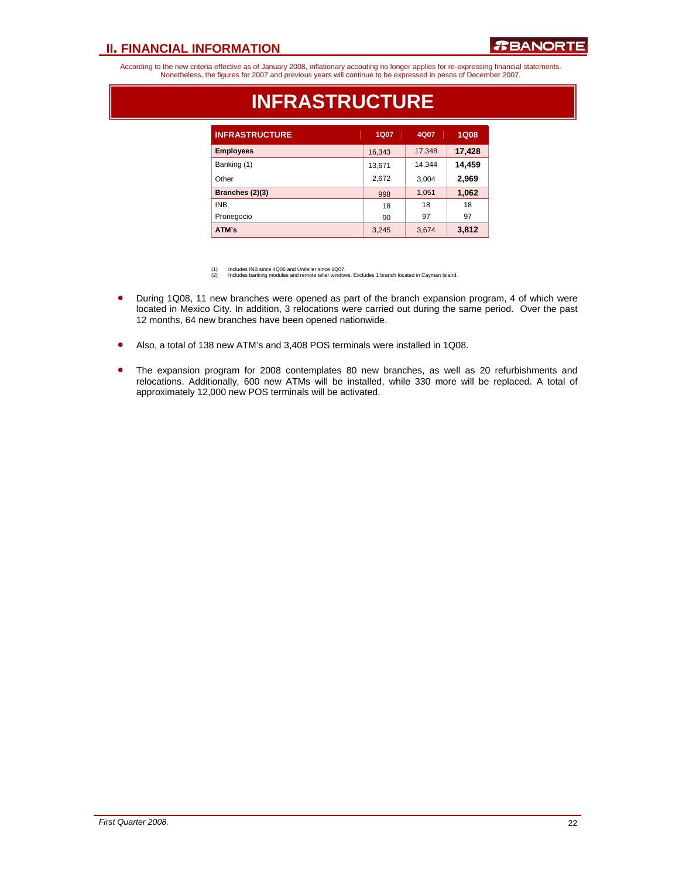

According to the new criteria effective as of January 2008, inflationary accouting no longer applies for re-expressing financial statements. Nonetheless, the figures for 2007 and previous years will continue to be expressed in pesos of December 2007.

| <b>INFRASTRUCTURE</b> | <b>1Q07</b> | 4Q07   | <b>1Q08</b> |
|-----------------------|-------------|--------|-------------|
| <b>Employees</b>      | 16,343      | 17,348 | 17,428      |
| Banking (1)           | 13,671      | 14,344 | 14,459      |
| Other                 | 2,672       | 3,004  | 2,969       |
| Branches (2)(3)       | 998         | 1,051  | 1,062       |
| <b>INB</b>            | 18          | 18     | 18          |
| Pronegocio            | 90          | 97     | 97          |
| ATM's                 | 3,245       | 3,674  | 3,812       |

## **INFRASTRUCTURE**

(1) Includes INB since 4Q06 and Uniteller since 1Q07. (2) Includes banking modules and remote teller windows. Excludes 1 branch located in Cayman Island.

- During 1Q08, 11 new branches were opened as part of the branch expansion program, 4 of which were located in Mexico City. In addition, 3 relocations were carried out during the same period. Over the past 12 months, 64 new branches have been opened nationwide.
- Also, a total of 138 new ATM's and 3,408 POS terminals were installed in 1Q08.
- The expansion program for 2008 contemplates 80 new branches, as well as 20 refurbishments and relocations. Additionally, 600 new ATMs will be installed, while 330 more will be replaced. A total of approximately 12,000 new POS terminals will be activated.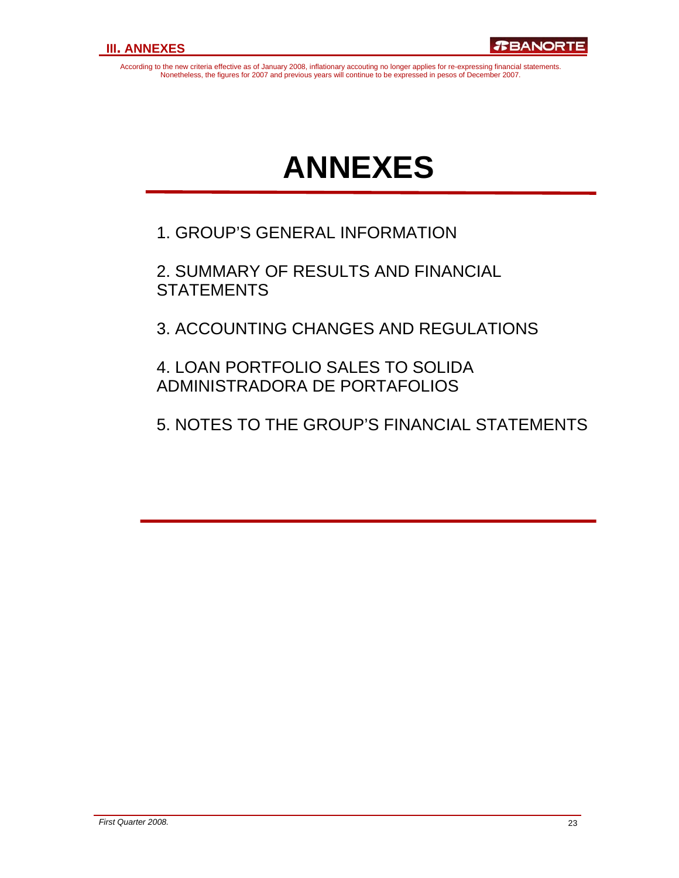According to the new criteria effective as of January 2008, inflationary accouting no longer applies for re-expressing financial statements. Nonetheless, the figures for 2007 and previous years will continue to be expressed in pesos of December 2007.

# **ANNEXES**

1. GROUP'S GENERAL INFORMATION

2. SUMMARY OF RESULTS AND FINANCIAL **STATEMENTS** 

3. ACCOUNTING CHANGES AND REGULATIONS

4. LOAN PORTFOLIO SALES TO SOLIDA ADMINISTRADORA DE PORTAFOLIOS

5. NOTES TO THE GROUP'S FINANCIAL STATEMENTS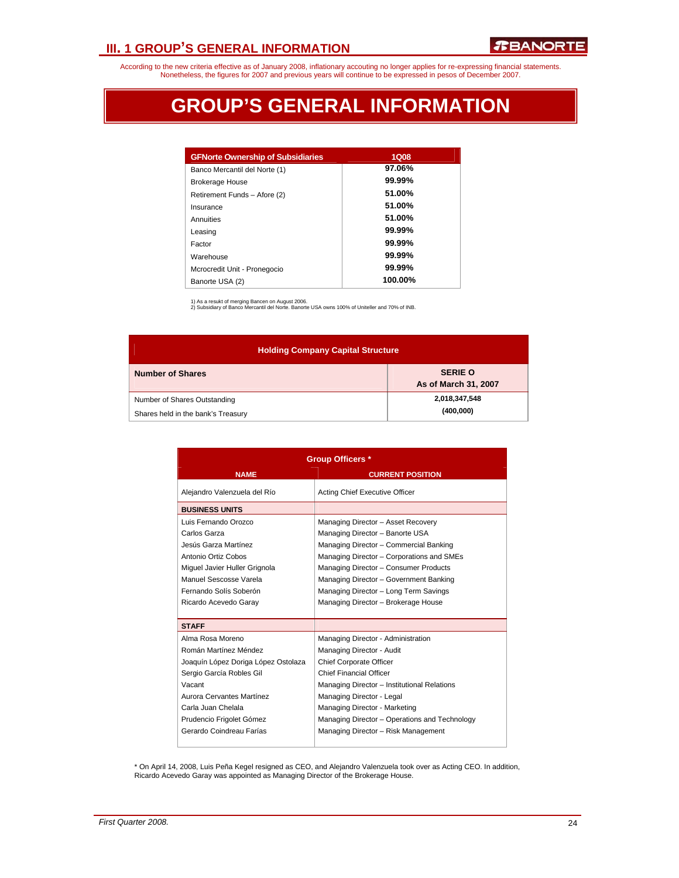## **III. 1 GROUP'S GENERAL INFORMATION**

According to the new criteria effective as of January 2008, inflationary accouting no longer applies for re-expressing financial statements. Nonetheless, the figures for 2007 and previous years will continue to be expressed in pesos of December 2007.

## **GROUP'S GENERAL INFORMATION**

| <b>GFNorte Ownership of Subsidiaries</b> | <b>1Q08</b> |
|------------------------------------------|-------------|
| Banco Mercantil del Norte (1)            | 97.06%      |
| <b>Brokerage House</b>                   | $99.99\%$   |
| Retirement Funds - Afore (2)             | 51.00%      |
| Insurance                                | 51.00%      |
| Annuities                                | 51.00%      |
| Leasing                                  | $99.99\%$   |
| Factor                                   | $99.99\%$   |
| Warehouse                                | $99.99\%$   |
| Mcrocredit Unit - Pronegocio             | $99.99\%$   |
| Banorte USA (2)                          | 100.00%     |

1) As a resukt of merging Bancen on August 2006. 2) Subsidiary of Banco Mercantil del Norte. Banorte USA owns 100% of Uniteller and 70% of INB.

| <b>Holding Company Capital Structure</b>                           |                                        |  |  |  |  |  |  |  |
|--------------------------------------------------------------------|----------------------------------------|--|--|--|--|--|--|--|
| <b>Number of Shares</b>                                            | <b>SERIE O</b><br>As of March 31, 2007 |  |  |  |  |  |  |  |
| Number of Shares Outstanding<br>Shares held in the bank's Treasury | 2,018,347,548<br>(400,000)             |  |  |  |  |  |  |  |

| <b>Group Officers *</b>             |                                               |  |  |  |
|-------------------------------------|-----------------------------------------------|--|--|--|
| <b>NAME</b>                         | <b>CURRENT POSITION</b>                       |  |  |  |
| Alejandro Valenzuela del Río        | Acting Chief Executive Officer                |  |  |  |
| <b>BUSINESS UNITS</b>               |                                               |  |  |  |
| Luis Fernando Orozco                | Managing Director - Asset Recovery            |  |  |  |
| Carlos Garza                        | Managing Director - Banorte USA               |  |  |  |
| Jesús Garza Martínez                | Managing Director - Commercial Banking        |  |  |  |
| Antonio Ortiz Cobos                 | Managing Director - Corporations and SMEs     |  |  |  |
| Miquel Javier Huller Grignola       | Managing Director - Consumer Products         |  |  |  |
| Manuel Sescosse Varela              | Managing Director - Government Banking        |  |  |  |
| Fernando Solís Soberón              | Managing Director - Long Term Savings         |  |  |  |
| Ricardo Acevedo Garay               | Managing Director - Brokerage House           |  |  |  |
|                                     |                                               |  |  |  |
| <b>STAFF</b>                        |                                               |  |  |  |
| Alma Rosa Moreno                    | Managing Director - Administration            |  |  |  |
| Román Martínez Méndez               | Managing Director - Audit                     |  |  |  |
| Joaquín López Doriga López Ostolaza | Chief Corporate Officer                       |  |  |  |
| Sergio García Robles Gil            | <b>Chief Financial Officer</b>                |  |  |  |
| Vacant                              | Managing Director - Institutional Relations   |  |  |  |
| Aurora Cervantes Martínez           | Managing Director - Legal                     |  |  |  |
| Carla Juan Chelala                  | Managing Director - Marketing                 |  |  |  |
| Prudencio Frigolet Gómez            | Managing Director – Operations and Technology |  |  |  |
| Gerardo Coindreau Farías            | Managing Director - Risk Management           |  |  |  |
|                                     |                                               |  |  |  |

\* On April 14, 2008, Luis Peña Kegel resigned as CEO, and Alejandro Valenzuela took over as Acting CEO. In addition, Ricardo Acevedo Garay was appointed as Managing Director of the Brokerage House.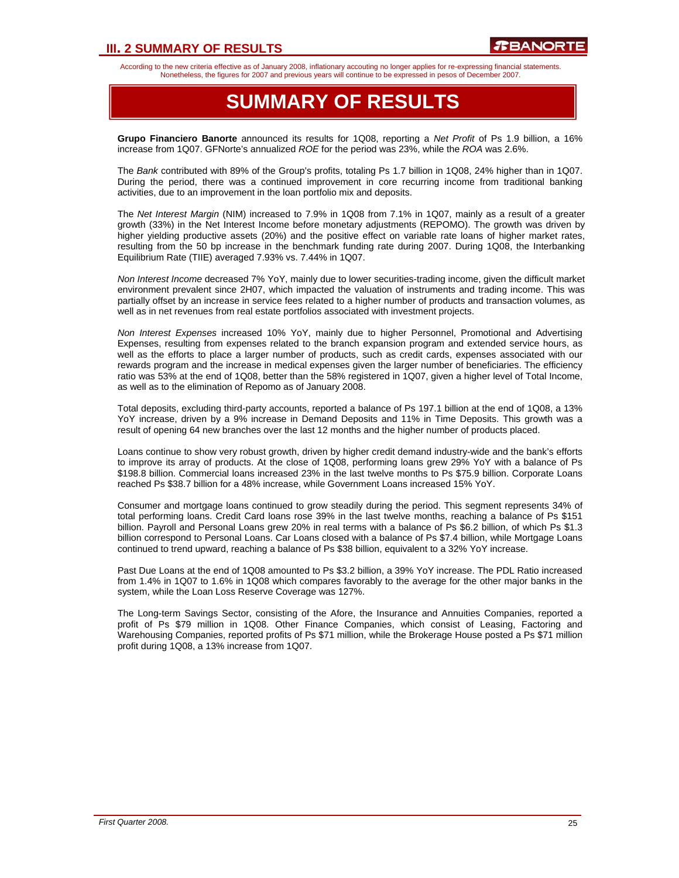## **III. 2 SUMMARY OF RESULTS**

According to the new criteria effective as of January 2008, inflationary accouting no longer applies for re-expressing financial statements. Nonetheless, the figures for 2007 and previous years will continue to be expressed in pesos of December 2007.

## **SUMMARY OF RESULTS**

**Grupo Financiero Banorte** announced its results for 1Q08, reporting a *Net Profit* of Ps 1.9 billion, a 16% increase from 1Q07. GFNorte's annualized *ROE* for the period was 23%, while the *ROA* was 2.6%.

The *Bank* contributed with 89% of the Group's profits, totaling Ps 1.7 billion in 1Q08, 24% higher than in 1Q07. During the period, there was a continued improvement in core recurring income from traditional banking activities, due to an improvement in the loan portfolio mix and deposits.

The *Net Interest Margin* (NIM) increased to 7.9% in 1Q08 from 7.1% in 1Q07, mainly as a result of a greater growth (33%) in the Net Interest Income before monetary adjustments (REPOMO). The growth was driven by higher yielding productive assets (20%) and the positive effect on variable rate loans of higher market rates, resulting from the 50 bp increase in the benchmark funding rate during 2007. During 1Q08, the Interbanking Equilibrium Rate (TIIE) averaged 7.93% vs. 7.44% in 1Q07.

*Non Interest Income* decreased 7% YoY, mainly due to lower securities-trading income, given the difficult market environment prevalent since 2H07, which impacted the valuation of instruments and trading income. This was partially offset by an increase in service fees related to a higher number of products and transaction volumes, as well as in net revenues from real estate portfolios associated with investment projects.

*Non Interest Expenses* increased 10% YoY, mainly due to higher Personnel, Promotional and Advertising Expenses, resulting from expenses related to the branch expansion program and extended service hours, as well as the efforts to place a larger number of products, such as credit cards, expenses associated with our rewards program and the increase in medical expenses given the larger number of beneficiaries. The efficiency ratio was 53% at the end of 1Q08, better than the 58% registered in 1Q07, given a higher level of Total Income, as well as to the elimination of Repomo as of January 2008.

Total deposits, excluding third-party accounts, reported a balance of Ps 197.1 billion at the end of 1Q08, a 13% YoY increase, driven by a 9% increase in Demand Deposits and 11% in Time Deposits. This growth was a result of opening 64 new branches over the last 12 months and the higher number of products placed.

Loans continue to show very robust growth, driven by higher credit demand industry-wide and the bank's efforts to improve its array of products. At the close of 1Q08, performing loans grew 29% YoY with a balance of Ps \$198.8 billion. Commercial loans increased 23% in the last twelve months to Ps \$75.9 billion. Corporate Loans reached Ps \$38.7 billion for a 48% increase, while Government Loans increased 15% YoY.

Consumer and mortgage loans continued to grow steadily during the period. This segment represents 34% of total performing loans. Credit Card loans rose 39% in the last twelve months, reaching a balance of Ps \$151 billion. Payroll and Personal Loans grew 20% in real terms with a balance of Ps \$6.2 billion, of which Ps \$1.3 billion correspond to Personal Loans. Car Loans closed with a balance of Ps \$7.4 billion, while Mortgage Loans continued to trend upward, reaching a balance of Ps \$38 billion, equivalent to a 32% YoY increase.

Past Due Loans at the end of 1Q08 amounted to Ps \$3.2 billion, a 39% YoY increase. The PDL Ratio increased from 1.4% in 1Q07 to 1.6% in 1Q08 which compares favorably to the average for the other major banks in the system, while the Loan Loss Reserve Coverage was 127%.

The Long-term Savings Sector, consisting of the Afore, the Insurance and Annuities Companies, reported a profit of Ps \$79 million in 1Q08. Other Finance Companies, which consist of Leasing, Factoring and Warehousing Companies, reported profits of Ps \$71 million, while the Brokerage House posted a Ps \$71 million profit during 1Q08, a 13% increase from 1Q07.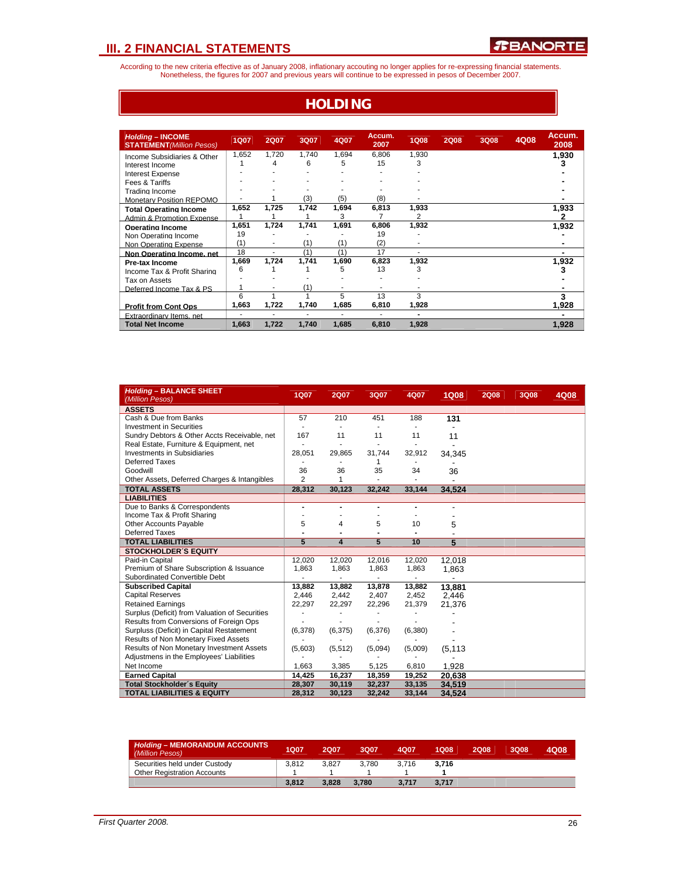According to the new criteria effective as of January 2008, inflationary accouting no longer applies for re-expressing financial statements. Nonetheless, the figures for 2007 and previous years will continue to be expressed in pesos of December 2007.

#### **HOLDING** *Holding* **– INCOME STATEMENT***(Million Pesos)* **1Q07 2Q07 3Q07 4Q07 Accum. 2007 1Q08 2Q08 3Q08 4Q08 Accum. 2008**  Income Subsidiaries & Other 1,652 1,720 1,740 1,694 6,806 1,930 **1,930** Interest Income 1 4 6 5 15 3 **3** Interest Expense and the set of the set of the set of the set of the set of the set of the set of the set of the set of the set of the set of the set of the set of the set of the set of the set of the set of the set of the Fees & Tariffs - - - - - - **-** Trading Income - - - - - - **-** Monetary Position REPOMO **1** 1 (3) (5) (8) **- 1** 1,933 **1,933** 1,933 1,933 1,933 1,933 1,933 1,933 1,933 1,933 1,933 1,933 1,933 1,933 1,933 1,933 1,933 1,933 1,933 1,933 1,933 1,933 1,933 1,933 1,933 1,933 1,933 1,933 1 **Total Operating Income**  $\begin{array}{cccccc} 1,652 & 1,725 & 1,742 & 1,694 & 6,813 & 1,933 \\ \text{Admin } & \text{Promotion} & \text{Fynansion} & 1 & 1 & 1 & 3 & 7 & 2 \\ 2 & 2 & 2 & 2 & 2 & 2 \\ \end{array}$ Admin & Promotion Expense  $\begin{array}{|c|c|c|c|c|c|}\n\hline\n1 & 1 & 1 & 3 & 7 & 2 & 2 \\
\hline\n\end{array}$ <br> **Operating Income 1998 11,651 1,724 1,741 1,691 6,806 1,932** 1,932 1,932 **Operating Income 1,651 1,724 1,741 1,691 6,806 1,932 1,931 1,93**<br>Non Operating Income 19 19 19 Non Operating Income  $\begin{pmatrix} 19 & - & - & - & - & 19 \\ 10 & - & - & - & - \end{pmatrix}$  (1) (2) Non Operating Expense  $\frac{(1)}{18}$  -  $\frac{(1)}{11}$   $\frac{(1)}{17}$   $\frac{(2)}{17}$  - **Non Operating Income, net**  $\frac{18}{18}$  -  $\frac{(1)}{11}$   $\frac{(1)}{17}$  - **-Non Operating Income, net**  $\begin{array}{cccc} 18 & - & (1) & (1) & 17 & - & - \ \hline 1 \text{Pre-tax Income} & 1,669 & 1,724 & 1,741 & 1,690 & 6,823 & 1,932 & \end{array}$  1,932 **Pre-tax Income 1,669 1,724 1,741 1,690 6,823 1,932 1,93** 1,93<br>Income Tax & Profit Sharing 6 1 1 5 13 3 Income Tax & Profit Sharing  $\begin{array}{|c|c|c|c|c|c|c|c|c|} \hline 6 & 1 & 1 & 5 & 13 & 3 & & & & \ \hline \end{array}$ Tax on Assets<br>Deferred Income Tax & PS  $\begin{array}{|c|c|c|c|c|c|c|c|} \hline \text{I} & \text{-} & \text{-} & \text{(-1)} \end{array}$ Deferred Income Tax & PS  $\begin{array}{cccccccc} 1 & - & (1) & - & - & - & - \ \hline 6 & 1 & 1 & 5 & 13 & 3 & \end{array}$ 6 1 1 5 13 3 **3 Profit from Cont Ops 1,663 1,722 1,740 1,685 6,810 1,928 1,928** Extraordinary Items, net 1988 1989 122 1, 2008 1, 2008 1, 2008 1, 2008 1, 2008 1, 2008 1, 2008 1, 2008 1, 2008 1, 200<br>1,928 1,928 1,928 1,722 1,740 1,685 1,928 1,928 1,928 1,928 1,928 1,928 1,928 1,928 1,928 1,928 1,928 1, **Total Net Income**

| <b>Holding - BALANCE SHEET</b><br>(Million Pesos) | <b>1Q07</b>    | <b>2Q07</b>   | 3Q07           | 4Q07           | <b>1Q08</b> | <b>2Q08</b> | 3Q08 | 4Q08 |
|---------------------------------------------------|----------------|---------------|----------------|----------------|-------------|-------------|------|------|
| <b>ASSETS</b>                                     |                |               |                |                |             |             |      |      |
| Cash & Due from Banks                             | 57             | 210           | 451            | 188            | 131         |             |      |      |
| <b>Investment in Securities</b>                   | $\frac{1}{2}$  | $\frac{1}{2}$ | $\blacksquare$ |                |             |             |      |      |
| Sundry Debtors & Other Accts Receivable, net      | 167            | 11            | 11             | 11             | 11          |             |      |      |
| Real Estate, Furniture & Equipment, net           |                | ä,            | $\blacksquare$ | $\overline{a}$ | ٠           |             |      |      |
| <b>Investments in Subsidiaries</b>                | 28,051         | 29,865        | 31,744         | 32,912         | 34,345      |             |      |      |
| Deferred Taxes                                    |                |               | 1              |                |             |             |      |      |
| Goodwill                                          | 36             | 36            | 35             | 34             | 36          |             |      |      |
| Other Assets, Deferred Charges & Intangibles      | $\overline{2}$ | 1             |                |                |             |             |      |      |
| <b>TOTAL ASSETS</b>                               | 28,312         | 30,123        | 32,242         | 33,144         | 34.524      |             |      |      |
| <b>LIABILITIES</b>                                |                |               |                |                |             |             |      |      |
| Due to Banks & Correspondents                     | $\blacksquare$ |               | $\blacksquare$ | $\blacksquare$ |             |             |      |      |
| Income Tax & Profit Sharing                       |                |               |                |                |             |             |      |      |
| <b>Other Accounts Payable</b>                     | 5              | 4             | 5              | 10             | 5           |             |      |      |
| <b>Deferred Taxes</b>                             |                |               |                |                |             |             |      |      |
| <b>TOTAL LIABILITIES</b>                          | 5              | 4             | 5              | 10             | 5           |             |      |      |
| <b>STOCKHOLDER'S EQUITY</b>                       |                |               |                |                |             |             |      |      |
| Paid-in Capital                                   | 12,020         | 12,020        | 12,016         | 12,020         | 12.018      |             |      |      |
| Premium of Share Subscription & Issuance          | 1.863          | 1,863         | 1,863          | 1,863          | 1,863       |             |      |      |
| Subordinated Convertible Debt                     |                |               |                | ٠              |             |             |      |      |
| <b>Subscribed Capital</b>                         | 13.882         | 13.882        | 13,878         | 13,882         | 13.881      |             |      |      |
| <b>Capital Reserves</b>                           | 2.446          | 2,442         | 2,407          | 2,452          | 2.446       |             |      |      |
| <b>Retained Earnings</b>                          | 22,297         | 22,297        | 22,296         | 21,379         | 21.376      |             |      |      |
| Surplus (Deficit) from Valuation of Securities    |                |               |                |                |             |             |      |      |
| Results from Conversions of Foreign Ops           |                |               |                |                |             |             |      |      |
| Surpluss (Deficit) in Capital Restatement         | (6,378)        | (6, 375)      | (6,376)        | (6,380)        |             |             |      |      |
| Results of Non Monetary Fixed Assets              |                |               |                |                |             |             |      |      |
| Results of Non Monetary Investment Assets         | (5,603)        | (5, 512)      | (5,094)        | (5,009)        | (5, 113)    |             |      |      |
| Adjustmens in the Employees' Liabilities          |                |               |                |                |             |             |      |      |
| Net Income                                        | 1,663          | 3,385         | 5,125          | 6,810          | 1,928       |             |      |      |
| <b>Earned Capital</b>                             | 14.425         | 16,237        | 18,359         | 19,252         | 20.638      |             |      |      |
| <b>Total Stockholder's Equity</b>                 | 28,307         | 30,119        | 32,237         | 33,135         | 34,519      |             |      |      |
| <b>TOTAL LIABILITIES &amp; EQUITY</b>             | 28.312         | 30,123        | 32,242         | 33,144         | 34,524      |             |      |      |

| <b>Holding - MEMORANDUM ACCOUNTS</b><br>(Million Pesos) | 1Q07  | 2007  | 3007  | 4007  | 1008  | 2008 | 3008 | 4Q08 |
|---------------------------------------------------------|-------|-------|-------|-------|-------|------|------|------|
| Securities held under Custody                           | 3.812 | 3.827 | 3.780 | 3.716 | 3.716 |      |      |      |
| <b>Other Registration Accounts</b>                      |       |       |       |       |       |      |      |      |
|                                                         | 3.812 | 3.828 | 3.780 | 3.717 | 3.717 |      |      |      |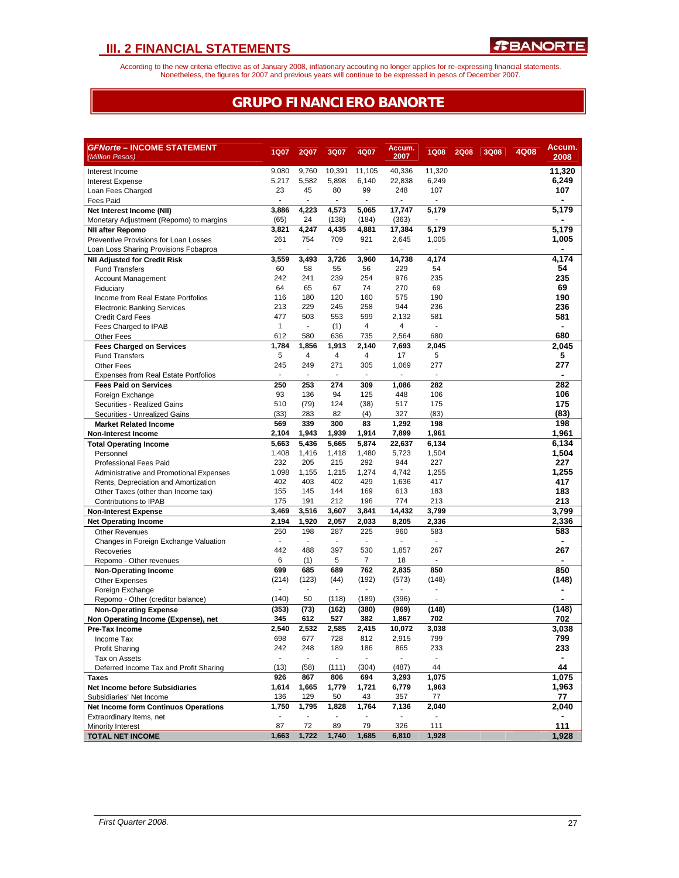According to the new criteria effective as of January 2008, inflationary accouting no longer applies for re-expressing financial statements.<br>Nonetheless, the figures for 2007 and previous years will continue to be expresse

## **GRUPO FINANCIERO BANORTE**

| <b>GFNorte - INCOME STATEMENT</b><br>(Million Pesos)                | <b>1Q07</b>              | 2Q07                     | 3Q07                     | 4Q07                     | Accum.<br>2007 | <b>1Q08</b>              | <b>2Q08</b> | 3Q08 | 4Q08 | Accum.<br>2008 |
|---------------------------------------------------------------------|--------------------------|--------------------------|--------------------------|--------------------------|----------------|--------------------------|-------------|------|------|----------------|
| Interest Income                                                     | 9,080                    | 9.760                    | 10,391                   | 11,105                   | 40.336         | 11.320                   |             |      |      | 11,320         |
| Interest Expense                                                    | 5,217                    | 5,582                    | 5,898                    | 6,140                    | 22,838         | 6,249                    |             |      |      | 6,249          |
| Loan Fees Charged                                                   | 23                       | 45                       | 80                       | 99                       | 248            | 107                      |             |      |      | 107            |
| Fees Paid                                                           | $\blacksquare$           | $\overline{\phantom{a}}$ |                          | $\overline{a}$           |                |                          |             |      |      |                |
| Net Interest Income (NII)                                           | 3,886                    | 4,223                    | 4,573                    | 5,065                    | 17,747         | 5,179                    |             |      |      | 5,179          |
| Monetary Adjustment (Repomo) to margins                             | (65)                     | 24                       | (138)                    | (184)                    | (363)          | $\overline{\phantom{a}}$ |             |      |      |                |
| <b>NII after Repomo</b>                                             | 3,821                    | 4,247                    | 4,435                    | 4,881                    | 17,384         | 5,179                    |             |      |      | 5,179          |
| Preventive Provisions for Loan Losses                               | 261                      | 754                      | 709                      | 921                      | 2,645          | 1,005                    |             |      |      | 1,005          |
| Loan Loss Sharing Provisions Fobaproa                               | $\overline{\phantom{a}}$ | $\sim$                   | ÷,                       | ä,                       |                | $\mathbf{r}$             |             |      |      |                |
| <b>NII Adjusted for Credit Risk</b>                                 | 3,559                    | 3,493                    | 3,726                    | 3,960                    | 14,738         | 4,174                    |             |      |      | 4,174          |
| <b>Fund Transfers</b>                                               | 60                       | 58                       | 55                       | 56                       | 229            | 54                       |             |      |      | 54             |
| <b>Account Management</b>                                           | 242                      | 241                      | 239                      | 254                      | 976            | 235                      |             |      |      | 235            |
| Fiduciary                                                           | 64                       | 65                       | 67                       | 74                       | 270            | 69                       |             |      |      | 69             |
| Income from Real Estate Portfolios                                  | 116                      | 180                      | 120                      | 160                      | 575            | 190                      |             |      |      | 190            |
| <b>Electronic Banking Services</b>                                  | 213                      | 229                      | 245                      | 258                      | 944            | 236                      |             |      |      | 236            |
| <b>Credit Card Fees</b>                                             | 477                      | 503                      | 553                      | 599                      | 2,132          | 581                      |             |      |      | 581            |
| Fees Charged to IPAB                                                | $\mathbf{1}$             | $\blacksquare$           | (1)                      | $\overline{4}$           | 4              | $\overline{\phantom{a}}$ |             |      |      | $\blacksquare$ |
| Other Fees                                                          | 612                      | 580                      | 636                      | 735                      | 2,564          | 680                      |             |      |      | 680            |
| <b>Fees Charged on Services</b>                                     | 1,784<br>5               | 1,856<br>4               | 1,913<br>4               | 2,140<br>4               | 7,693          | 2,045                    |             |      |      | 2,045          |
| <b>Fund Transfers</b>                                               | 245                      | 249                      | 271                      | 305                      | 17<br>1,069    | 5<br>277                 |             |      |      | 5<br>277       |
| <b>Other Fees</b><br><b>Expenses from Real Estate Portfolios</b>    | ÷,                       | ÷.                       | ÷,                       | ÷,                       | L,             | ÷.                       |             |      |      |                |
| <b>Fees Paid on Services</b>                                        | 250                      | 253                      | 274                      | 309                      | 1,086          | 282                      |             |      |      | 282            |
| Foreign Exchange                                                    | 93                       | 136                      | 94                       | 125                      | 448            | 106                      |             |      |      | 106            |
| Securities - Realized Gains                                         | 510                      | (79)                     | 124                      | (38)                     | 517            | 175                      |             |      |      | 175            |
| Securities - Unrealized Gains                                       | (33)                     | 283                      | 82                       | (4)                      | 327            | (83)                     |             |      |      | (83)           |
| <b>Market Related Income</b>                                        | 569                      | 339                      | 300                      | 83                       | 1,292          | 198                      |             |      |      | 198            |
| <b>Non-Interest Income</b>                                          | 2,104                    | 1,943                    | 1,939                    | 1,914                    | 7,899          | 1,961                    |             |      |      | 1,961          |
| <b>Total Operating Income</b>                                       | 5,663                    | 5,436                    | 5,665                    | 5,874                    | 22,637         | 6,134                    |             |      |      | 6,134          |
| Personnel                                                           | 1,408                    | 1,416                    | 1,418                    | 1,480                    | 5,723          | 1,504                    |             |      |      | 1,504          |
| <b>Professional Fees Paid</b>                                       | 232                      | 205                      | 215                      | 292                      | 944            | 227                      |             |      |      | 227            |
| Administrative and Promotional Expenses                             | 1,098                    | 1,155                    | 1,215                    | 1,274                    | 4,742          | 1,255                    |             |      |      | 1,255          |
| Rents, Depreciation and Amortization                                | 402                      | 403                      | 402                      | 429                      | 1,636          | 417                      |             |      |      | 417            |
| Other Taxes (other than Income tax)                                 | 155                      | 145                      | 144                      | 169                      | 613            | 183                      |             |      |      | 183            |
| Contributions to IPAB                                               | 175                      | 191                      | 212                      | 196                      | 774            | 213                      |             |      |      | 213            |
| <b>Non-Interest Expense</b>                                         | 3,469                    | 3,516                    | 3,607                    | 3,841                    | 14,432         | 3,799                    |             |      |      | 3,799          |
| <b>Net Operating Income</b>                                         | 2,194                    | 1,920                    | 2,057                    | 2,033                    | 8,205          | 2,336                    |             |      |      | 2,336          |
| <b>Other Revenues</b>                                               | 250                      | 198                      | 287                      | 225                      | 960            | 583                      |             |      |      | 583            |
| Changes in Foreign Exchange Valuation                               | $\sim$                   | $\mathcal{L}$            | ÷.                       | $\overline{\phantom{a}}$ | ÷,             | ÷.                       |             |      |      |                |
| Recoveries                                                          | 442                      | 488                      | 397                      | 530                      | 1,857          | 267                      |             |      |      | 267            |
| Repomo - Other revenues                                             | 6                        | (1)                      | 5                        | 7                        | 18             | $\blacksquare$           |             |      |      |                |
| <b>Non-Operating Income</b>                                         | 699                      | 685                      | 689                      | 762                      | 2,835          | 850                      |             |      |      | 850            |
| <b>Other Expenses</b>                                               | (214)                    | (123)<br>$\blacksquare$  | (44)                     | (192)                    | (573)          | (148)<br>ä,              |             |      |      | (148)          |
| Foreign Exchange                                                    | (140)                    | 50                       | (118)                    | (189)                    | (396)          |                          |             |      |      |                |
| Repomo - Other (creditor balance)                                   | (353)                    | (73)                     | (162)                    | (380)                    | (969)          | (148)                    |             |      |      | (148)          |
| <b>Non-Operating Expense</b><br>Non Operating Income (Expense), net | 345                      | 612                      | 527                      | 382                      | 1,867          | 702                      |             |      |      | 702            |
| Pre-Tax Income                                                      | 2,540                    | 2,532                    | 2,585                    | 2,415                    | 10,072         | 3,038                    |             |      |      | 3,038          |
| Income Tax                                                          | 698                      | 677                      | 728                      | 812                      | 2,915          | 799                      |             |      |      | 799            |
| <b>Profit Sharing</b>                                               | 242                      | 248                      | 189                      | 186                      | 865            | 233                      |             |      |      | 233            |
| Tax on Assets                                                       | $\sim$                   | $\sim$                   | $\overline{\phantom{a}}$ | $\overline{\phantom{a}}$ |                | $\overline{\phantom{a}}$ |             |      |      |                |
| Deferred Income Tax and Profit Sharing                              | (13)                     | (58)                     | (111)                    | (304)                    | (487)          | 44                       |             |      |      | 44             |
| Taxes                                                               | 926                      | 867                      | 806                      | 694                      | 3,293          | 1,075                    |             |      |      | 1,075          |
| <b>Net Income before Subsidiaries</b>                               | 1,614                    | 1,665                    | 1,779                    | 1,721                    | 6,779          | 1,963                    |             |      |      | 1,963          |
| Subsidiaries' Net Income                                            | 136                      | 129                      | 50                       | 43                       | 357            | 77                       |             |      |      | 77             |
| <b>Net Income form Continuos Operations</b>                         | 1,750                    | 1.795                    | 1,828                    | 1,764                    | 7,136          | 2,040                    |             |      |      | 2,040          |
| Extraordinary Items, net                                            |                          |                          |                          |                          |                |                          |             |      |      |                |
| Minority Interest                                                   | 87                       | 72                       | 89                       | 79                       | 326            | 111                      |             |      |      | 111            |
| <b>TOTAL NET INCOME</b>                                             | 1,663                    | 1,722                    | 1,740                    | 1,685                    | 6,810          | 1,928                    |             |      |      | 1,928          |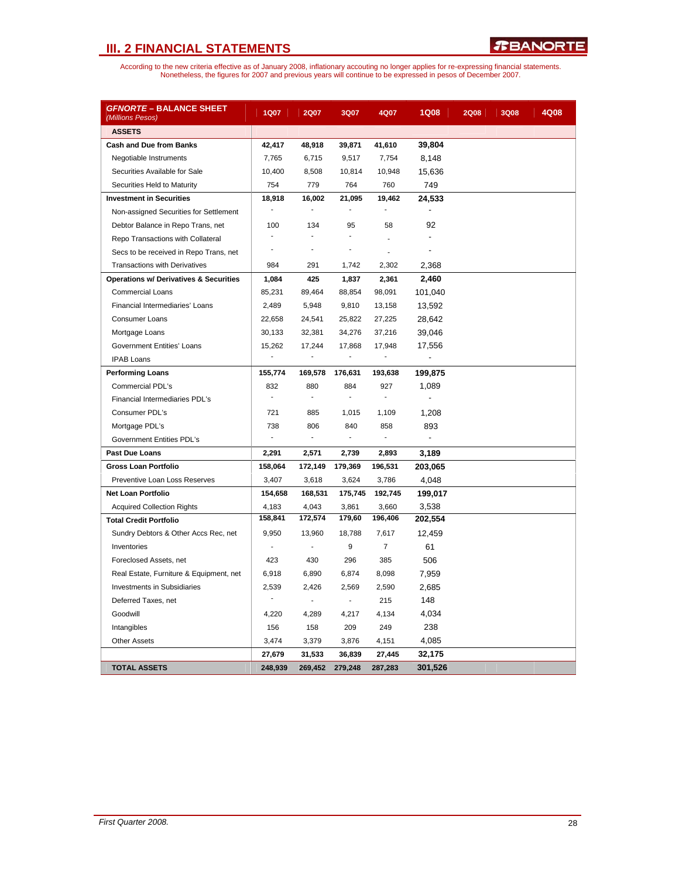| <i><b>GFNORTE – BALANCE SHEET</b></i><br>(Millions Pesos) | <b>1Q07</b>                  | 2Q07                     | 3Q07                     | 4Q07                         | <b>1Q08</b>    | <b>2Q08</b> | <b>3Q08</b> | 4Q08 |
|-----------------------------------------------------------|------------------------------|--------------------------|--------------------------|------------------------------|----------------|-------------|-------------|------|
| <b>ASSETS</b>                                             |                              |                          |                          |                              |                |             |             |      |
| <b>Cash and Due from Banks</b>                            | 42,417                       | 48,918                   | 39,871                   | 41,610                       | 39,804         |             |             |      |
| Negotiable Instruments                                    | 7,765                        | 6,715                    | 9,517                    | 7,754                        | 8,148          |             |             |      |
| Securities Available for Sale                             | 10,400                       | 8,508                    | 10,814                   | 10,948                       | 15,636         |             |             |      |
| Securities Held to Maturity                               | 754                          | 779                      | 764                      | 760                          | 749            |             |             |      |
| <b>Investment in Securities</b>                           | 18,918                       | 16,002                   | 21,095                   | 19,462                       | 24,533         |             |             |      |
| Non-assigned Securities for Settlement                    | $\qquad \qquad \blacksquare$ | $\overline{a}$           | $\blacksquare$           | ÷,                           | $\blacksquare$ |             |             |      |
| Debtor Balance in Repo Trans, net                         | 100                          | 134                      | 95                       | 58                           | 92             |             |             |      |
| Repo Transactions with Collateral                         | ÷                            | ٠                        | ÷.                       | ä,                           |                |             |             |      |
| Secs to be received in Repo Trans, net                    | ä,                           | ä,                       | ä,                       | L.                           |                |             |             |      |
| <b>Transactions with Derivatives</b>                      | 984                          | 291                      | 1,742                    | 2,302                        | 2,368          |             |             |      |
| <b>Operations w/ Derivatives &amp; Securities</b>         | 1,084                        | 425                      | 1,837                    | 2,361                        | 2,460          |             |             |      |
| <b>Commercial Loans</b>                                   | 85,231                       | 89,464                   | 88,854                   | 98,091                       | 101,040        |             |             |      |
| Financial Intermediaries' Loans                           | 2,489                        | 5,948                    | 9,810                    | 13,158                       | 13,592         |             |             |      |
| <b>Consumer Loans</b>                                     | 22,658                       | 24,541                   | 25,822                   | 27,225                       | 28,642         |             |             |      |
| Mortgage Loans                                            | 30,133                       | 32,381                   | 34,276                   | 37,216                       | 39,046         |             |             |      |
| <b>Government Entities' Loans</b>                         | 15,262                       | 17,244                   | 17,868                   | 17,948                       | 17,556         |             |             |      |
| <b>IPAB Loans</b>                                         | ä,                           | $\frac{1}{2}$            | ÷                        | $\qquad \qquad \blacksquare$ |                |             |             |      |
| <b>Performing Loans</b>                                   | 155,774                      | 169,578                  | 176,631                  | 193,638                      | 199,875        |             |             |      |
| Commercial PDL's                                          | 832                          | 880                      | 884                      | 927                          | 1,089          |             |             |      |
| Financial Intermediaries PDL's                            | $\blacksquare$               | $\blacksquare$           | $\blacksquare$           | $\blacksquare$               |                |             |             |      |
| Consumer PDL's                                            | 721                          | 885                      | 1,015                    | 1,109                        | 1,208          |             |             |      |
| Mortgage PDL's                                            | 738                          | 806                      | 840                      | 858                          | 893            |             |             |      |
| <b>Government Entities PDL's</b>                          | L.                           | $\overline{\phantom{a}}$ | $\overline{\phantom{a}}$ | $\overline{\phantom{a}}$     |                |             |             |      |
| <b>Past Due Loans</b>                                     | 2,291                        | 2,571                    | 2,739                    | 2,893                        | 3,189          |             |             |      |
| <b>Gross Loan Portfolio</b>                               | 158,064                      | 172,149                  | 179,369                  | 196,531                      | 203,065        |             |             |      |
| Preventive Loan Loss Reserves                             | 3,407                        | 3,618                    | 3,624                    | 3,786                        | 4,048          |             |             |      |
| <b>Net Loan Portfolio</b>                                 | 154,658                      | 168,531                  | 175,745                  | 192,745                      | 199,017        |             |             |      |
| <b>Acquired Collection Rights</b>                         | 4,183                        | 4,043                    | 3,861                    | 3,660                        | 3,538          |             |             |      |
| <b>Total Credit Portfolio</b>                             | 158,841                      | 172,574                  | 179,60                   | 196,406                      | 202,554        |             |             |      |
| Sundry Debtors & Other Accs Rec, net                      | 9,950                        | 13,960                   | 18,788                   | 7,617                        | 12,459         |             |             |      |
| Inventories                                               | ÷,                           | ÷,                       | 9                        | $\overline{7}$               | 61             |             |             |      |
| Foreclosed Assets, net                                    | 423                          | 430                      | 296                      | 385                          | 506            |             |             |      |
| Real Estate, Furniture & Equipment, net                   | 6,918                        | 6,890                    | 6,874                    | 8,098                        | 7,959          |             |             |      |
| <b>Investments in Subsidiaries</b>                        | 2,539                        | 2,426                    | 2,569                    | 2,590                        | 2,685          |             |             |      |
| Deferred Taxes, net                                       |                              | ÷,                       | ÷,                       | 215                          | 148            |             |             |      |
| Goodwill                                                  | 4,220                        | 4,289                    | 4,217                    | 4,134                        | 4,034          |             |             |      |
| Intangibles                                               | 156                          | 158                      | 209                      | 249                          | 238            |             |             |      |
| <b>Other Assets</b>                                       | 3,474                        | 3,379                    | 3,876                    | 4,151                        | 4,085          |             |             |      |
|                                                           | 27,679                       | 31,533                   | 36,839                   | 27,445                       | 32,175         |             |             |      |
| <b>TOTAL ASSETS</b>                                       | 248,939                      | 269,452                  | 279,248                  | 287,283                      | 301,526        |             |             |      |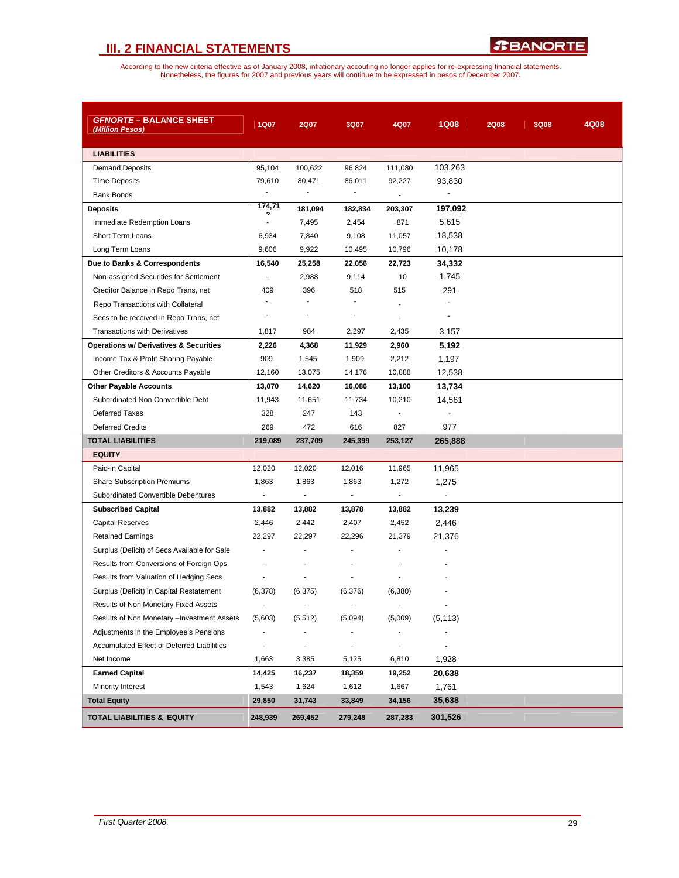| <b>GFNORTE - BALANCE SHEET</b><br>(Million Pesos) | 1Q07                     | <b>2Q07</b>              | 3Q07                         | 4Q07                     | <b>1Q08</b>                  | <b>2Q08</b> | 3Q08 | 4Q08 |
|---------------------------------------------------|--------------------------|--------------------------|------------------------------|--------------------------|------------------------------|-------------|------|------|
| <b>LIABILITIES</b>                                |                          |                          |                              |                          |                              |             |      |      |
| <b>Demand Deposits</b>                            | 95,104                   | 100,622                  | 96,824                       | 111,080                  | 103,263                      |             |      |      |
| <b>Time Deposits</b>                              | 79.610                   | 80,471                   | 86,011                       | 92,227                   | 93,830                       |             |      |      |
| <b>Bank Bonds</b>                                 |                          |                          |                              |                          | $\qquad \qquad \blacksquare$ |             |      |      |
| <b>Deposits</b>                                   | 174,71                   | 181,094                  | 182,834                      | 203,307                  | 197,092                      |             |      |      |
| Immediate Redemption Loans                        |                          | 7,495                    | 2,454                        | 871                      | 5,615                        |             |      |      |
| <b>Short Term Loans</b>                           | 6,934                    | 7,840                    | 9,108                        | 11,057                   | 18,538                       |             |      |      |
| Long Term Loans                                   | 9,606                    | 9,922                    | 10,495                       | 10,796                   | 10,178                       |             |      |      |
| Due to Banks & Correspondents                     | 16,540                   | 25,258                   | 22,056                       | 22,723                   | 34,332                       |             |      |      |
| Non-assigned Securities for Settlement            | $\sim$                   | 2,988                    | 9,114                        | 10                       | 1,745                        |             |      |      |
| Creditor Balance in Repo Trans, net               | 409                      | 396                      | 518                          | 515                      | 291                          |             |      |      |
| Repo Transactions with Collateral                 |                          | ä,                       |                              |                          |                              |             |      |      |
| Secs to be received in Repo Trans, net            |                          | $\blacksquare$           | $\overline{a}$               |                          | $\overline{\phantom{a}}$     |             |      |      |
| <b>Transactions with Derivatives</b>              | 1,817                    | 984                      | 2,297                        | 2,435                    | 3,157                        |             |      |      |
| <b>Operations w/ Derivatives &amp; Securities</b> | 2,226                    | 4,368                    | 11,929                       | 2,960                    | 5,192                        |             |      |      |
| Income Tax & Profit Sharing Payable               | 909                      | 1,545                    | 1,909                        | 2,212                    | 1,197                        |             |      |      |
| Other Creditors & Accounts Payable                | 12,160                   | 13,075                   | 14,176                       | 10,888                   | 12,538                       |             |      |      |
| <b>Other Payable Accounts</b>                     | 13,070                   | 14,620                   | 16,086                       | 13,100                   | 13,734                       |             |      |      |
| Subordinated Non Convertible Debt                 | 11,943                   | 11,651                   | 11,734                       | 10,210                   | 14,561                       |             |      |      |
| <b>Deferred Taxes</b>                             | 328                      | 247                      | 143                          | ÷,                       | $\overline{\phantom{a}}$     |             |      |      |
| <b>Deferred Credits</b>                           | 269                      | 472                      | 616                          | 827                      | 977                          |             |      |      |
| <b>TOTAL LIABILITIES</b>                          | 219,089                  | 237,709                  | 245,399                      | 253,127                  | 265,888                      |             |      |      |
| <b>EQUITY</b>                                     |                          |                          |                              |                          |                              |             |      |      |
| Paid-in Capital                                   | 12,020                   | 12,020                   | 12,016                       | 11,965                   | 11,965                       |             |      |      |
| <b>Share Subscription Premiums</b>                | 1,863                    | 1,863                    | 1,863                        | 1,272                    | 1,275                        |             |      |      |
| Subordinated Convertible Debentures               | $\blacksquare$           | $\blacksquare$           | $\overline{\phantom{a}}$     | $\overline{\phantom{a}}$ | $\overline{\phantom{a}}$     |             |      |      |
| <b>Subscribed Capital</b>                         | 13,882                   | 13,882                   | 13,878                       | 13,882                   | 13,239                       |             |      |      |
| <b>Capital Reserves</b>                           | 2,446                    | 2,442                    | 2,407                        | 2,452                    | 2,446                        |             |      |      |
| <b>Retained Earnings</b>                          | 22,297                   | 22,297                   | 22,296                       | 21,379                   | 21,376                       |             |      |      |
| Surplus (Deficit) of Secs Available for Sale      |                          |                          |                              |                          |                              |             |      |      |
| Results from Conversions of Foreign Ops           |                          |                          |                              |                          |                              |             |      |      |
| Results from Valuation of Hedging Secs            |                          |                          |                              |                          |                              |             |      |      |
| Surplus (Deficit) in Capital Restatement          | (6,378)                  | (6, 375)                 | (6,376)                      | (6,380)                  |                              |             |      |      |
| Results of Non Monetary Fixed Assets              | $\overline{\phantom{a}}$ | $\overline{\phantom{a}}$ | $\overline{\phantom{a}}$     |                          |                              |             |      |      |
| Results of Non Monetary - Investment Assets       | (5,603)                  | (5, 512)                 | (5,094)                      | (5,009)                  | (5, 113)                     |             |      |      |
| Adjustments in the Employee's Pensions            | $\overline{\phantom{a}}$ | $\overline{\phantom{m}}$ | $\blacksquare$               |                          |                              |             |      |      |
| Accumulated Effect of Deferred Liabilities        |                          | $\blacksquare$           | $\qquad \qquad \blacksquare$ |                          |                              |             |      |      |
| Net Income                                        | 1,663                    | 3,385                    | 5,125                        | 6,810                    | 1,928                        |             |      |      |
| <b>Earned Capital</b>                             | 14,425                   | 16,237                   | 18,359                       | 19,252                   | 20,638                       |             |      |      |
| Minority Interest                                 | 1,543                    | 1,624                    | 1,612                        | 1,667                    | 1,761                        |             |      |      |
| <b>Total Equity</b>                               | 29,850                   | 31,743                   | 33,849                       | 34,156                   | 35,638                       |             |      |      |
| <b>TOTAL LIABILITIES &amp; EQUITY</b>             | 248,939                  | 269,452                  | 279,248                      | 287,283                  | 301,526                      |             |      |      |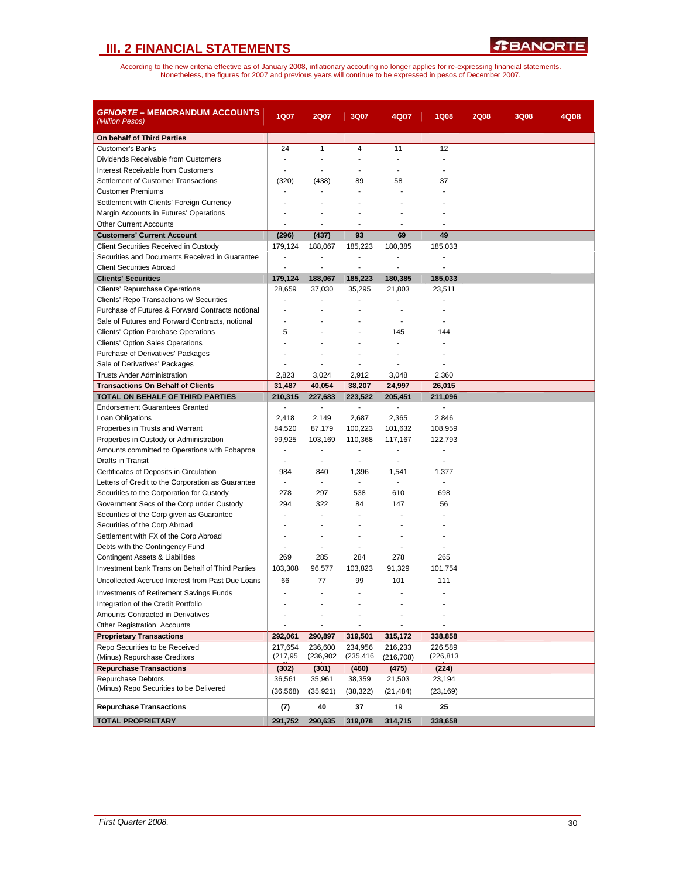| On behalf of Third Parties<br>$\mathbf{1}$<br><b>Customer's Banks</b><br>24<br>4<br>11<br>12<br>Dividends Receivable from Customers<br>$\overline{a}$<br>÷.<br>÷<br>$\overline{a}$<br>$\overline{a}$<br>Interest Receivable from Customers<br>ä,<br>Settlement of Customer Transactions<br>(320)<br>(438)<br>89<br>58<br>37<br><b>Customer Premiums</b><br>Settlement with Clients' Foreign Currency<br>ä,<br>Margin Accounts in Futures' Operations<br><b>Other Current Accounts</b><br>$\overline{a}$<br>٠<br>٠<br><b>Customers' Current Account</b><br>(296)<br>(437)<br>93<br>69<br>49<br>Client Securities Received in Custody<br>179,124<br>185,223<br>180,385<br>185,033<br>188,067 |
|--------------------------------------------------------------------------------------------------------------------------------------------------------------------------------------------------------------------------------------------------------------------------------------------------------------------------------------------------------------------------------------------------------------------------------------------------------------------------------------------------------------------------------------------------------------------------------------------------------------------------------------------------------------------------------------------|
|                                                                                                                                                                                                                                                                                                                                                                                                                                                                                                                                                                                                                                                                                            |
|                                                                                                                                                                                                                                                                                                                                                                                                                                                                                                                                                                                                                                                                                            |
|                                                                                                                                                                                                                                                                                                                                                                                                                                                                                                                                                                                                                                                                                            |
|                                                                                                                                                                                                                                                                                                                                                                                                                                                                                                                                                                                                                                                                                            |
|                                                                                                                                                                                                                                                                                                                                                                                                                                                                                                                                                                                                                                                                                            |
|                                                                                                                                                                                                                                                                                                                                                                                                                                                                                                                                                                                                                                                                                            |
|                                                                                                                                                                                                                                                                                                                                                                                                                                                                                                                                                                                                                                                                                            |
|                                                                                                                                                                                                                                                                                                                                                                                                                                                                                                                                                                                                                                                                                            |
|                                                                                                                                                                                                                                                                                                                                                                                                                                                                                                                                                                                                                                                                                            |
|                                                                                                                                                                                                                                                                                                                                                                                                                                                                                                                                                                                                                                                                                            |
|                                                                                                                                                                                                                                                                                                                                                                                                                                                                                                                                                                                                                                                                                            |
| Securities and Documents Received in Guarantee<br>$\overline{a}$<br>$\blacksquare$<br>$\overline{a}$<br>$\overline{a}$                                                                                                                                                                                                                                                                                                                                                                                                                                                                                                                                                                     |
| <b>Client Securities Abroad</b><br>÷,<br>÷<br>÷<br>÷,<br>÷,                                                                                                                                                                                                                                                                                                                                                                                                                                                                                                                                                                                                                                |
| <b>Clients' Securities</b><br>179,124<br>188,067<br>185,223<br>180,385<br>185,033                                                                                                                                                                                                                                                                                                                                                                                                                                                                                                                                                                                                          |
| 28,659<br>37,030<br>35,295<br>23,511<br>Clients' Repurchase Operations<br>21,803                                                                                                                                                                                                                                                                                                                                                                                                                                                                                                                                                                                                           |
| Clients' Repo Transactions w/ Securities                                                                                                                                                                                                                                                                                                                                                                                                                                                                                                                                                                                                                                                   |
| Purchase of Futures & Forward Contracts notional<br>ä,                                                                                                                                                                                                                                                                                                                                                                                                                                                                                                                                                                                                                                     |
| Sale of Futures and Forward Contracts, notional                                                                                                                                                                                                                                                                                                                                                                                                                                                                                                                                                                                                                                            |
| 5<br><b>Clients' Option Parchase Operations</b><br>145<br>144                                                                                                                                                                                                                                                                                                                                                                                                                                                                                                                                                                                                                              |
| <b>Clients' Option Sales Operations</b><br>ä,                                                                                                                                                                                                                                                                                                                                                                                                                                                                                                                                                                                                                                              |
| Purchase of Derivatives' Packages                                                                                                                                                                                                                                                                                                                                                                                                                                                                                                                                                                                                                                                          |
| Sale of Derivatives' Packages<br>ä,<br>٠                                                                                                                                                                                                                                                                                                                                                                                                                                                                                                                                                                                                                                                   |
| <b>Trusts Ander Administration</b><br>2,823<br>3,024<br>2,912<br>3,048<br>2,360                                                                                                                                                                                                                                                                                                                                                                                                                                                                                                                                                                                                            |
| 31,487<br>40,054<br>38,207<br>24,997<br>26,015<br><b>Transactions On Behalf of Clients</b>                                                                                                                                                                                                                                                                                                                                                                                                                                                                                                                                                                                                 |
| TOTAL ON BEHALF OF THIRD PARTIES<br>210,315<br>227,683<br>223,522<br>205,451<br>211,096                                                                                                                                                                                                                                                                                                                                                                                                                                                                                                                                                                                                    |
| <b>Endorsement Guarantees Granted</b><br>$\sim$<br>$\Box$<br>$\blacksquare$<br>$\blacksquare$<br>$\blacksquare$                                                                                                                                                                                                                                                                                                                                                                                                                                                                                                                                                                            |
| Loan Obligations<br>2,418<br>2,149<br>2,687<br>2,365<br>2,846                                                                                                                                                                                                                                                                                                                                                                                                                                                                                                                                                                                                                              |
| Properties in Trusts and Warrant<br>84,520<br>87,179<br>100,223<br>101,632<br>108,959                                                                                                                                                                                                                                                                                                                                                                                                                                                                                                                                                                                                      |
| 99,925<br>Properties in Custody or Administration<br>110,368<br>117,167<br>122,793<br>103,169<br>ä,<br>ä,<br>$\blacksquare$<br>ä,<br>ä,                                                                                                                                                                                                                                                                                                                                                                                                                                                                                                                                                    |
| Amounts committed to Operations with Fobaproa<br>Drafts in Transit<br>÷,<br>$\overline{\phantom{a}}$<br>÷,<br>÷,                                                                                                                                                                                                                                                                                                                                                                                                                                                                                                                                                                           |
|                                                                                                                                                                                                                                                                                                                                                                                                                                                                                                                                                                                                                                                                                            |
| Certificates of Deposits in Circulation<br>984<br>840<br>1,396<br>1,541<br>1,377<br>$\overline{\phantom{a}}$<br>$\blacksquare$<br>$\overline{a}$<br>$\overline{\phantom{a}}$                                                                                                                                                                                                                                                                                                                                                                                                                                                                                                               |
| Letters of Credit to the Corporation as Guarantee<br>Securities to the Corporation for Custody<br>278<br>297<br>538<br>610<br>698                                                                                                                                                                                                                                                                                                                                                                                                                                                                                                                                                          |
| 294<br>322<br>Government Secs of the Corp under Custody<br>84<br>147<br>56                                                                                                                                                                                                                                                                                                                                                                                                                                                                                                                                                                                                                 |
| Securities of the Corp given as Guarantee<br>٠<br>$\overline{a}$<br>٠                                                                                                                                                                                                                                                                                                                                                                                                                                                                                                                                                                                                                      |
| Securities of the Corp Abroad                                                                                                                                                                                                                                                                                                                                                                                                                                                                                                                                                                                                                                                              |
| Settlement with FX of the Corp Abroad                                                                                                                                                                                                                                                                                                                                                                                                                                                                                                                                                                                                                                                      |
| Debts with the Contingency Fund<br>÷.<br>÷<br>ä,                                                                                                                                                                                                                                                                                                                                                                                                                                                                                                                                                                                                                                           |
| 269<br>285<br>284<br>278<br>265<br>Contingent Assets & Liabilities                                                                                                                                                                                                                                                                                                                                                                                                                                                                                                                                                                                                                         |
| Investment bank Trans on Behalf of Third Parties<br>103,308<br>96,577<br>103,823<br>91,329<br>101,754                                                                                                                                                                                                                                                                                                                                                                                                                                                                                                                                                                                      |
| Uncollected Accrued Interest from Past Due Loans<br>66<br>77<br>99<br>101<br>111                                                                                                                                                                                                                                                                                                                                                                                                                                                                                                                                                                                                           |
| <b>Investments of Retirement Savings Funds</b><br>٠                                                                                                                                                                                                                                                                                                                                                                                                                                                                                                                                                                                                                                        |
|                                                                                                                                                                                                                                                                                                                                                                                                                                                                                                                                                                                                                                                                                            |
| Integration of the Credit Portfolio<br>Amounts Contracted in Derivatives                                                                                                                                                                                                                                                                                                                                                                                                                                                                                                                                                                                                                   |
| ÷<br>÷,                                                                                                                                                                                                                                                                                                                                                                                                                                                                                                                                                                                                                                                                                    |
| Other Registration Accounts<br>319,501<br><b>Proprietary Transactions</b><br>292,061<br>290,897<br>315,172<br>338,858                                                                                                                                                                                                                                                                                                                                                                                                                                                                                                                                                                      |
| Repo Securities to be Received<br>217,654<br>236,600<br>234,956<br>216,233<br>226,589                                                                                                                                                                                                                                                                                                                                                                                                                                                                                                                                                                                                      |
| (217, 95)<br>(236, 902)<br>(235,416)<br>(226,813<br>(Minus) Repurchase Creditors<br>(216, 708)                                                                                                                                                                                                                                                                                                                                                                                                                                                                                                                                                                                             |
| <b>Repurchase Transactions</b><br>(301)<br>(475)<br>(224)<br>(302)<br>(460)                                                                                                                                                                                                                                                                                                                                                                                                                                                                                                                                                                                                                |
| <b>Repurchase Debtors</b><br>36,561<br>35,961<br>38,359<br>21,503<br>23,194                                                                                                                                                                                                                                                                                                                                                                                                                                                                                                                                                                                                                |
| (Minus) Repo Securities to be Delivered<br>(36, 568)<br>(35, 921)<br>(38, 322)<br>(21, 484)<br>(23, 169)                                                                                                                                                                                                                                                                                                                                                                                                                                                                                                                                                                                   |
|                                                                                                                                                                                                                                                                                                                                                                                                                                                                                                                                                                                                                                                                                            |
| 37<br><b>Repurchase Transactions</b><br>(7)<br>40<br>19<br>25<br>291,752<br><b>TOTAL PROPRIETARY</b><br>290,635<br>319,078<br>314,715<br>338,658                                                                                                                                                                                                                                                                                                                                                                                                                                                                                                                                           |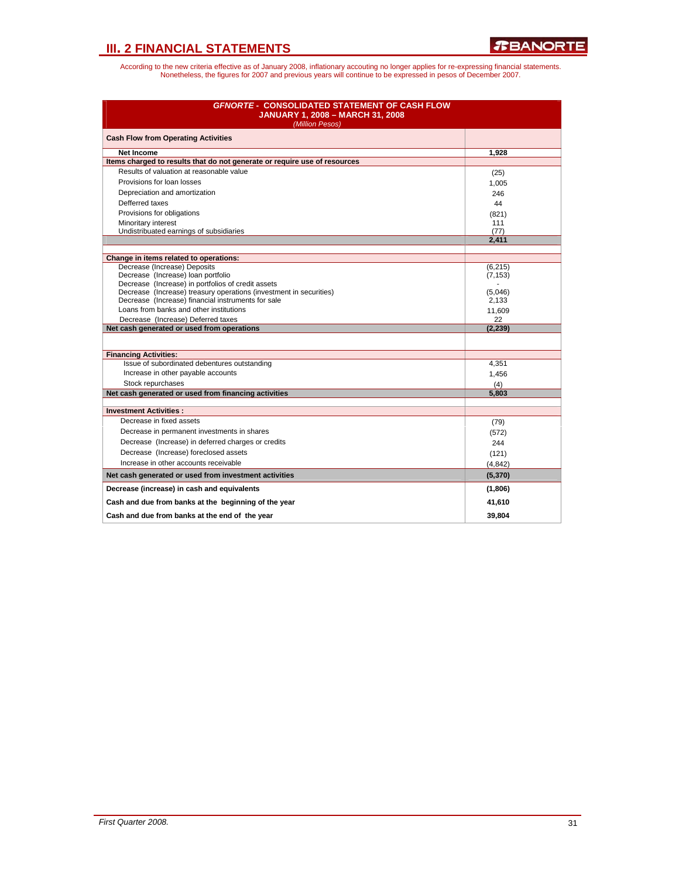| <b>GFNORTE - CONSOLIDATED STATEMENT OF CASH FLOW</b><br><b>JANUARY 1, 2008 - MARCH 31, 2008</b><br>(Million Pesos)       |              |
|--------------------------------------------------------------------------------------------------------------------------|--------------|
| <b>Cash Flow from Operating Activities</b>                                                                               |              |
| <b>Net Income</b>                                                                                                        | 1,928        |
| Items charged to results that do not generate or require use of resources                                                |              |
| Results of valuation at reasonable value                                                                                 | (25)         |
| Provisions for loan losses                                                                                               | 1,005        |
| Depreciation and amortization                                                                                            | 246          |
| Defferred taxes                                                                                                          | 44           |
| Provisions for obligations                                                                                               | (821)        |
| Minoritary interest                                                                                                      | 111          |
| Undistribuated earnings of subsidiaries                                                                                  | (77)         |
|                                                                                                                          | 2,411        |
| Change in items related to operations:                                                                                   |              |
| Decrease (Increase) Deposits                                                                                             | (6,215)      |
| Decrease (Increase) loan portfolio                                                                                       | (7, 153)     |
| Decrease (Increase) in portfolios of credit assets                                                                       |              |
| Decrease (Increase) treasury operations (investment in securities)<br>Decrease (Increase) financial instruments for sale | (5,046)      |
| Loans from banks and other institutions                                                                                  | 2,133        |
| Decrease (Increase) Deferred taxes                                                                                       | 11,609<br>22 |
| Net cash generated or used from operations                                                                               | (2, 239)     |
|                                                                                                                          |              |
| <b>Financing Activities:</b>                                                                                             |              |
| Issue of subordinated debentures outstanding                                                                             | 4,351        |
| Increase in other payable accounts                                                                                       | 1,456        |
| Stock repurchases                                                                                                        | (4)          |
| Net cash generated or used from financing activities                                                                     | 5,803        |
| <b>Investment Activities:</b>                                                                                            |              |
| Decrease in fixed assets                                                                                                 | (79)         |
| Decrease in permanent investments in shares                                                                              | (572)        |
| Decrease (Increase) in deferred charges or credits                                                                       | 244          |
| Decrease (Increase) foreclosed assets                                                                                    | (121)        |
| Increase in other accounts receivable                                                                                    | (4, 842)     |
| Net cash generated or used from investment activities                                                                    | (5,370)      |
| Decrease (increase) in cash and equivalents                                                                              | (1,806)      |
| Cash and due from banks at the beginning of the year                                                                     | 41,610       |
| Cash and due from banks at the end of the year                                                                           | 39.804       |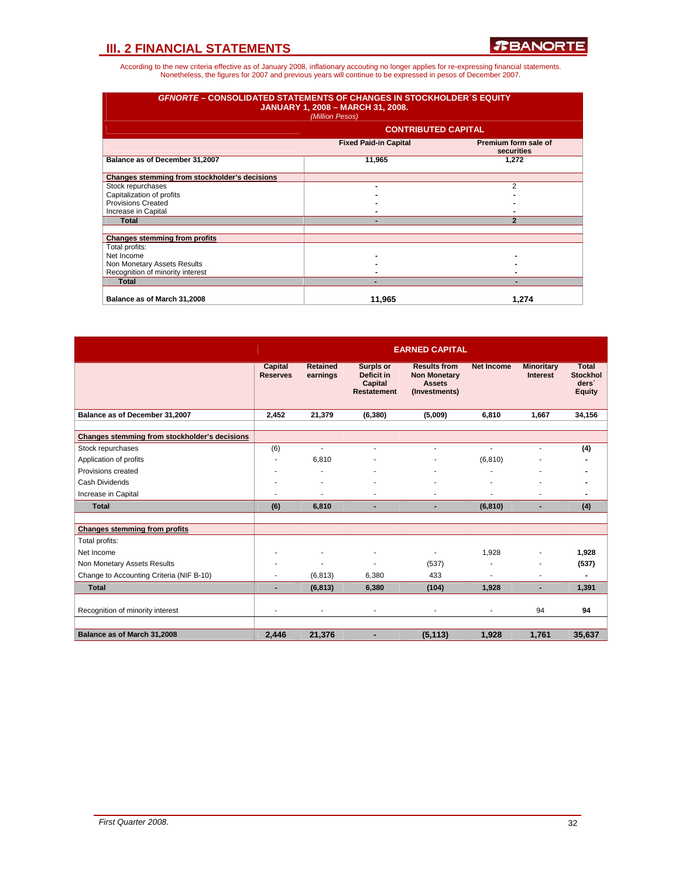| <b>GFNORTE – CONSOLIDATED STATEMENTS OF CHANGES IN STOCKHOLDER S EQUITY</b><br><b>JANUARY 1, 2008 - MARCH 31, 2008.</b><br>(Million Pesos) |                              |                                    |  |  |  |  |  |
|--------------------------------------------------------------------------------------------------------------------------------------------|------------------------------|------------------------------------|--|--|--|--|--|
|                                                                                                                                            | <b>CONTRIBUTED CAPITAL</b>   |                                    |  |  |  |  |  |
|                                                                                                                                            | <b>Fixed Paid-in Capital</b> | Premium form sale of<br>securities |  |  |  |  |  |
| Balance as of December 31,2007                                                                                                             | 11,965                       | 1,272                              |  |  |  |  |  |
| Changes stemming from stockholder's decisions                                                                                              |                              |                                    |  |  |  |  |  |
| Stock repurchases                                                                                                                          | ۰                            | $\mathfrak{p}$                     |  |  |  |  |  |
| Capitalization of profits                                                                                                                  |                              |                                    |  |  |  |  |  |
| <b>Provisions Created</b>                                                                                                                  |                              |                                    |  |  |  |  |  |
| Increase in Capital                                                                                                                        |                              |                                    |  |  |  |  |  |
| <b>Total</b>                                                                                                                               |                              | $\overline{2}$                     |  |  |  |  |  |
| <b>Changes stemming from profits</b>                                                                                                       |                              |                                    |  |  |  |  |  |
| Total profits:                                                                                                                             |                              |                                    |  |  |  |  |  |
| Net Income                                                                                                                                 |                              |                                    |  |  |  |  |  |
| Non Monetary Assets Results                                                                                                                |                              |                                    |  |  |  |  |  |
| Recognition of minority interest                                                                                                           |                              |                                    |  |  |  |  |  |
| <b>Total</b>                                                                                                                               |                              |                                    |  |  |  |  |  |
| Balance as of March 31,2008                                                                                                                | 11.965                       | 1.274                              |  |  |  |  |  |

|                                               |                            |                             |                                                                 | <b>EARNED CAPITAL</b>                                                        |                   |                                      |                                                                       |
|-----------------------------------------------|----------------------------|-----------------------------|-----------------------------------------------------------------|------------------------------------------------------------------------------|-------------------|--------------------------------------|-----------------------------------------------------------------------|
|                                               | Capital<br><b>Reserves</b> | <b>Retained</b><br>earnings | Surpls or<br>Deficit in<br><b>Capital</b><br><b>Restatement</b> | <b>Results from</b><br><b>Non Monetary</b><br><b>Assets</b><br>(Investments) | <b>Net Income</b> | <b>Minoritary</b><br><b>Interest</b> | <b>Total</b><br><b>Stockhol</b><br>ders <sup>'</sup><br><b>Equity</b> |
| Balance as of December 31,2007                | 2,452                      | 21,379                      | (6, 380)                                                        | (5,009)                                                                      | 6,810             | 1.667                                | 34,156                                                                |
|                                               |                            |                             |                                                                 |                                                                              |                   |                                      |                                                                       |
| Changes stemming from stockholder's decisions |                            |                             |                                                                 |                                                                              |                   |                                      |                                                                       |
| Stock repurchases                             | (6)                        | ÷                           |                                                                 |                                                                              |                   |                                      | (4)                                                                   |
| Application of profits                        | ٠                          | 6,810                       |                                                                 |                                                                              | (6, 810)          |                                      |                                                                       |
| Provisions created                            | ۰                          |                             |                                                                 |                                                                              |                   | ٠                                    |                                                                       |
| Cash Dividends                                | ۰                          |                             |                                                                 |                                                                              |                   |                                      |                                                                       |
| Increase in Capital                           | ۰                          | ۰                           |                                                                 |                                                                              |                   |                                      |                                                                       |
| <b>Total</b>                                  | (6)                        | 6,810                       | ٠                                                               | $\overline{\phantom{0}}$                                                     | (6, 810)          |                                      | (4)                                                                   |
|                                               |                            |                             |                                                                 |                                                                              |                   |                                      |                                                                       |
| <b>Changes stemming from profits</b>          |                            |                             |                                                                 |                                                                              |                   |                                      |                                                                       |
| Total profits:                                |                            |                             |                                                                 |                                                                              |                   |                                      |                                                                       |
| Net Income                                    | ٠                          |                             | ٠                                                               |                                                                              | 1.928             | ä,                                   | 1,928                                                                 |
| Non Monetary Assets Results                   | ۰                          | Ĭ.                          |                                                                 | (537)                                                                        |                   | Ĭ.                                   | (537)                                                                 |
| Change to Accounting Criteria (NIF B-10)      | ٠                          | (6, 813)                    | 6,380                                                           | 433                                                                          | ÷                 | ä,                                   |                                                                       |
| <b>Total</b>                                  | $\blacksquare$             | (6, 813)                    | 6,380                                                           | (104)                                                                        | 1,928             | ٠                                    | 1,391                                                                 |
|                                               |                            |                             |                                                                 |                                                                              |                   |                                      |                                                                       |
| Recognition of minority interest              | ٠                          | ٠                           | ٠                                                               |                                                                              | $\blacksquare$    | 94                                   | 94                                                                    |
|                                               |                            |                             |                                                                 |                                                                              |                   |                                      |                                                                       |
| Balance as of March 31,2008                   | 2,446                      | 21,376                      |                                                                 | (5, 113)                                                                     | 1,928             | 1,761                                | 35,637                                                                |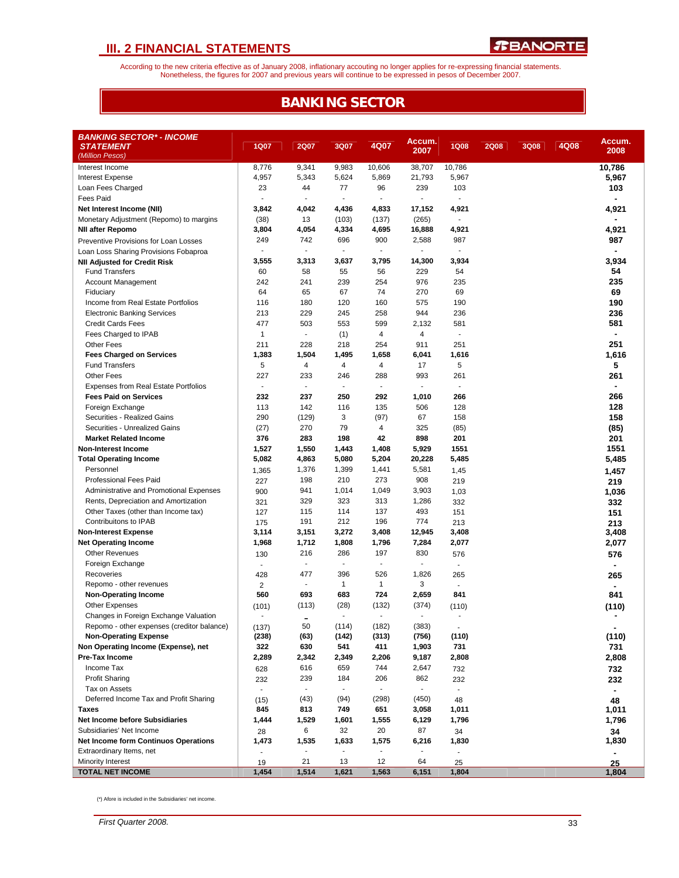According to the new criteria effective as of January 2008, inflationary accouting no longer applies for re-expressing financial statements.<br>Nonetheless, the figures for 2007 and previous years will continue to be expresse

## **BANKING SECTOR**

| <b>BANKING SECTOR* - INCOME</b>             |                          |                          |                          |                          |                 |                             |             |      |      |            |
|---------------------------------------------|--------------------------|--------------------------|--------------------------|--------------------------|-----------------|-----------------------------|-------------|------|------|------------|
| <b>STATEMENT</b>                            | <b>1Q07</b>              | <b>2Q07</b>              | 3Q07                     | 4Q07                     | Accum.          | <b>1Q08</b>                 | <b>2Q08</b> | 3Q08 | 4Q08 | Accum.     |
| (Million Pesos)                             |                          |                          |                          |                          | 2007            |                             |             |      |      | 2008       |
| Interest Income                             | 8,776                    | 9,341                    | 9,983                    | 10,606                   | 38,707          | 10,786                      |             |      |      | 10,786     |
| <b>Interest Expense</b>                     | 4,957                    | 5,343                    | 5,624                    | 5,869                    | 21,793          | 5,967                       |             |      |      | 5,967      |
| Loan Fees Charged                           | 23                       | 44                       | 77                       | 96                       | 239             | 103                         |             |      |      | 103        |
| <b>Fees Paid</b>                            |                          |                          |                          |                          |                 | $\mathbf{r}$                |             |      |      |            |
| Net Interest Income (NII)                   | 3,842                    | 4,042                    | 4,436                    | 4,833                    | 17,152          | 4,921                       |             |      |      | 4,921      |
| Monetary Adjustment (Repomo) to margins     | (38)                     | 13                       | (103)                    | (137)                    | (265)           | $\sim$                      |             |      |      |            |
| <b>NII after Repomo</b>                     | 3,804                    | 4,054                    | 4,334                    | 4,695                    | 16,888          | 4,921                       |             |      |      | 4,921      |
| Preventive Provisions for Loan Losses       | 249                      | 742                      | 696                      | 900                      | 2,588           | 987                         |             |      |      | 987        |
| Loan Loss Sharing Provisions Fobaproa       | ä,                       |                          | ÷.                       | $\overline{\phantom{a}}$ |                 | $\sim$                      |             |      |      |            |
| <b>NII Adjusted for Credit Risk</b>         | 3,555                    | 3,313                    | 3,637                    | 3,795                    | 14,300          | 3,934                       |             |      |      | 3,934      |
| <b>Fund Transfers</b>                       | 60                       | 58                       | 55                       | 56                       | 229             | 54                          |             |      |      | 54         |
| Account Management                          | 242                      | 241                      | 239                      | 254                      | 976             | 235                         |             |      |      | 235        |
| Fiduciary                                   | 64                       | 65                       | 67                       | 74                       | 270             | 69                          |             |      |      | 69         |
| Income from Real Estate Portfolios          | 116                      | 180                      | 120                      | 160                      | 575             | 190                         |             |      |      | 190        |
| <b>Electronic Banking Services</b>          | 213                      | 229                      | 245                      | 258                      | 944             | 236                         |             |      |      | 236        |
| <b>Credit Cards Fees</b>                    | 477                      | 503                      | 553                      | 599                      | 2,132           | 581                         |             |      |      | 581        |
| Fees Charged to IPAB                        | $\mathbf{1}$             | $\blacksquare$           | (1)                      | 4                        | 4               | $\blacksquare$              |             |      |      | ۰          |
| <b>Other Fees</b>                           | 211                      | 228                      | 218                      | 254                      | 911             | 251                         |             |      |      | 251        |
| <b>Fees Charged on Services</b>             | 1,383                    | 1,504                    | 1,495                    | 1,658                    | 6,041           | 1,616                       |             |      |      | 1,616      |
| <b>Fund Transfers</b>                       | 5                        | 4                        | 4                        | 4                        | 17              | 5                           |             |      |      | 5          |
| <b>Other Fees</b>                           | 227                      | 233                      | 246                      | 288                      | 993             | 261                         |             |      |      | 261        |
| <b>Expenses from Real Estate Portfolios</b> | $\overline{\phantom{a}}$ | $\blacksquare$           | $\overline{\phantom{a}}$ | $\overline{\phantom{a}}$ | ÷.              | $\blacksquare$              |             |      |      |            |
| <b>Fees Paid on Services</b>                | 232                      | 237                      | 250                      | 292                      | 1,010           | 266                         |             |      |      | 266        |
| Foreign Exchange                            | 113                      | 142                      | 116                      | 135                      | 506             | 128                         |             |      |      | 128        |
| Securities - Realized Gains                 | 290                      | (129)                    | 3                        | (97)                     | 67              | 158                         |             |      |      | 158        |
| Securities - Unrealized Gains               | (27)                     | 270                      | 79                       | 4                        | 325             | (85)                        |             |      |      | (85)       |
| <b>Market Related Income</b>                | 376                      | 283                      | 198                      | 42                       | 898             | 201                         |             |      |      | 201        |
| <b>Non-Interest Income</b>                  | 1,527                    | 1,550                    | 1,443                    | 1,408                    | 5,929           | 1551                        |             |      |      | 1551       |
| <b>Total Operating Income</b><br>Personnel  | 5,082                    | 4,863<br>1,376           | 5,080<br>1,399           | 5,204<br>1,441           | 20,228<br>5,581 | 5,485                       |             |      |      | 5,485      |
| Professional Fees Paid                      | 1,365                    | 198                      | 210                      | 273                      | 908             | 1,45                        |             |      |      | 1,457      |
| Administrative and Promotional Expenses     | 227                      | 941                      | 1,014                    | 1,049                    | 3,903           | 219                         |             |      |      | 219        |
| Rents, Depreciation and Amortization        | 900<br>321               | 329                      | 323                      | 313                      | 1,286           | 1,03<br>332                 |             |      |      | 1,036      |
| Other Taxes (other than Income tax)         | 127                      | 115                      | 114                      | 137                      | 493             | 151                         |             |      |      | 332        |
| Contribuitons to IPAB                       | 175                      | 191                      | 212                      | 196                      | 774             | 213                         |             |      |      | 151<br>213 |
| <b>Non-Interest Expense</b>                 | 3,114                    | 3,151                    | 3,272                    | 3,408                    | 12,945          | 3,408                       |             |      |      | 3,408      |
| <b>Net Operating Income</b>                 | 1,968                    | 1,712                    | 1,808                    | 1,796                    | 7,284           | 2,077                       |             |      |      | 2,077      |
| <b>Other Revenues</b>                       | 130                      | 216                      | 286                      | 197                      | 830             | 576                         |             |      |      | 576        |
| Foreign Exchange                            |                          | $\frac{1}{2}$            | $\blacksquare$           | $\overline{a}$           |                 | $\sim$                      |             |      |      |            |
| Recoveries                                  | 428                      | 477                      | 396                      | 526                      | 1,826           | 265                         |             |      |      | 265        |
| Repomo - other revenues                     | $\overline{2}$           | $\frac{1}{2}$            | $\mathbf{1}$             | $\mathbf{1}$             | 3               | ÷.                          |             |      |      |            |
| <b>Non-Operating Income</b>                 | 560                      | 693                      | 683                      | 724                      | 2,659           | 841                         |             |      |      | 841        |
| <b>Other Expenses</b>                       | (101)                    | (113)                    | (28)                     | (132)                    | (374)           | (110)                       |             |      |      | (110)      |
| Changes in Foreign Exchange Valuation       | ÷.                       | $\overline{\phantom{0}}$ | $\blacksquare$           | $\overline{\phantom{a}}$ |                 |                             |             |      |      |            |
| Repomo - other expenses (creditor balance)  | (137)                    | 50                       | (114)                    | (182)                    | (383)           | $\blacksquare$              |             |      |      |            |
| <b>Non-Operating Expense</b>                | (238)                    | (63)                     | (142)                    | (313)                    | (756)           | (110)                       |             |      |      | (110)      |
| Non Operating Income (Expense), net         | 322                      | 630                      | 541                      | 411                      | 1,903           | 731                         |             |      |      | 731        |
| Pre-Tax Income                              | 2,289                    | 2,342                    | 2,349                    | 2,206                    | 9,187           | 2,808                       |             |      |      | 2,808      |
| Income Tax                                  | 628                      | 616                      | 659                      | 744                      | 2,647           | 732                         |             |      |      | 732        |
| <b>Profit Sharing</b>                       | 232                      | 239                      | 184                      | 206                      | 862             | 232                         |             |      |      | 232        |
| Tax on Assets                               | $\sim$                   |                          |                          |                          |                 | $\mathcal{L}_{\mathcal{A}}$ |             |      |      |            |
| Deferred Income Tax and Profit Sharing      | (15)                     | (43)                     | (94)                     | (298)                    | (450)           | 48                          |             |      |      | 48         |
| Taxes                                       | 845                      | 813                      | 749                      | 651                      | 3,058           | 1,011                       |             |      |      | 1,011      |
| <b>Net Income before Subsidiaries</b>       | 1,444                    | 1,529                    | 1,601                    | 1,555                    | 6,129           | 1,796                       |             |      |      | 1,796      |
| Subsidiaries' Net Income                    | 28                       | 6                        | 32                       | 20                       | 87              | 34                          |             |      |      | 34         |
| <b>Net Income form Continuos Operations</b> | 1,473                    | 1,535                    | 1,633                    | 1,575                    | 6,216           | 1,830                       |             |      |      | 1,830      |
| Extraordinary Items, net                    |                          | ٠                        |                          |                          |                 |                             |             |      |      |            |
| Minority Interest                           | 19                       | 21                       | 13                       | 12                       | 64              | 25                          |             |      |      | 25         |
| <b>TOTAL NET INCOME</b>                     | 1,454                    | 1,514                    | 1,621                    | 1,563                    | 6,151           | 1,804                       |             |      |      | 1,804      |

(\*) Afore is included in the Subsidiaries' net income.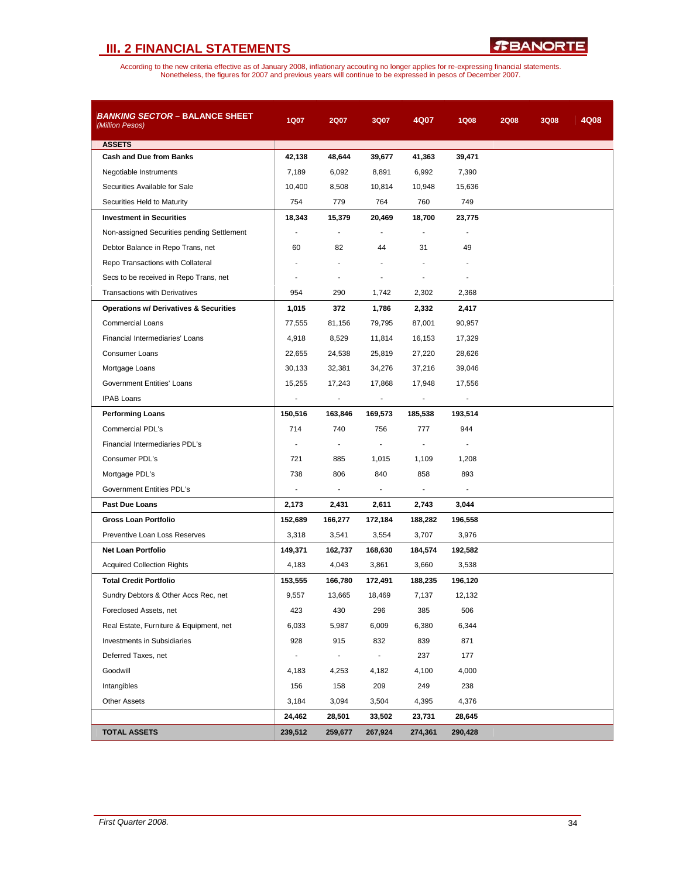

| <b>BANKING SECTOR - BALANCE SHEET</b><br>(Million Pesos) | 1Q07                     | <b>2Q07</b>              | 3Q07                     | 4Q07                     | <b>1Q08</b> | <b>2Q08</b> | <b>3Q08</b> | 4Q08 |
|----------------------------------------------------------|--------------------------|--------------------------|--------------------------|--------------------------|-------------|-------------|-------------|------|
| <b>ASSETS</b>                                            |                          |                          |                          |                          |             |             |             |      |
| <b>Cash and Due from Banks</b>                           | 42,138                   | 48,644                   | 39,677                   | 41,363                   | 39,471      |             |             |      |
| Negotiable Instruments                                   | 7,189                    | 6,092                    | 8,891                    | 6,992                    | 7,390       |             |             |      |
| Securities Available for Sale                            | 10,400                   | 8,508                    | 10,814                   | 10,948                   | 15,636      |             |             |      |
| Securities Held to Maturity                              | 754                      | 779                      | 764                      | 760                      | 749         |             |             |      |
| <b>Investment in Securities</b>                          | 18,343                   | 15,379                   | 20,469                   | 18,700                   | 23,775      |             |             |      |
| Non-assigned Securities pending Settlement               |                          |                          |                          |                          |             |             |             |      |
| Debtor Balance in Repo Trans, net                        | 60                       | 82                       | 44                       | 31                       | 49          |             |             |      |
| Repo Transactions with Collateral                        |                          |                          |                          |                          |             |             |             |      |
| Secs to be received in Repo Trans, net                   |                          |                          |                          |                          |             |             |             |      |
| <b>Transactions with Derivatives</b>                     | 954                      | 290                      | 1,742                    | 2,302                    | 2,368       |             |             |      |
| <b>Operations w/ Derivatives &amp; Securities</b>        | 1,015                    | 372                      | 1,786                    | 2,332                    | 2,417       |             |             |      |
| <b>Commercial Loans</b>                                  | 77,555                   | 81,156                   | 79,795                   | 87,001                   | 90,957      |             |             |      |
| Financial Intermediaries' Loans                          | 4,918                    | 8,529                    | 11,814                   | 16,153                   | 17,329      |             |             |      |
| Consumer Loans                                           | 22,655                   | 24,538                   | 25,819                   | 27,220                   | 28,626      |             |             |      |
| Mortgage Loans                                           | 30,133                   | 32,381                   | 34,276                   | 37,216                   | 39,046      |             |             |      |
| Government Entities' Loans                               | 15,255                   | 17,243                   | 17,868                   | 17,948                   | 17,556      |             |             |      |
| <b>IPAB Loans</b>                                        | ٠                        | $\overline{\phantom{a}}$ |                          | $\overline{\phantom{a}}$ |             |             |             |      |
| <b>Performing Loans</b>                                  | 150,516                  | 163,846                  | 169,573                  | 185,538                  | 193,514     |             |             |      |
| Commercial PDL's                                         | 714                      | 740                      | 756                      | 777                      | 944         |             |             |      |
| Financial Intermediaries PDL's                           |                          |                          |                          |                          |             |             |             |      |
| Consumer PDL's                                           | 721                      | 885                      | 1,015                    | 1,109                    | 1,208       |             |             |      |
| Mortgage PDL's                                           | 738                      | 806                      | 840                      | 858                      | 893         |             |             |      |
| Government Entities PDL's                                | $\blacksquare$           | ٠                        | $\overline{\phantom{a}}$ |                          |             |             |             |      |
| <b>Past Due Loans</b>                                    | 2,173                    | 2,431                    | 2,611                    | 2,743                    | 3,044       |             |             |      |
| <b>Gross Loan Portfolio</b>                              | 152,689                  | 166,277                  | 172,184                  | 188,282                  | 196,558     |             |             |      |
| Preventive Loan Loss Reserves                            | 3,318                    | 3,541                    | 3,554                    | 3,707                    | 3,976       |             |             |      |
| <b>Net Loan Portfolio</b>                                | 149,371                  | 162,737                  | 168,630                  | 184,574                  | 192,582     |             |             |      |
| <b>Acquired Collection Rights</b>                        | 4,183                    | 4,043                    | 3,861                    | 3,660                    | 3,538       |             |             |      |
| <b>Total Credit Portfolio</b>                            | 153,555                  | 166,780                  | 172,491                  | 188,235                  | 196,120     |             |             |      |
| Sundry Debtors & Other Accs Rec, net                     | 9,557                    | 13,665                   | 18,469                   | 7,137                    | 12,132      |             |             |      |
| Foreclosed Assets, net                                   | 423                      | 430                      | 296                      | 385                      | 506         |             |             |      |
| Real Estate, Furniture & Equipment, net                  | 6,033                    | 5,987                    | 6,009                    | 6,380                    | 6,344       |             |             |      |
| <b>Investments in Subsidiaries</b>                       | 928                      | 915                      | 832                      | 839                      | 871         |             |             |      |
| Deferred Taxes, net                                      | $\overline{\phantom{a}}$ | $\blacksquare$           | $\blacksquare$           | 237                      | 177         |             |             |      |
| Goodwill                                                 | 4,183                    | 4,253                    | 4,182                    | 4,100                    | 4,000       |             |             |      |
| Intangibles                                              | 156                      | 158                      | 209                      | 249                      | 238         |             |             |      |
| <b>Other Assets</b>                                      | 3,184                    | 3,094                    | 3,504                    | 4,395                    | 4,376       |             |             |      |
|                                                          | 24,462                   | 28,501                   | 33,502                   | 23,731                   | 28,645      |             |             |      |
| <b>TOTAL ASSETS</b>                                      | 239,512                  | 259,677                  | 267,924                  | 274,361                  | 290,428     |             |             |      |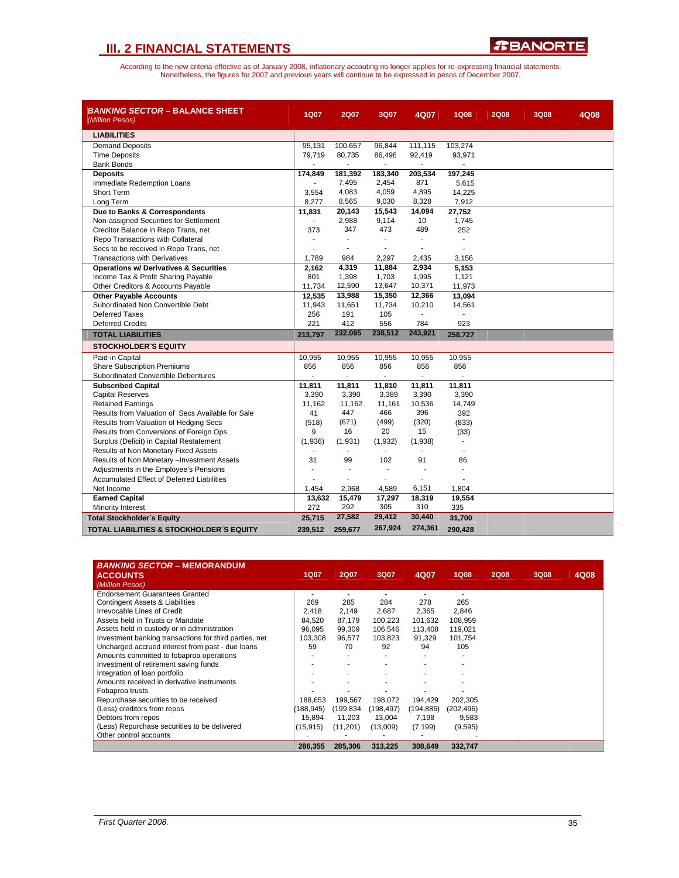

| <b>BANKING SECTOR – BALANCE SHEET</b><br>(Million Pesos) | 1Q07                     | 2Q07           | 3Q07           | 4Q07                     | <b>1Q08</b> | <b>2Q08</b> | <b>3Q08</b> | 4Q08 |
|----------------------------------------------------------|--------------------------|----------------|----------------|--------------------------|-------------|-------------|-------------|------|
| <b>LIABILITIES</b>                                       |                          |                |                |                          |             |             |             |      |
| <b>Demand Deposits</b>                                   | 95,131                   | 100,657        | 96,844         | 111,115                  | 103,274     |             |             |      |
| <b>Time Deposits</b>                                     | 79,719                   | 80,735         | 86,496         | 92,419                   | 93,971      |             |             |      |
| <b>Bank Bonds</b>                                        |                          |                | $\overline{a}$ |                          |             |             |             |      |
| <b>Deposits</b>                                          | 174,849                  | 181,392        | 183,340        | 203,534                  | 197,245     |             |             |      |
| Immediate Redemption Loans                               |                          | 7,495          | 2,454          | 871                      | 5,615       |             |             |      |
| <b>Short Term</b>                                        | 3,554                    | 4,083          | 4,059          | 4,895                    | 14,225      |             |             |      |
| Long Term                                                | 8,277                    | 8,565          | 9,030          | 8,328                    | 7,912       |             |             |      |
| Due to Banks & Correspondents                            | 11,831                   | 20,143         | 15,543         | 14,094                   | 27,752      |             |             |      |
| Non-assigned Securities for Settlement                   | $\overline{\phantom{a}}$ | 2,988          | 9,114          | 10                       | 1,745       |             |             |      |
| Creditor Balance in Repo Trans, net                      | 373                      | 347            | 473            | 489                      | 252         |             |             |      |
| Repo Transactions with Collateral                        |                          |                | ÷.             | ÷                        |             |             |             |      |
| Secs to be received in Repo Trans, net                   |                          | ÷.             | ÷              | ä,                       |             |             |             |      |
| <b>Transactions with Derivatives</b>                     | 1,789                    | 984            | 2.297          | 2,435                    | 3,156       |             |             |      |
| <b>Operations w/ Derivatives &amp; Securities</b>        | 2,162                    | 4,319          | 11,884         | 2,934                    | 5,153       |             |             |      |
| Income Tax & Profit Sharing Payable                      | 801                      | 1,398          | 1,703          | 1,995                    | 1,121       |             |             |      |
| Other Creditors & Accounts Payable                       | 11,734                   | 12,590         | 13,647         | 10,371                   | 11,973      |             |             |      |
| <b>Other Payable Accounts</b>                            | 12,535                   | 13,988         | 15,350         | 12,366                   | 13,094      |             |             |      |
| Subordinated Non Convertible Debt                        | 11,943                   | 11,651         | 11,734         | 10,210                   | 14,561      |             |             |      |
| Deferred Taxes                                           | 256                      | 191            | 105            |                          |             |             |             |      |
| <b>Deferred Credits</b>                                  | 221                      | 412            | 556            | 784                      | 923         |             |             |      |
| <b>TOTAL LIABILITIES</b>                                 | 213,797                  | 232,095        | 238,512        | 243,921                  | 258,727     |             |             |      |
| <b>STOCKHOLDER'S EQUITY</b>                              |                          |                |                |                          |             |             |             |      |
| Paid-in Capital                                          | 10,955                   | 10,955         | 10,955         | 10,955                   | 10,955      |             |             |      |
| <b>Share Subscription Premiums</b>                       | 856                      | 856            | 856            | 856                      | 856         |             |             |      |
| Subordinated Convertible Debentures                      | ٠                        | $\blacksquare$ | $\blacksquare$ | $\overline{\phantom{a}}$ | ä,          |             |             |      |
| <b>Subscribed Capital</b>                                | 11,811                   | 11,811         | 11,810         | 11,811                   | 11,811      |             |             |      |
| <b>Capital Reserves</b>                                  | 3,390                    | 3,390          | 3,389          | 3,390                    | 3,390       |             |             |      |
| <b>Retained Earnings</b>                                 | 11,162                   | 11,162         | 11,161         | 10,536                   | 14,749      |             |             |      |
| Results from Valuation of Secs Available for Sale        | 41                       | 447            | 466            | 396                      | 392         |             |             |      |
| Results from Valuation of Hedging Secs                   | (518)                    | (671)          | (499)          | (320)                    | (833)       |             |             |      |
| Results from Conversions of Foreign Ops                  | 9                        | 16             | 20             | 15                       | (33)        |             |             |      |
| Surplus (Deficit) in Capital Restatement                 | (1,936)                  | (1,931)        | (1,932)        | (1,938)                  |             |             |             |      |
| Results of Non Monetary Fixed Assets                     |                          | $\overline{a}$ | ÷              |                          |             |             |             |      |
| Results of Non Monetary -Investment Assets               | 31                       | 99             | 102            | 91                       | 86          |             |             |      |
| Adjustments in the Employee's Pensions                   |                          | ÷.             | $\blacksquare$ | ä,                       | ä,          |             |             |      |
| Accumulated Effect of Deferred Liabilities               |                          |                | ÷              |                          |             |             |             |      |
| Net Income                                               | 1,454                    | 2,968          | 4,589          | 6,151                    | 1,804       |             |             |      |
| <b>Earned Capital</b>                                    | 13,632                   | 15,479         | 17,297         | 18,319                   | 19,554      |             |             |      |
| Minority Interest                                        | 272                      | 292            | 305            | 310                      | 335         |             |             |      |
| <b>Total Stockholder's Equity</b>                        | 25,715                   | 27,582         | 29,412         | 30,440                   | 31,700      |             |             |      |
| <b>TOTAL LIABILITIES &amp; STOCKHOLDER'S EQUITY</b>      | 239,512                  | 259,677        | 267,924        | 274,361                  | 290,428     |             |             |      |

| <b>BANKING SECTOR – MEMORANDUM</b><br><b>ACCOUNTS</b><br>(Milllon Pesos) | 1Q07      | <b>2Q07</b> | 3Q07       | 4Q07      | <b>1Q08</b> | <b>2Q08</b> | 3Q08 | 4Q08 |
|--------------------------------------------------------------------------|-----------|-------------|------------|-----------|-------------|-------------|------|------|
| <b>Endorsement Guarantees Granted</b>                                    |           |             |            |           |             |             |      |      |
| <b>Contingent Assets &amp; Liabilities</b>                               | 269       | 285         | 284        | 278       | 265         |             |      |      |
| Irrevocable Lines of Credit                                              | 2.418     | 2,149       | 2,687      | 2,365     | 2.846       |             |      |      |
| Assets held in Trusts or Mandate                                         | 84.520    | 87,179      | 100,223    | 101,632   | 108,959     |             |      |      |
| Assets held in custody or in administration                              | 96.095    | 99.309      | 106,546    | 113,408   | 119,021     |             |      |      |
| Investment banking transactions for third parties, net                   | 103.308   | 96,577      | 103,823    | 91,329    | 101,754     |             |      |      |
| Uncharged accrued interest from past - due loans                         | 59        | 70          | 92         | 94        | 105         |             |      |      |
| Amounts committed to fobaproa operations                                 |           |             |            |           |             |             |      |      |
| Investment of retirement saving funds                                    |           |             |            |           |             |             |      |      |
| Integration of loan portfolio                                            |           | ٠           |            |           |             |             |      |      |
| Amounts received in derivative instruments                               |           |             |            |           |             |             |      |      |
| Fobaproa trusts                                                          |           |             |            |           |             |             |      |      |
| Repurchase securities to be received                                     | 188.653   | 199,567     | 198,072    | 194,429   | 202,305     |             |      |      |
| (Less) creditors from repos                                              | 188.945   | (199,834    | (198, 497) | (194,886) | (202, 496)  |             |      |      |
| Debtors from repos                                                       | 15.894    | 11,203      | 13,004     | 7,198     | 9,583       |             |      |      |
| (Less) Repurchase securities to be delivered                             | (15, 915) | (11, 201)   | (13,009)   | (7, 199)  | (9, 595)    |             |      |      |
| Other control accounts                                                   |           |             |            |           |             |             |      |      |
|                                                                          | 286,355   | 285,306     | 313,225    | 308,649   | 332,747     |             |      |      |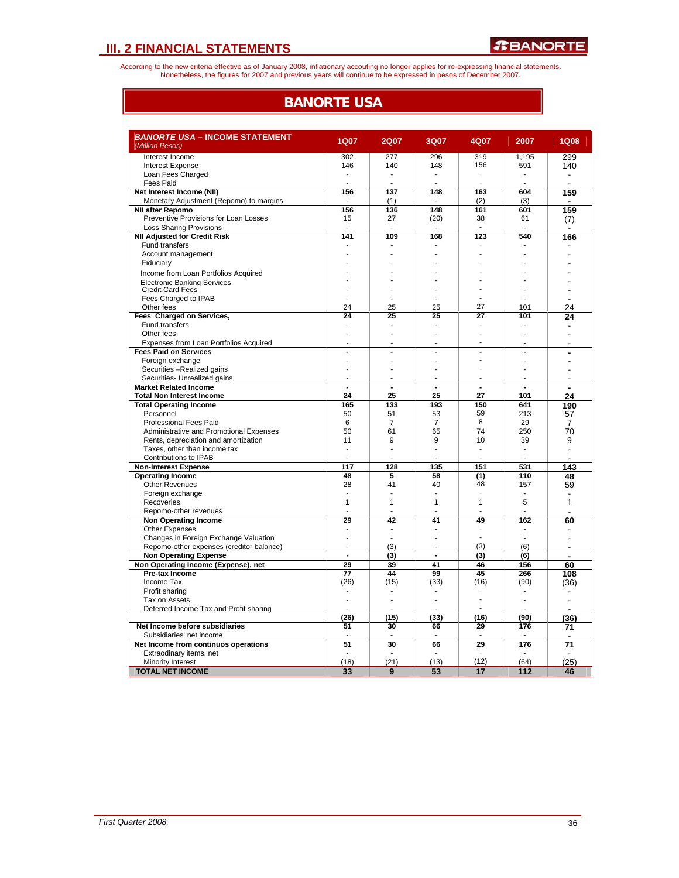According to the new criteria effective as of January 2008, inflationary accouting no longer applies for re-expressing financial statements.<br>Nonetheless, the figures for 2007 and previous years will continue to be expresse

## **BANORTE USA**

| <b>BANORTE USA - INCOME STATEMENT</b><br>(Million Pesos)              | <b>1Q07</b>    | <b>2Q07</b>              | 3Q07           | 4Q07           | 2007                     | <b>1Q08</b>              |
|-----------------------------------------------------------------------|----------------|--------------------------|----------------|----------------|--------------------------|--------------------------|
|                                                                       |                |                          |                |                |                          |                          |
| Interest Income                                                       | 302            | 277                      | 296            | 319            | 1,195                    | 299                      |
| <b>Interest Expense</b>                                               | 146            | 140                      | 148            | 156            | 591                      | 140                      |
| Loan Fees Charged                                                     |                |                          |                |                |                          |                          |
| Fees Paid                                                             |                |                          |                |                |                          |                          |
| Net Interest Income (NII)                                             | 156<br>$\sim$  | 137                      | 148            | 163            | 604                      | 159                      |
| Monetary Adjustment (Repomo) to margins                               |                | (1)                      |                | (2)            | (3)                      |                          |
| <b>NII after Repomo</b>                                               | 156            | 136                      | 148            | 161            | 601                      | 159                      |
| Preventive Provisions for Loan Losses                                 | 15             | 27                       | (20)           | 38             | 61                       | (7)                      |
| <b>Loss Sharing Provisions</b><br><b>NII Adjusted for Credit Risk</b> | 141            | 109                      | 168            | 123            | 540                      | $\overline{\phantom{a}}$ |
| <b>Fund transfers</b>                                                 |                |                          |                |                |                          | 166                      |
| Account management                                                    |                |                          |                |                |                          |                          |
|                                                                       |                |                          |                |                |                          |                          |
| Fiduciary                                                             |                |                          |                |                |                          |                          |
| Income from Loan Portfolios Acquired                                  |                |                          |                |                |                          |                          |
| Electronic Banking Services                                           |                |                          |                |                |                          |                          |
| <b>Credit Card Fees</b>                                               |                |                          |                |                |                          |                          |
| Fees Charged to IPAB                                                  |                |                          |                |                |                          |                          |
| Other fees                                                            | 24             | 25                       | 25             | 27             | 101                      | 24                       |
| Fees Charged on Services,                                             | 24             | 25                       | 25             | 27             | 101                      | 24                       |
| Fund transfers                                                        |                |                          |                |                |                          |                          |
| Other fees                                                            |                |                          |                | ٠              |                          |                          |
| Expenses from Loan Portfolios Acquired                                |                |                          |                |                |                          |                          |
| <b>Fees Paid on Services</b>                                          | $\blacksquare$ | ä,                       | $\blacksquare$ | Ĭ.             |                          |                          |
| Foreign exchange                                                      | ÷              |                          |                | Ē,             |                          |                          |
| Securities -Realized gains                                            | ٠              |                          |                |                |                          |                          |
| Securities- Unrealized gains                                          | ٠              |                          |                |                |                          | $\overline{\phantom{a}}$ |
| <b>Market Related Income</b>                                          | $\overline{a}$ | $\overline{\phantom{a}}$ | $\overline{a}$ | $\overline{a}$ | ÷,                       | $\overline{a}$           |
| <b>Total Non Interest Income</b>                                      | 24             | 25                       | 25             | 27             | 101                      | 24                       |
| <b>Total Operating Income</b>                                         | 165            | 133                      | 193            | 150            | 641                      | 190                      |
| Personnel                                                             | 50             | 51                       | 53             | 59             | 213                      | 57                       |
| <b>Professional Fees Paid</b>                                         | 6              | $\overline{7}$           | $\overline{7}$ | 8              | 29                       | 7                        |
| Administrative and Promotional Expenses                               | 50             | 61                       | 65             | 74             | 250                      | 70                       |
| Rents, depreciation and amortization                                  | 11             | 9                        | 9              | 10             | 39                       | 9                        |
| Taxes, other than income tax                                          | ä,             | J.                       |                | $\overline{a}$ | ÷.                       | $\overline{a}$           |
| Contributions to IPAB                                                 | ÷              |                          |                |                |                          |                          |
| <b>Non-Interest Expense</b>                                           | 117            | 128                      | 135            | 151            | 531                      | 143                      |
| <b>Operating Income</b>                                               | 48             | 5                        | 58             | (1)            | 110                      | 48                       |
| <b>Other Revenues</b>                                                 | 28             | 41                       | 40             | 48             | 157                      | 59                       |
| Foreign exchange                                                      | ÷              | ÷.                       | ÷              | ۰              | ÷                        |                          |
| Recoveries                                                            | $\mathbf{1}$   | 1                        | 1              | 1              | 5                        | 1                        |
| Repomo-other revenues                                                 |                |                          |                |                | $\overline{\phantom{a}}$ |                          |
| <b>Non Operating Income</b>                                           | 29             | 42                       | 41             | 49             | 162                      | 60                       |
| <b>Other Expenses</b>                                                 | ٠              | ٠                        |                |                |                          | ٠                        |
| Changes in Foreign Exchange Valuation                                 |                |                          |                | ä,             |                          |                          |
| Repomo-other expenses (creditor balance)                              | ä,             | (3)                      |                | (3)            | (6)                      |                          |
| <b>Non Operating Expense</b>                                          | $\overline{a}$ | (3)                      | $\overline{a}$ | (3)            | (6)                      | $\blacksquare$           |
| Non Operating Income (Expense), net                                   | 29             | 39                       | 41             | 46             | 156                      | 60                       |
| <b>Pre-tax Income</b>                                                 | 77             | 44                       | 99             | 45             | 266                      | 108                      |
| Income Tax                                                            | (26)           | (15)                     | (33)           | (16)           | (90)                     | (36)                     |
| Profit sharing                                                        |                |                          |                |                |                          |                          |
| Tax on Assets                                                         | ÷              | J.                       |                |                | $\overline{a}$           |                          |
| Deferred Income Tax and Profit sharing                                |                |                          |                |                |                          |                          |
|                                                                       | (26)           | (15)                     | (33)           | (16)           | (90)                     | (36)                     |
| Net Income before subsidiaries                                        | 51             | 30                       | 66             | 29             | 176                      | 71                       |
| Subsidiaries' net income                                              |                | ÷.                       |                |                |                          |                          |
| Net Income from continuos operations                                  | 51             | 30                       | 66             | 29             | 176                      | 71                       |
| Extraodinary items, net                                               |                |                          |                |                |                          |                          |
| <b>Minority Interest</b>                                              | (18)           | (21)                     | (13)           | (12)           | (64)                     | (25)                     |
| <b>TOTAL NET INCOME</b>                                               | 33             | 9                        | 53             | 17             | 112                      | 46                       |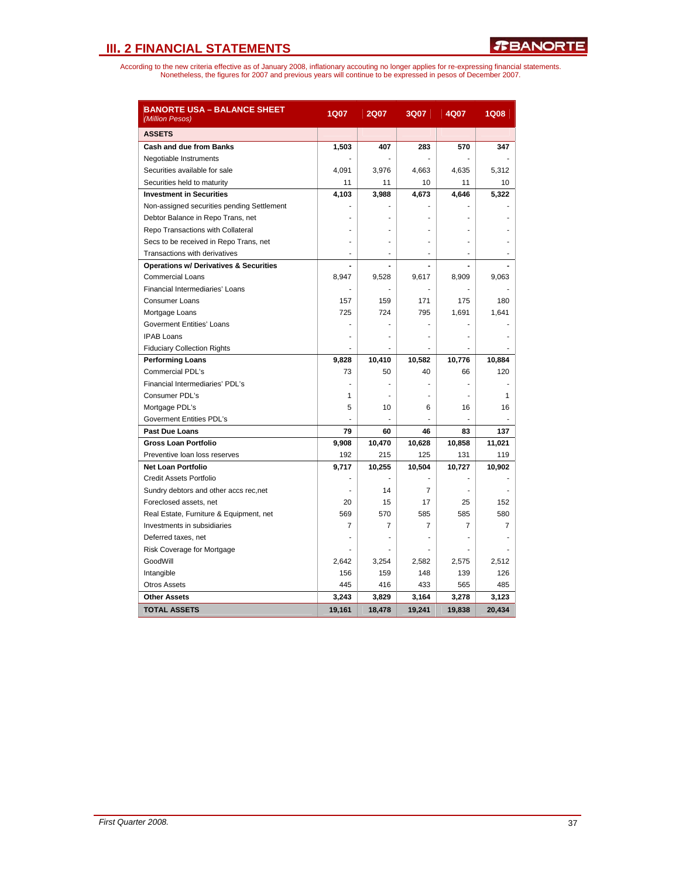| <b>BANORTE USA – BALANCE SHEET</b><br>(Million Pesos) | <b>1Q07</b> | <b>2Q07</b> | 3Q07           | 4Q07           | <b>1Q08</b>  |
|-------------------------------------------------------|-------------|-------------|----------------|----------------|--------------|
| <b>ASSETS</b>                                         |             |             |                |                |              |
| <b>Cash and due from Banks</b>                        | 1,503       | 407         | 283            | 570            | 347          |
| Negotiable Instruments                                |             |             |                |                |              |
| Securities available for sale                         | 4,091       | 3,976       | 4,663          | 4,635          | 5,312        |
| Securities held to maturity                           | 11          | 11          | 10             | 11             | 10           |
| <b>Investment in Securities</b>                       | 4,103       | 3,988       | 4,673          | 4,646          | 5,322        |
| Non-assigned securities pending Settlement            |             |             |                |                |              |
| Debtor Balance in Repo Trans, net                     |             |             |                |                |              |
| Repo Transactions with Collateral                     |             |             |                |                |              |
| Secs to be received in Repo Trans, net                |             |             |                |                |              |
| Transactions with derivatives                         | ٠           | ٠           | ٠              | ٠              |              |
| <b>Operations w/ Derivatives &amp; Securities</b>     |             |             |                |                |              |
| <b>Commercial Loans</b>                               | 8,947       | 9,528       | 9,617          | 8,909          | 9,063        |
| Financial Intermediaries' Loans                       |             |             |                |                |              |
| <b>Consumer Loans</b>                                 | 157         | 159         | 171            | 175            | 180          |
| Mortgage Loans                                        | 725         | 724         | 795            | 1.691          | 1,641        |
| <b>Goverment Entities' Loans</b>                      |             |             |                |                |              |
| <b>IPAB Loans</b>                                     |             | L.          |                |                |              |
| <b>Fiduciary Collection Rights</b>                    |             |             |                |                |              |
| <b>Performing Loans</b>                               | 9,828       | 10,410      | 10,582         | 10,776         | 10,884       |
| <b>Commercial PDL's</b>                               | 73          | 50          | 40             | 66             | 120          |
| Financial Intermediaries' PDL's                       |             |             |                |                |              |
| Consumer PDL's                                        | 1           |             |                |                | $\mathbf{1}$ |
| Mortgage PDL's                                        | 5           | 10          | 6              | 16             | 16           |
| <b>Goverment Entities PDL's</b>                       |             |             |                |                |              |
| Past Due Loans                                        | 79          | 60          | 46             | 83             | 137          |
| <b>Gross Loan Portfolio</b>                           | 9,908       | 10,470      | 10,628         | 10,858         | 11,021       |
| Preventive loan loss reserves                         | 192         | 215         | 125            | 131            | 119          |
| <b>Net Loan Portfolio</b>                             | 9,717       | 10,255      | 10,504         | 10,727         | 10,902       |
| <b>Credit Assets Portfolio</b>                        |             |             |                |                |              |
| Sundry debtors and other accs rec,net                 |             | 14          | $\overline{7}$ |                |              |
| Foreclosed assets, net                                | 20          | 15          | 17             | 25             | 152          |
| Real Estate, Furniture & Equipment, net               | 569         | 570         | 585            | 585            | 580          |
| Investments in subsidiaries                           | 7           | 7           | $\overline{7}$ | $\overline{7}$ | 7            |
| Deferred taxes, net                                   |             | ä,          |                |                |              |
| Risk Coverage for Mortgage                            |             |             |                |                |              |
| GoodWill                                              | 2,642       | 3,254       | 2,582          | 2,575          | 2,512        |
| Intangible                                            | 156         | 159         | 148            | 139            | 126          |
| <b>Otros Assets</b>                                   | 445         | 416         | 433            | 565            | 485          |
| <b>Other Assets</b>                                   | 3,243       | 3,829       | 3,164          | 3,278          | 3,123        |
| <b>TOTAL ASSETS</b>                                   | 19,161      | 18.478      | 19.241         | 19,838         | 20.434       |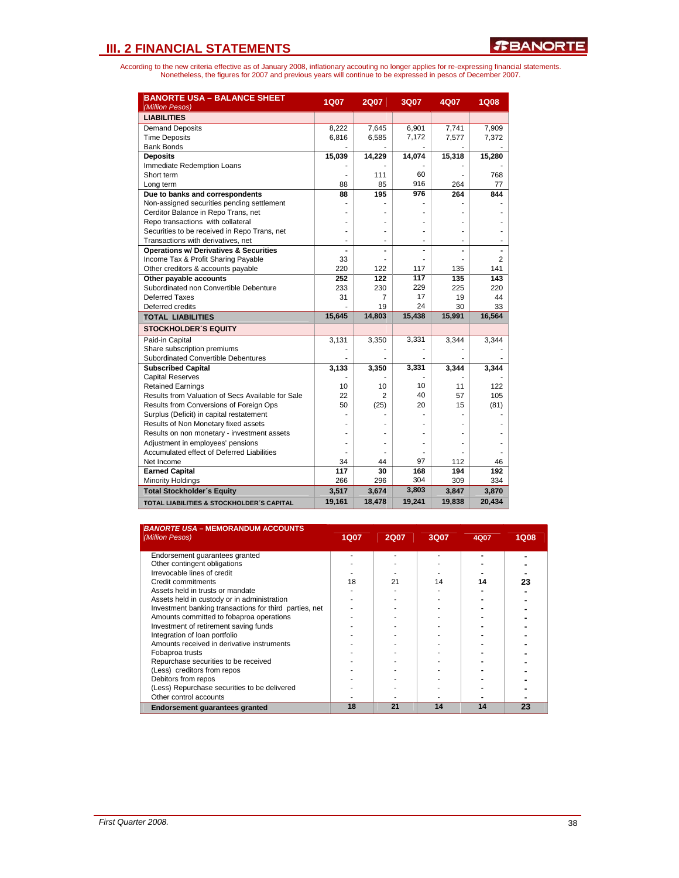| <b>BANORTE USA - BALANCE SHEET</b><br>(Million Pesos) | <b>1Q07</b> | <b>2Q07</b>    | 3Q07   | 4Q07   | <b>1Q08</b>    |
|-------------------------------------------------------|-------------|----------------|--------|--------|----------------|
| <b>LIABILITIES</b>                                    |             |                |        |        |                |
| Demand Deposits                                       | 8,222       | 7,645          | 6,901  | 7,741  | 7,909          |
| <b>Time Deposits</b>                                  | 6,816       | 6,585          | 7,172  | 7,577  | 7,372          |
| <b>Bank Bonds</b>                                     |             |                |        |        |                |
| <b>Deposits</b>                                       | 15,039      | 14,229         | 14,074 | 15,318 | 15,280         |
| Immediate Redemption Loans                            |             |                |        |        |                |
| Short term                                            |             | 111            | 60     |        | 768            |
| Long term                                             | 88          | 85             | 916    | 264    | 77             |
| Due to banks and correspondents                       | 88          | 195            | 976    | 264    | 844            |
| Non-assigned securities pending settlement            |             |                |        |        |                |
| Cerditor Balance in Repo Trans, net                   |             |                |        |        |                |
| Repo transactions with collateral                     |             |                |        |        |                |
| Securities to be received in Repo Trans, net          |             |                |        |        |                |
| Transactions with derivatives, net                    | ÷           | ÷              |        |        |                |
| <b>Operations w/ Derivatives &amp; Securities</b>     |             |                | ٠      |        |                |
| Income Tax & Profit Sharing Payable                   | 33          |                |        |        | $\overline{c}$ |
| Other creditors & accounts payable                    | 220         | 122            | 117    | 135    | 141            |
| Other payable accounts                                | 252         | 122            | 117    | 135    | 143            |
| Subordinated non Convertible Debenture                | 233         | 230            | 229    | 225    | 220            |
| Deferred Taxes                                        | 31          | 7              | 17     | 19     | 44             |
| Deferred credits                                      |             | 19             | 24     | 30     | 33             |
| <b>TOTAL LIABILITIES</b>                              | 15,645      | 14,803         | 15,438 | 15,991 | 16,564         |
| <b>STOCKHOLDER'S EQUITY</b>                           |             |                |        |        |                |
| Paid-in Capital                                       | 3,131       | 3,350          | 3,331  | 3,344  | 3,344          |
| Share subscription premiums                           |             |                |        |        |                |
| Subordinated Convertible Debentures                   |             |                |        |        |                |
| <b>Subscribed Capital</b>                             | 3,133       | 3,350          | 3,331  | 3,344  | 3,344          |
| <b>Capital Reserves</b>                               |             |                |        |        |                |
| <b>Retained Earnings</b>                              | 10          | 10             | 10     | 11     | 122            |
| Results from Valuation of Secs Available for Sale     | 22          | $\overline{c}$ | 40     | 57     | 105            |
| Results from Conversions of Foreign Ops               | 50          | (25)           | 20     | 15     | (81)           |
| Surplus (Deficit) in capital restatement              |             |                |        |        |                |
| Results of Non Monetary fixed assets                  |             |                |        |        |                |
| Results on non monetary - investment assets           |             |                |        |        |                |
| Adjustment in employees' pensions                     |             |                |        |        |                |
| Accumulated effect of Deferred Liabilities            |             |                |        |        |                |
| Net Income                                            | 34          | 44             | 97     | 112    | 46             |
| <b>Earned Capital</b>                                 | 117         | 30             | 168    | 194    | 192            |
| <b>Minority Holdings</b>                              | 266         | 296            | 304    | 309    | 334            |
| <b>Total Stockholder's Equity</b>                     | 3,517       | 3,674          | 3,803  | 3,847  | 3,870          |
| <b>TOTAL LIABILITIES &amp; STOCKHOLDER'S CAPITAL</b>  | 19,161      | 18,478         | 19,241 | 19,838 | 20,434         |

| <b>BANORTE USA - MEMORANDUM ACCOUNTS</b><br>(Million Pesos) | <b>1Q07</b> | <b>2Q07</b> | 3Q07 | 4Q07 | <b>1Q08</b> |
|-------------------------------------------------------------|-------------|-------------|------|------|-------------|
| Endorsement quarantees granted                              |             |             |      |      |             |
| Other contingent obligations                                |             |             |      |      |             |
| Irrevocable lines of credit                                 |             |             |      |      |             |
| Credit commitments                                          | 18          | 21          | 14   | 14   | 23          |
| Assets held in trusts or mandate                            |             |             |      |      |             |
| Assets held in custody or in administration                 |             |             |      |      |             |
| Investment banking transactions for third parties, net      |             |             |      |      |             |
| Amounts committed to fobaproa operations                    |             |             |      |      |             |
| Investment of retirement saving funds                       |             |             |      |      |             |
| Integration of loan portfolio                               |             |             |      |      |             |
| Amounts received in derivative instruments                  |             |             |      |      |             |
| Fobaproa trusts                                             |             |             |      |      |             |
| Repurchase securities to be received                        |             |             |      |      |             |
| (Less) creditors from repos                                 |             |             |      |      |             |
| Debitors from repos                                         |             |             |      |      |             |
| (Less) Repurchase securities to be delivered                |             |             |      |      |             |
| Other control accounts                                      |             |             |      |      |             |
| <b>Endorsement quarantees granted</b>                       | 18          | 21          | 14   | 14   | 23          |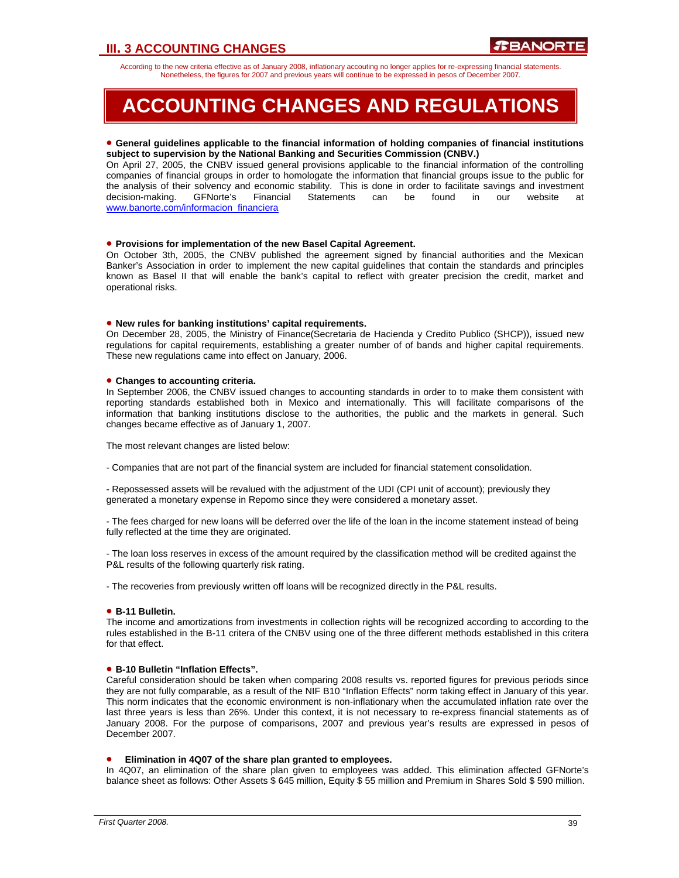## **III. 3 ACCOUNTING CHANGES**

According to the new criteria effective as of January 2008, inflationary accouting no longer applies for re-expressing financial statements. Nonetheless, the figures for 2007 and previous years will continue to be expressed in pesos of December 2007.

## **ACCOUNTING CHANGES AND REGULATIONS**

#### • **General guidelines applicable to the financial information of holding companies of financial institutions subject to supervision by the National Banking and Securities Commission (CNBV.)**

On April 27, 2005, the CNBV issued general provisions applicable to the financial information of the controlling companies of financial groups in order to homologate the information that financial groups issue to the public for the analysis of their solvency and economic stability. This is done in order to facilitate savings and investment<br>decision-making. GFNorte's Financial Statements can be found in our website at decision-making. GFNorte's Financial Statements can be found in our website at www.banorte.com/informacion\_financiera

#### • **Provisions for implementation of the new Basel Capital Agreement.**

On October 3th, 2005, the CNBV published the agreement signed by financial authorities and the Mexican Banker's Association in order to implement the new capital guidelines that contain the standards and principles known as Basel II that will enable the bank's capital to reflect with greater precision the credit, market and operational risks.

#### • **New rules for banking institutions' capital requirements.**

On December 28, 2005, the Ministry of Finance(Secretaria de Hacienda y Credito Publico (SHCP)), issued new regulations for capital requirements, establishing a greater number of of bands and higher capital requirements. These new regulations came into effect on January, 2006.

#### • **Changes to accounting criteria.**

In September 2006, the CNBV issued changes to accounting standards in order to to make them consistent with reporting standards established both in Mexico and internationally. This will facilitate comparisons of the information that banking institutions disclose to the authorities, the public and the markets in general. Such changes became effective as of January 1, 2007.

The most relevant changes are listed below:

- Companies that are not part of the financial system are included for financial statement consolidation.

- Repossessed assets will be revalued with the adjustment of the UDI (CPI unit of account); previously they generated a monetary expense in Repomo since they were considered a monetary asset.

- The fees charged for new loans will be deferred over the life of the loan in the income statement instead of being fully reflected at the time they are originated.

- The loan loss reserves in excess of the amount required by the classification method will be credited against the P&L results of the following quarterly risk rating.

- The recoveries from previously written off loans will be recognized directly in the P&L results.

#### • **B-11 Bulletin.**

The income and amortizations from investments in collection rights will be recognized according to according to the rules established in the B-11 critera of the CNBV using one of the three different methods established in this critera for that effect.

#### • **B-10 Bulletin "Inflation Effects".**

Careful consideration should be taken when comparing 2008 results vs. reported figures for previous periods since they are not fully comparable, as a result of the NIF B10 "Inflation Effects" norm taking effect in January of this year. This norm indicates that the economic environment is non-inflationary when the accumulated inflation rate over the last three years is less than 26%. Under this context, it is not necessary to re-express financial statements as of January 2008. For the purpose of comparisons, 2007 and previous year's results are expressed in pesos of December 2007.

#### • **Elimination in 4Q07 of the share plan granted to employees.**

In 4Q07, an elimination of the share plan given to employees was added. This elimination affected GFNorte's balance sheet as follows: Other Assets \$ 645 million, Equity \$ 55 million and Premium in Shares Sold \$ 590 million.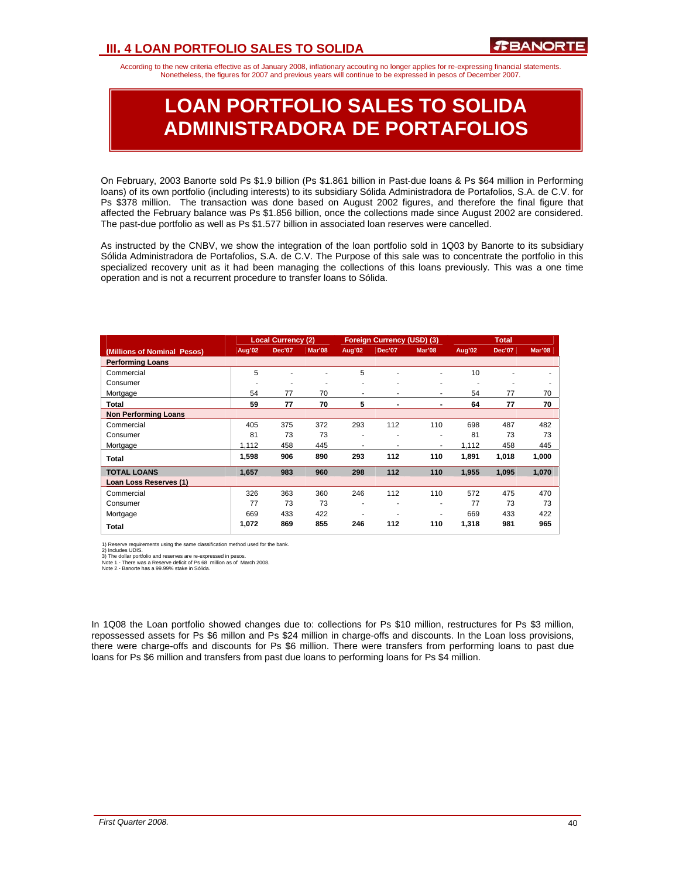## **III. 4 LOAN PORTFOLIO SALES TO SOLIDA**

According to the new criteria effective as of January 2008, inflationary accouting no longer applies for re-expressing financial statements. Nonetheless, the figures for 2007 and previous years will continue to be expressed in pesos of December 2007.

## **LOAN PORTFOLIO SALES TO SOLIDA ADMINISTRADORA DE PORTAFOLIOS**

On February, 2003 Banorte sold Ps \$1.9 billion (Ps \$1.861 billion in Past-due loans & Ps \$64 million in Performing loans) of its own portfolio (including interests) to its subsidiary Sólida Administradora de Portafolios, S.A. de C.V. for Ps \$378 million. The transaction was done based on August 2002 figures, and therefore the final figure that affected the February balance was Ps \$1.856 billion, once the collections made since August 2002 are considered. The past-due portfolio as well as Ps \$1.577 billion in associated loan reserves were cancelled.

As instructed by the CNBV, we show the integration of the loan portfolio sold in 1Q03 by Banorte to its subsidiary Sólida Administradora de Portafolios, S.A. de C.V. The Purpose of this sale was to concentrate the portfolio in this specialized recovery unit as it had been managing the collections of this loans previously. This was a one time operation and is not a recurrent procedure to transfer loans to Sólida.

|                             |        | <b>Local Currency (2)</b> |        |        | <b>Foreign Currency (USD) (3)</b> |        |        | <b>Total</b>  |        |
|-----------------------------|--------|---------------------------|--------|--------|-----------------------------------|--------|--------|---------------|--------|
| (Millions of Nominal Pesos) | Aug'02 | <b>Dec'07</b>             | Mar'08 | Aug'02 | Dec'07                            | Mar'08 | Aug'02 | <b>Dec'07</b> | Mar'08 |
| <b>Performing Loans</b>     |        |                           |        |        |                                   |        |        |               |        |
| Commercial                  | 5      |                           |        | 5      | ٠                                 | ٠      | 10     |               |        |
| Consumer                    | ۰      | ۰                         |        | ۰      | ۰                                 | ٠      | ٠      | ۰             | ۰      |
| Mortgage                    | 54     | 77                        | 70     | ۰      | ٠                                 | ٠      | 54     | 77            | 70     |
| Total                       | 59     | 77                        | 70     | 5      | $\blacksquare$                    |        | 64     | 77            | 70     |
| <b>Non Performing Loans</b> |        |                           |        |        |                                   |        |        |               |        |
| Commercial                  | 405    | 375                       | 372    | 293    | 112                               | 110    | 698    | 487           | 482    |
| Consumer                    | 81     | 73                        | 73     | ۰      | ۰                                 | ۰      | 81     | 73            | 73     |
| Mortgage                    | 1.112  | 458                       | 445    | ۰      | ۰                                 | ٠      | 1.112  | 458           | 445    |
| Total                       | 1,598  | 906                       | 890    | 293    | 112                               | 110    | 1,891  | 1,018         | 1,000  |
| <b>TOTAL LOANS</b>          | 1,657  | 983                       | 960    | 298    | 112                               | 110    | 1,955  | 1,095         | 1,070  |
| Loan Loss Reserves (1)      |        |                           |        |        |                                   |        |        |               |        |
| Commercial                  | 326    | 363                       | 360    | 246    | 112                               | 110    | 572    | 475           | 470    |
| Consumer                    | 77     | 73                        | 73     | ۰      | ۰                                 | ۰      | 77     | 73            | 73     |
| Mortgage                    | 669    | 433                       | 422    | ۰      | ۰                                 | ۰      | 669    | 433           | 422    |
| Total                       | 1,072  | 869                       | 855    | 246    | 112                               | 110    | 1,318  | 981           | 965    |

1) Reserve requirements using the same classification method used for the bank.<br>2) Includes UDIS.<br>3) The dollar portfolio and reserves are re-expressed in pesos.<br>Note 1. - There was a Reserve deficit of Ps 68 million as of

In 1Q08 the Loan portfolio showed changes due to: collections for Ps \$10 million, restructures for Ps \$3 million, repossessed assets for Ps \$6 millon and Ps \$24 million in charge-offs and discounts. In the Loan loss provisions, there were charge-offs and discounts for Ps \$6 million. There were transfers from performing loans to past due loans for Ps \$6 million and transfers from past due loans to performing loans for Ps \$4 million.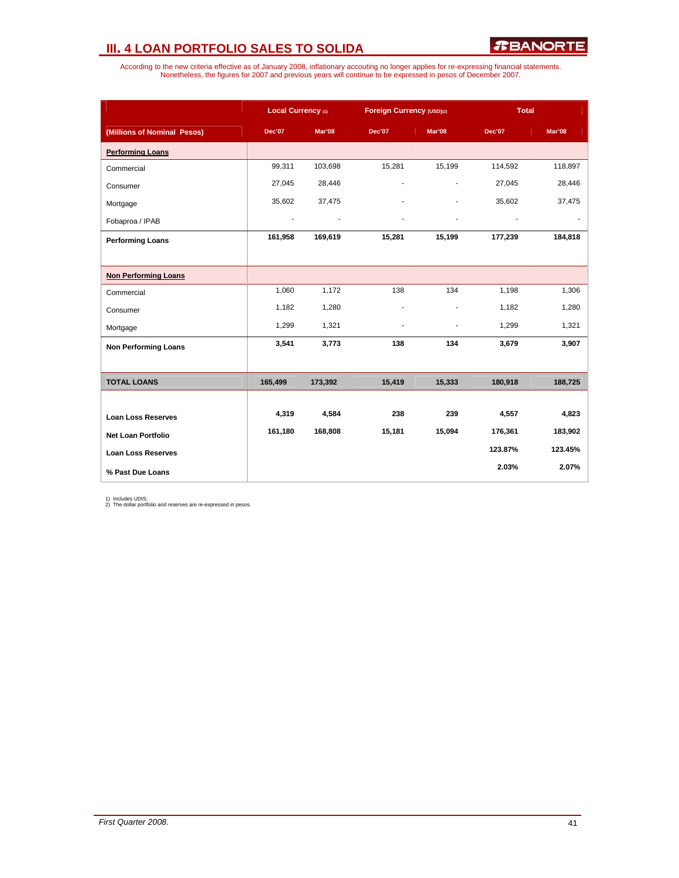## **III. 4 LOAN PORTFOLIO SALES TO SOLIDA**

According to the new criteria effective as of January 2008, inflationary accouting no longer applies for re-expressing financial statements.<br>Nonetheless, the figures for 2007 and previous years will continue to be expresse

|                             | Local Currency (1) |               | Foreign Currency (USD)(2) |                | <b>Total</b>  |         |
|-----------------------------|--------------------|---------------|---------------------------|----------------|---------------|---------|
| (Millions of Nominal Pesos) | <b>Dec'07</b>      | <b>Mar'08</b> | <b>Dec'07</b>             | Mar'08         | <b>Dec'07</b> | Mar'08  |
| <b>Performing Loans</b>     |                    |               |                           |                |               |         |
| Commercial                  | 99,311             | 103,698       | 15,281                    | 15,199         | 114,592       | 118,897 |
| Consumer                    | 27,045             | 28,446        |                           | $\overline{a}$ | 27,045        | 28,446  |
| Mortgage                    | 35,602             | 37,475        |                           |                | 35,602        | 37,475  |
| Fobaproa / IPAB             |                    |               |                           |                |               |         |
| <b>Performing Loans</b>     | 161,958            | 169,619       | 15,281                    | 15,199         | 177,239       | 184,818 |
|                             |                    |               |                           |                |               |         |
| <b>Non Performing Loans</b> |                    |               |                           |                |               |         |
| Commercial                  | 1,060              | 1,172         | 138                       | 134            | 1,198         | 1,306   |
| Consumer                    | 1,182              | 1,280         |                           |                | 1,182         | 1,280   |
| Mortgage                    | 1,299              | 1,321         | ٠                         | $\blacksquare$ | 1,299         | 1,321   |
| <b>Non Performing Loans</b> | 3,541              | 3,773         | 138                       | 134            | 3,679         | 3,907   |
|                             |                    |               |                           |                |               |         |
| <b>TOTAL LOANS</b>          | 165,499            | 173,392       | 15,419                    | 15,333         | 180,918       | 188,725 |
|                             |                    |               |                           |                |               |         |
| <b>Loan Loss Reserves</b>   | 4,319              | 4,584         | 238                       | 239            | 4,557         | 4,823   |
| <b>Net Loan Portfolio</b>   | 161,180            | 168,808       | 15,181                    | 15,094         | 176,361       | 183,902 |
| <b>Loan Loss Reserves</b>   |                    |               |                           |                | 123.87%       | 123.45% |
| % Past Due Loans            |                    |               |                           |                | 2.03%         | 2.07%   |

1) Includes UDIS. 2) The dollar portfolio and reserves are re-expressed in pesos.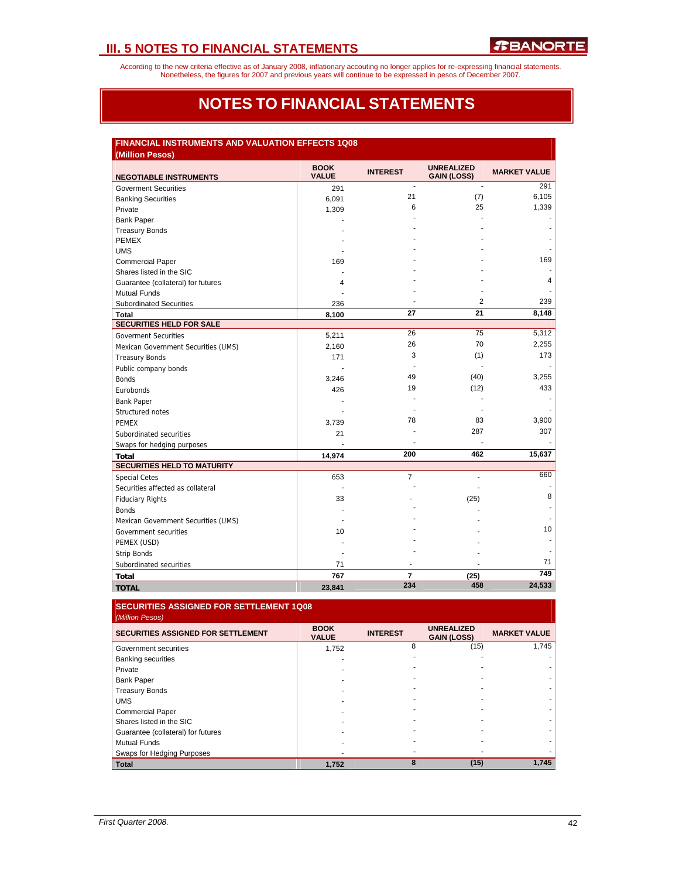According to the new criteria effective as of January 2008, inflationary accouting no longer applies for re-expressing financial statements.<br>Nonetheless, the figures for 2007 and previous years will continue to be expresse

## **NOTES TO FINANCIAL STATEMENTS**

## **FINANCIAL INSTRUMENTS AND VALUATION EFFECTS 1Q08**

| (Million Pesos)                     |                             |                 |                                         |                     |
|-------------------------------------|-----------------------------|-----------------|-----------------------------------------|---------------------|
| <b>NEGOTIABLE INSTRUMENTS</b>       | <b>BOOK</b><br><b>VALUE</b> | <b>INTEREST</b> | <b>UNREALIZED</b><br><b>GAIN (LOSS)</b> | <b>MARKET VALUE</b> |
| <b>Goverment Securities</b>         | 291                         | $\blacksquare$  | $\blacksquare$                          | 291                 |
| <b>Banking Securities</b>           | 6,091                       | 21              | (7)                                     | 6,105               |
| Private                             | 1,309                       | 6               | 25                                      | 1,339               |
| <b>Bank Paper</b>                   |                             |                 |                                         |                     |
| <b>Treasury Bonds</b>               |                             |                 |                                         |                     |
| <b>PEMEX</b>                        |                             |                 |                                         |                     |
| <b>UMS</b>                          |                             |                 |                                         |                     |
| <b>Commercial Paper</b>             | 169                         |                 |                                         | 169                 |
| Shares listed in the SIC            |                             |                 |                                         |                     |
| Guarantee (collateral) for futures  | 4                           |                 |                                         | 4                   |
| <b>Mutual Funds</b>                 |                             |                 |                                         |                     |
| <b>Subordinated Securities</b>      | 236                         |                 | $\overline{2}$                          | 239                 |
| Total                               | 8,100                       | 27              | 21                                      | 8,148               |
| <b>SECURITIES HELD FOR SALE</b>     |                             |                 |                                         |                     |
| <b>Goverment Securities</b>         | 5,211                       | 26              | 75                                      | 5,312               |
| Mexican Government Securities (UMS) | 2,160                       | 26              | 70                                      | 2,255               |
| <b>Treasury Bonds</b>               | 171                         | 3               | (1)                                     | 173                 |
| Public company bonds                |                             |                 | ä,                                      |                     |
| <b>Bonds</b>                        | 3,246                       | 49              | (40)                                    | 3,255               |
| Eurobonds                           | 426                         | 19              | (12)                                    | 433                 |
| <b>Bank Paper</b>                   |                             |                 |                                         |                     |
| Structured notes                    |                             |                 |                                         |                     |
| <b>PEMEX</b>                        | 3,739                       | 78              | 83                                      | 3,900               |
| Subordinated securities             | 21                          |                 | 287                                     | 307                 |
| Swaps for hedging purposes          |                             |                 |                                         |                     |
| <b>Total</b>                        | 14,974                      | 200             | 462                                     | 15,637              |
| <b>SECURITIES HELD TO MATURITY</b>  |                             |                 |                                         |                     |
| <b>Special Cetes</b>                | 653                         | $\overline{7}$  |                                         | 660                 |
| Securities affected as collateral   |                             |                 |                                         |                     |
| <b>Fiduciary Rights</b>             | 33                          |                 | (25)                                    | 8                   |
| <b>Bonds</b>                        |                             |                 |                                         |                     |
| Mexican Government Securities (UMS) |                             |                 |                                         |                     |
| Government securities               | 10                          |                 |                                         | 10                  |
| PEMEX (USD)                         |                             |                 |                                         |                     |
| <b>Strip Bonds</b>                  |                             |                 |                                         |                     |
| Subordinated securities             | 71                          |                 |                                         | 71                  |
| Total                               | 767                         | $\overline{7}$  | (25)                                    | 749                 |
| <b>TOTAL</b>                        | 23,841                      | 234             | 458                                     | 24,533              |

#### **SECURITIES ASSIGNED FOR SETTLEMENT 1Q08**  *(Million Pesos)*

| <b>SECURITIES ASSIGNED FOR SETTLEMENT</b> | <b>BOOK</b><br><b>VALUE</b> | <b>INTEREST</b> | <b>UNREALIZED</b><br><b>GAIN (LOSS)</b> | <b>MARKET VALUE</b> |
|-------------------------------------------|-----------------------------|-----------------|-----------------------------------------|---------------------|
| Government securities                     | 1,752                       | 8               | (15)                                    | 1.745               |
| <b>Banking securities</b>                 |                             |                 |                                         |                     |
| Private                                   |                             |                 |                                         |                     |
| <b>Bank Paper</b>                         |                             |                 |                                         |                     |
| <b>Treasury Bonds</b>                     |                             |                 |                                         |                     |
| <b>UMS</b>                                |                             |                 |                                         |                     |
| <b>Commercial Paper</b>                   |                             |                 |                                         |                     |
| Shares listed in the SIC                  |                             |                 |                                         |                     |
| Guarantee (collateral) for futures        |                             |                 |                                         |                     |
| <b>Mutual Funds</b>                       |                             |                 |                                         |                     |
| Swaps for Hedging Purposes                |                             |                 |                                         |                     |
| <b>Total</b>                              | 1,752                       | 8               | (15)                                    | 1.745               |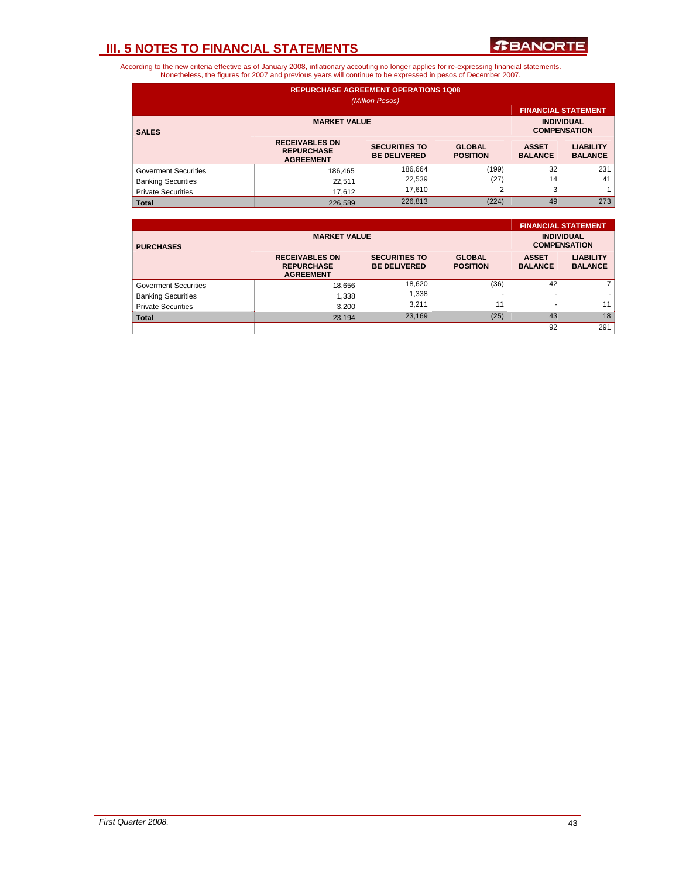

| <b>REPURCHASE AGREEMENT OPERATIONS 1Q08</b><br>(Million Pesos) |                                                                |                                             |                                          |                                |                                    |  |  |  |  |
|----------------------------------------------------------------|----------------------------------------------------------------|---------------------------------------------|------------------------------------------|--------------------------------|------------------------------------|--|--|--|--|
|                                                                |                                                                |                                             |                                          | <b>FINANCIAL STATEMENT</b>     |                                    |  |  |  |  |
| <b>SALES</b>                                                   | <b>MARKET VALUE</b>                                            |                                             | <b>INDIVIDUAL</b><br><b>COMPENSATION</b> |                                |                                    |  |  |  |  |
|                                                                | <b>RECEIVABLES ON</b><br><b>REPURCHASE</b><br><b>AGREEMENT</b> | <b>SECURITIES TO</b><br><b>BE DELIVERED</b> | <b>GLOBAL</b><br><b>POSITION</b>         | <b>ASSET</b><br><b>BALANCE</b> | <b>LIABILITY</b><br><b>BALANCE</b> |  |  |  |  |
| <b>Goverment Securities</b>                                    | 186.465                                                        | 186,664                                     | (199)                                    | 32                             | 231                                |  |  |  |  |
| <b>Banking Securities</b>                                      | 22.511                                                         | 22,539                                      | (27)                                     | 14                             | 41                                 |  |  |  |  |
| <b>Private Securities</b>                                      | 17.612                                                         | 3                                           |                                          |                                |                                    |  |  |  |  |
| <b>Total</b>                                                   | 226,589                                                        | 226,813                                     | (224)                                    | 49                             | 273                                |  |  |  |  |

|                             |                                                                |                                             |                                          |                                | <b>FINANCIAL STATEMENT</b>         |
|-----------------------------|----------------------------------------------------------------|---------------------------------------------|------------------------------------------|--------------------------------|------------------------------------|
| <b>PURCHASES</b>            | <b>MARKET VALUE</b>                                            |                                             | <b>INDIVIDUAL</b><br><b>COMPENSATION</b> |                                |                                    |
|                             | <b>RECEIVABLES ON</b><br><b>REPURCHASE</b><br><b>AGREEMENT</b> | <b>SECURITIES TO</b><br><b>BE DELIVERED</b> | <b>GLOBAL</b><br><b>POSITION</b>         | <b>ASSET</b><br><b>BALANCE</b> | <b>LIABILITY</b><br><b>BALANCE</b> |
| <b>Goverment Securities</b> | 18,656                                                         | 18,620                                      | (36)                                     | 42                             | $\overline{7}$                     |
| <b>Banking Securities</b>   | 1,338                                                          | 1,338                                       |                                          |                                |                                    |
| <b>Private Securities</b>   | 3,200                                                          | 3.211                                       | 11                                       |                                | 11                                 |
| <b>Total</b>                | 23,194                                                         | 23,169                                      | (25)                                     | 43                             | 18                                 |
|                             |                                                                |                                             |                                          | 92                             | 291                                |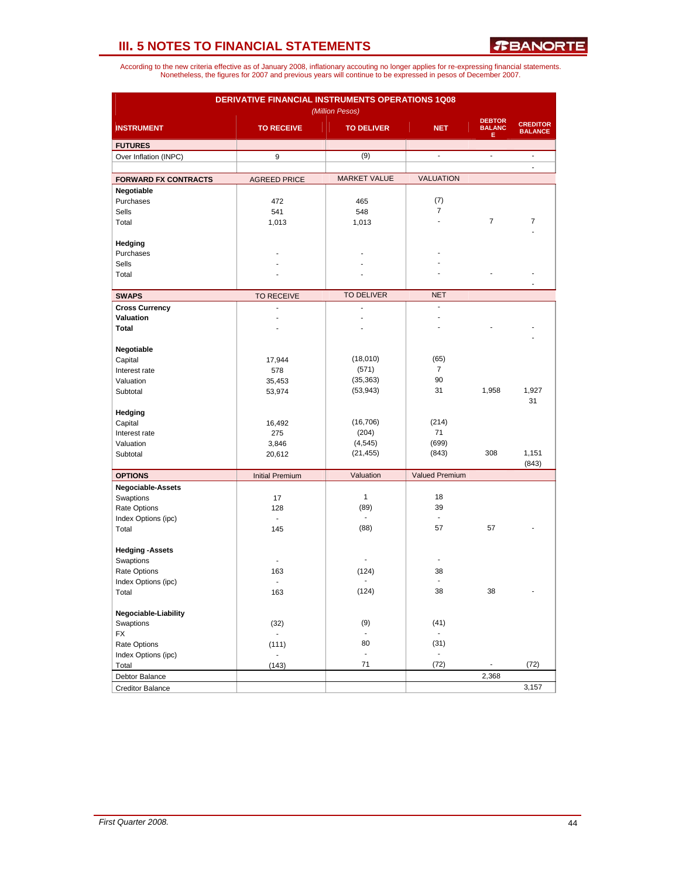| <b>DERIVATIVE FINANCIAL INSTRUMENTS OPERATIONS 1Q08</b><br>(Million Pesos) |                           |                             |                          |                                     |                                   |  |  |  |
|----------------------------------------------------------------------------|---------------------------|-----------------------------|--------------------------|-------------------------------------|-----------------------------------|--|--|--|
| <b>INSTRUMENT</b>                                                          | <b>TO RECEIVE</b>         | <b>TO DELIVER</b>           | <b>NET</b>               | <b>DEBTOR</b><br><b>BALANC</b><br>Е | <b>CREDITOR</b><br><b>BALANCE</b> |  |  |  |
| <b>FUTURES</b>                                                             |                           |                             |                          |                                     |                                   |  |  |  |
| Over Inflation (INPC)                                                      | 9                         | (9)                         | $\overline{\phantom{a}}$ | $\overline{\phantom{a}}$            | $\overline{\phantom{a}}$<br>L.    |  |  |  |
| <b>FORWARD FX CONTRACTS</b>                                                | <b>AGREED PRICE</b>       | <b>MARKET VALUE</b>         | <b>VALUATION</b>         |                                     |                                   |  |  |  |
| Negotiable                                                                 |                           |                             |                          |                                     |                                   |  |  |  |
| Purchases                                                                  | 472                       | 465                         | (7)                      |                                     |                                   |  |  |  |
| Sells                                                                      | 541                       | 548                         | $\overline{7}$           |                                     |                                   |  |  |  |
| Total                                                                      | 1,013                     | 1,013                       | $\overline{a}$           | 7                                   | 7                                 |  |  |  |
| Hedging                                                                    |                           |                             |                          |                                     |                                   |  |  |  |
| Purchases                                                                  |                           |                             |                          |                                     |                                   |  |  |  |
| Sells                                                                      |                           |                             |                          |                                     |                                   |  |  |  |
| Total                                                                      |                           |                             |                          |                                     |                                   |  |  |  |
| <b>SWAPS</b>                                                               | <b>TO RECEIVE</b>         | <b>TO DELIVER</b>           | <b>NET</b>               |                                     |                                   |  |  |  |
| <b>Cross Currency</b>                                                      | $\overline{a}$            | $\overline{a}$              | ÷.                       |                                     |                                   |  |  |  |
| Valuation                                                                  |                           |                             |                          |                                     |                                   |  |  |  |
| <b>Total</b>                                                               |                           |                             |                          |                                     |                                   |  |  |  |
|                                                                            |                           |                             |                          |                                     |                                   |  |  |  |
| Negotiable                                                                 |                           |                             |                          |                                     |                                   |  |  |  |
| Capital                                                                    | 17,944                    | (18,010)                    | (65)                     |                                     |                                   |  |  |  |
| Interest rate                                                              | 578                       | (571)                       | $\overline{7}$           |                                     |                                   |  |  |  |
| Valuation                                                                  | 35,453                    | (35, 363)                   | 90                       |                                     |                                   |  |  |  |
| Subtotal                                                                   | 53,974                    | (53, 943)                   | 31                       | 1,958                               | 1,927<br>31                       |  |  |  |
| Hedging                                                                    |                           |                             |                          |                                     |                                   |  |  |  |
| Capital                                                                    | 16,492                    | (16, 706)                   | (214)                    |                                     |                                   |  |  |  |
| Interest rate                                                              | 275                       | (204)                       | 71                       |                                     |                                   |  |  |  |
| Valuation                                                                  | 3,846                     | (4, 545)                    | (699)                    |                                     |                                   |  |  |  |
| Subtotal                                                                   | 20,612                    | (21, 455)                   | (843)                    | 308                                 | 1,151                             |  |  |  |
|                                                                            |                           | Valuation                   | <b>Valued Premium</b>    |                                     | (843)                             |  |  |  |
| <b>OPTIONS</b>                                                             | <b>Initial Premium</b>    |                             |                          |                                     |                                   |  |  |  |
| Negociable-Assets<br>Swaptions                                             | 17                        | $\mathbf{1}$                | 18                       |                                     |                                   |  |  |  |
| Rate Options                                                               | 128                       | (89)                        | 39                       |                                     |                                   |  |  |  |
| Index Options (ipc)                                                        | $\overline{\phantom{a}}$  | ÷.                          | $\blacksquare$           |                                     |                                   |  |  |  |
| Total                                                                      | 145                       | (88)                        | 57                       | 57                                  |                                   |  |  |  |
|                                                                            |                           |                             |                          |                                     |                                   |  |  |  |
| <b>Hedging -Assets</b>                                                     |                           |                             |                          |                                     |                                   |  |  |  |
| Swaptions                                                                  |                           |                             | $\overline{a}$           |                                     |                                   |  |  |  |
| Rate Options                                                               | 163                       | (124)                       | 38                       |                                     |                                   |  |  |  |
| Index Options (ipc)                                                        | ä,                        | ٠                           | $\blacksquare$           |                                     | ä,                                |  |  |  |
| Total                                                                      | 163                       | (124)                       | 38                       | 38                                  |                                   |  |  |  |
| Negociable-Liability                                                       |                           |                             |                          |                                     |                                   |  |  |  |
| Swaptions                                                                  | (32)                      | (9)                         | (41)                     |                                     |                                   |  |  |  |
| <b>FX</b>                                                                  | $\mathbb{Z}^{\mathbb{Z}}$ |                             | ä,                       |                                     |                                   |  |  |  |
| Rate Options                                                               | (111)                     | 80                          | (31)                     |                                     |                                   |  |  |  |
| Index Options (ipc)                                                        | $\overline{\phantom{a}}$  | $\mathcal{L}_{\mathcal{A}}$ | $\blacksquare$           |                                     |                                   |  |  |  |
| Total                                                                      | (143)                     | 71                          | (72)                     | $\overline{\phantom{a}}$            | (72)                              |  |  |  |
| Debtor Balance                                                             |                           |                             |                          | 2,368                               |                                   |  |  |  |
| <b>Creditor Balance</b>                                                    |                           |                             |                          |                                     | 3,157                             |  |  |  |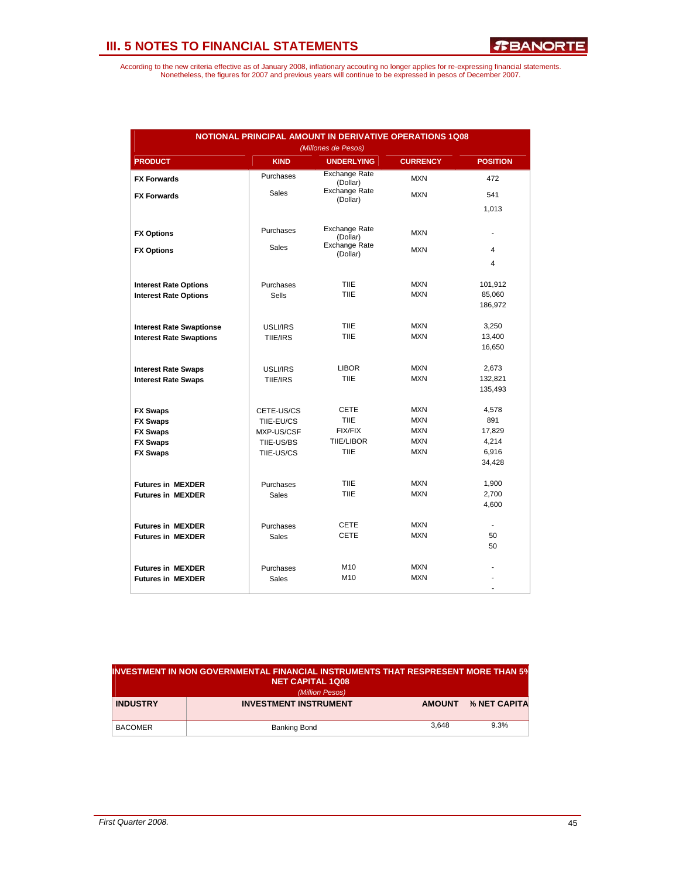| NOTIONAL PRINCIPAL AMOUNT IN DERIVATIVE OPERATIONS 1Q08<br>(Millones de Pesos) |              |                                  |                 |                 |  |  |  |  |  |
|--------------------------------------------------------------------------------|--------------|----------------------------------|-----------------|-----------------|--|--|--|--|--|
| <b>PRODUCT</b>                                                                 | <b>KIND</b>  | <b>UNDERLYING</b>                | <b>CURRENCY</b> | <b>POSITION</b> |  |  |  |  |  |
| <b>FX Forwards</b>                                                             | Purchases    | <b>Exchange Rate</b><br>(Dollar) | <b>MXN</b>      | 472             |  |  |  |  |  |
| <b>FX Forwards</b>                                                             | <b>Sales</b> | <b>Exchange Rate</b><br>(Dollar) | <b>MXN</b>      | 541             |  |  |  |  |  |
|                                                                                |              |                                  |                 | 1,013           |  |  |  |  |  |
| <b>FX Options</b>                                                              | Purchases    | <b>Exchange Rate</b><br>(Dollar) | <b>MXN</b>      | ٠               |  |  |  |  |  |
| <b>FX Options</b>                                                              | <b>Sales</b> | Exchange Rate<br>(Dollar)        | <b>MXN</b>      | 4               |  |  |  |  |  |
|                                                                                |              |                                  |                 | 4               |  |  |  |  |  |
| <b>Interest Rate Options</b>                                                   | Purchases    | <b>TIIE</b>                      | <b>MXN</b>      | 101,912         |  |  |  |  |  |
| <b>Interest Rate Options</b>                                                   | <b>Sells</b> | <b>TIIE</b>                      | <b>MXN</b>      | 85,060          |  |  |  |  |  |
|                                                                                |              |                                  |                 | 186,972         |  |  |  |  |  |
| <b>Interest Rate Swaptionse</b>                                                | USLI/IRS     | <b>TIIE</b>                      | <b>MXN</b>      | 3,250           |  |  |  |  |  |
| <b>Interest Rate Swaptions</b>                                                 | TIIE/IRS     | TIIE                             | <b>MXN</b>      | 13,400          |  |  |  |  |  |
|                                                                                |              |                                  |                 | 16,650          |  |  |  |  |  |
| <b>Interest Rate Swaps</b>                                                     | USLI/IRS     | <b>LIBOR</b>                     | <b>MXN</b>      | 2,673           |  |  |  |  |  |
| <b>Interest Rate Swaps</b>                                                     | TIIE/IRS     | <b>TIIE</b>                      | <b>MXN</b>      | 132,821         |  |  |  |  |  |
|                                                                                |              |                                  |                 | 135,493         |  |  |  |  |  |
| <b>FX Swaps</b>                                                                | CETE-US/CS   | CETE                             | <b>MXN</b>      | 4,578           |  |  |  |  |  |
| <b>FX Swaps</b>                                                                | TIIE-EU/CS   | <b>TIIE</b>                      | <b>MXN</b>      | 891             |  |  |  |  |  |
| <b>FX Swaps</b>                                                                | MXP-US/CSF   | FIX/FIX                          | <b>MXN</b>      | 17,829          |  |  |  |  |  |
| <b>FX Swaps</b>                                                                | TIIE-US/BS   | <b>TIIE/LIBOR</b>                | <b>MXN</b>      | 4,214           |  |  |  |  |  |
| <b>FX Swaps</b>                                                                | TIIE-US/CS   | TIIE                             | <b>MXN</b>      | 6,916           |  |  |  |  |  |
|                                                                                |              |                                  |                 | 34,428          |  |  |  |  |  |
| <b>Futures in MEXDER</b>                                                       | Purchases    | <b>TIIE</b>                      | <b>MXN</b>      | 1,900           |  |  |  |  |  |
| <b>Futures in MEXDER</b>                                                       | <b>Sales</b> | TIIE                             | <b>MXN</b>      | 2,700           |  |  |  |  |  |
|                                                                                |              |                                  |                 | 4,600           |  |  |  |  |  |
| <b>Futures in MEXDER</b>                                                       | Purchases    | <b>CETE</b>                      | <b>MXN</b>      | ÷.              |  |  |  |  |  |
| <b>Futures in MEXDER</b>                                                       | <b>Sales</b> | <b>CETE</b>                      | <b>MXN</b>      | 50              |  |  |  |  |  |
|                                                                                |              |                                  |                 | 50              |  |  |  |  |  |
| <b>Futures in MEXDER</b>                                                       | Purchases    | M10                              | <b>MXN</b>      |                 |  |  |  |  |  |
| <b>Futures in MEXDER</b>                                                       | Sales        | M10                              | <b>MXN</b>      |                 |  |  |  |  |  |
|                                                                                |              |                                  |                 | ٠               |  |  |  |  |  |

| $\,$ investment in non governmental financial instruments that respresent more than 5% $\,$<br>NET CAPITAL 1Q08 |                              |               |              |  |  |  |  |  |  |
|-----------------------------------------------------------------------------------------------------------------|------------------------------|---------------|--------------|--|--|--|--|--|--|
| (Million Pesos)                                                                                                 |                              |               |              |  |  |  |  |  |  |
| <b>INDUSTRY</b>                                                                                                 | <b>INVESTMENT INSTRUMENT</b> | <b>AMOUNT</b> | % NET CAPITA |  |  |  |  |  |  |
| <b>BACOMER</b>                                                                                                  | Banking Bond                 | 3.648         | 9.3%         |  |  |  |  |  |  |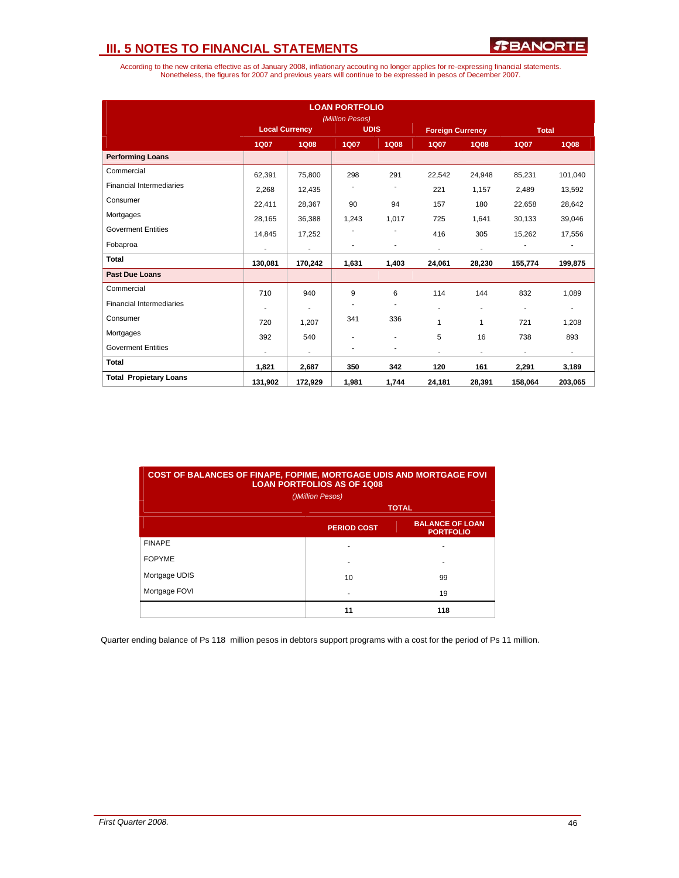According to the new criteria effective as of January 2008, inflationary accouting no longer applies for re-expressing financial statements.<br>Nonetheless, the figures for 2007 and previous years will continue to be expresse

| <b>LOAN PORTFOLIO</b><br>(Million Pesos) |                       |                |             |                          |                         |                |                          |                          |
|------------------------------------------|-----------------------|----------------|-------------|--------------------------|-------------------------|----------------|--------------------------|--------------------------|
|                                          | <b>Local Currency</b> |                | <b>UDIS</b> |                          | <b>Foreign Currency</b> |                | <b>Total</b>             |                          |
|                                          | <b>1Q07</b>           | <b>1Q08</b>    | <b>1Q07</b> | <b>1Q08</b>              | <b>1Q07</b>             | <b>1Q08</b>    | <b>1Q07</b>              | <b>1Q08</b>              |
| <b>Performing Loans</b>                  |                       |                |             |                          |                         |                |                          |                          |
| Commercial                               | 62,391                | 75,800         | 298         | 291                      | 22,542                  | 24,948         | 85,231                   | 101,040                  |
| <b>Financial Intermediaries</b>          | 2,268                 | 12,435         |             |                          | 221                     | 1,157          | 2,489                    | 13,592                   |
| Consumer                                 | 22,411                | 28,367         | 90          | 94                       | 157                     | 180            | 22,658                   | 28,642                   |
| Mortgages                                | 28,165                | 36,388         | 1,243       | 1,017                    | 725                     | 1,641          | 30,133                   | 39,046                   |
| <b>Goverment Entities</b>                | 14,845                | 17,252         |             |                          | 416                     | 305            | 15,262                   | 17,556                   |
| Fobaproa                                 | $\blacksquare$        | $\overline{a}$ |             | ٠                        | $\blacksquare$          | $\blacksquare$ |                          |                          |
| <b>Total</b>                             | 130,081               | 170,242        | 1,631       | 1,403                    | 24,061                  | 28,230         | 155,774                  | 199,875                  |
| <b>Past Due Loans</b>                    |                       |                |             |                          |                         |                |                          |                          |
| Commercial                               | 710                   | 940            | 9           | 6                        | 114                     | 144            | 832                      | 1,089                    |
| <b>Financial Intermediaries</b>          |                       |                | ٠           | $\overline{\phantom{a}}$ | ÷                       | $\blacksquare$ | ٠                        | ٠                        |
| Consumer                                 | 720                   | 1,207          | 341         | 336                      | $\mathbf{1}$            | 1              | 721                      | 1,208                    |
| Mortgages                                | 392                   | 540            |             | ٠                        | 5                       | 16             | 738                      | 893                      |
| <b>Goverment Entities</b>                |                       | ٠              |             | ٠                        | ٠                       | ٠              | $\overline{\phantom{0}}$ | $\overline{\phantom{a}}$ |
| <b>Total</b>                             | 1,821                 | 2,687          | 350         | 342                      | 120                     | 161            | 2,291                    | 3,189                    |
| <b>Total Propietary Loans</b>            | 131,902               | 172.929        | 1,981       | 1,744                    | 24,181                  | 28,391         | 158,064                  | 203,065                  |

| <b>COST OF BALANCES OF FINAPE, FOPIME, MORTGAGE UDIS AND MORTGAGE FOVI</b><br><b>LOAN PORTFOLIOS AS OF 1Q08</b> |                    |                                            |  |  |  |  |  |  |  |
|-----------------------------------------------------------------------------------------------------------------|--------------------|--------------------------------------------|--|--|--|--|--|--|--|
| ()Million Pesos)                                                                                                |                    |                                            |  |  |  |  |  |  |  |
| <b>TOTAL</b>                                                                                                    |                    |                                            |  |  |  |  |  |  |  |
|                                                                                                                 | <b>PERIOD COST</b> | <b>BALANCE OF LOAN</b><br><b>PORTFOLIO</b> |  |  |  |  |  |  |  |
| <b>FINAPE</b>                                                                                                   |                    |                                            |  |  |  |  |  |  |  |
| <b>FOPYME</b>                                                                                                   |                    |                                            |  |  |  |  |  |  |  |
| Mortgage UDIS                                                                                                   | 10                 | 99                                         |  |  |  |  |  |  |  |
| Mortgage FOVI                                                                                                   |                    | 19                                         |  |  |  |  |  |  |  |
|                                                                                                                 | 11                 | 118                                        |  |  |  |  |  |  |  |

Quarter ending balance of Ps 118 million pesos in debtors support programs with a cost for the period of Ps 11 million.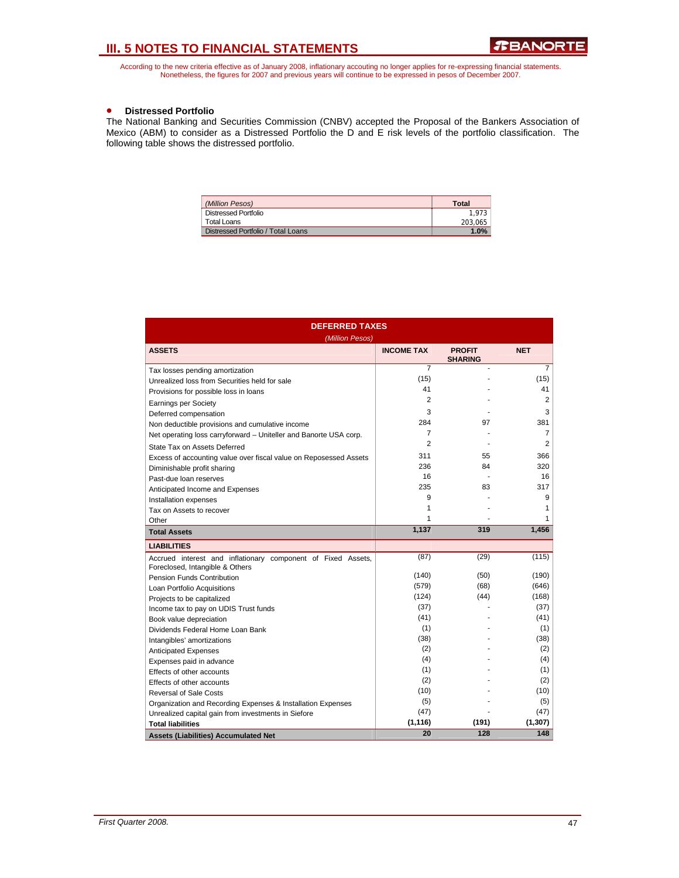According to the new criteria effective as of January 2008, inflationary accouting no longer applies for re-expressing financial statements.<br>Nonetheless, the figures for 2007 and previous years will continue to be expresse

## • **Distressed Portfolio**

The National Banking and Securities Commission (CNBV) accepted the Proposal of the Bankers Association of Mexico (ABM) to consider as a Distressed Portfolio the D and E risk levels of the portfolio classification. The following table shows the distressed portfolio.

| (Million Pesos)                    | Total   |
|------------------------------------|---------|
| <b>Distressed Portfolio</b>        | 1.973   |
| Total Loans                        | 203.065 |
| Distressed Portfolio / Total Loans | 1.0%    |

| <b>DEFERRED TAXES</b><br>(Million Pesos)                                                        |                   |                                 |            |  |  |  |  |
|-------------------------------------------------------------------------------------------------|-------------------|---------------------------------|------------|--|--|--|--|
| <b>ASSETS</b>                                                                                   | <b>INCOME TAX</b> | <b>PROFIT</b><br><b>SHARING</b> | <b>NET</b> |  |  |  |  |
| Tax losses pending amortization                                                                 | $\overline{7}$    |                                 | 7          |  |  |  |  |
| Unrealized loss from Securities held for sale                                                   | (15)              |                                 | (15)       |  |  |  |  |
| Provisions for possible loss in loans                                                           | 41                |                                 | 41         |  |  |  |  |
| <b>Earnings per Society</b>                                                                     | $\overline{2}$    |                                 | 2          |  |  |  |  |
| Deferred compensation                                                                           | 3                 |                                 | 3          |  |  |  |  |
| Non deductible provisions and cumulative income                                                 | 284               | 97                              | 381        |  |  |  |  |
| Net operating loss carryforward - Uniteller and Banorte USA corp.                               | $\overline{7}$    |                                 | 7          |  |  |  |  |
| State Tax on Assets Deferred                                                                    | $\overline{2}$    |                                 | 2          |  |  |  |  |
| Excess of accounting value over fiscal value on Reposessed Assets                               | 311               | 55                              | 366        |  |  |  |  |
| Diminishable profit sharing                                                                     | 236               | 84                              | 320        |  |  |  |  |
| Past-due loan reserves                                                                          | 16                |                                 | 16         |  |  |  |  |
| Anticipated Income and Expenses                                                                 | 235               | 83                              | 317        |  |  |  |  |
| Installation expenses                                                                           | 9                 |                                 | 9          |  |  |  |  |
| Tax on Assets to recover                                                                        | 1                 |                                 | 1          |  |  |  |  |
| Other                                                                                           | 1                 |                                 | 1          |  |  |  |  |
| <b>Total Assets</b>                                                                             | 1,137             | 319                             | 1,456      |  |  |  |  |
| <b>LIABILITIES</b>                                                                              |                   |                                 |            |  |  |  |  |
| Accrued interest and inflationary component of Fixed Assets,<br>Foreclosed, Intangible & Others | (87)              | (29)                            | (115)      |  |  |  |  |
| Pension Funds Contribution                                                                      | (140)             | (50)                            | (190)      |  |  |  |  |
| Loan Portfolio Acquisitions                                                                     | (579)             | (68)                            | (646)      |  |  |  |  |
| Projects to be capitalized                                                                      | (124)             | (44)                            | (168)      |  |  |  |  |
| Income tax to pay on UDIS Trust funds                                                           | (37)              |                                 | (37)       |  |  |  |  |
| Book value depreciation                                                                         | (41)              |                                 | (41)       |  |  |  |  |
| Dividends Federal Home Loan Bank                                                                | (1)               |                                 | (1)        |  |  |  |  |
| Intangibles' amortizations                                                                      | (38)              |                                 | (38)       |  |  |  |  |
| <b>Anticipated Expenses</b>                                                                     | (2)               |                                 | (2)        |  |  |  |  |
| Expenses paid in advance                                                                        | (4)               |                                 | (4)        |  |  |  |  |
| Effects of other accounts                                                                       | (1)               |                                 | (1)        |  |  |  |  |
| Effects of other accounts                                                                       | (2)               |                                 | (2)        |  |  |  |  |
| <b>Reversal of Sale Costs</b>                                                                   | (10)              |                                 | (10)       |  |  |  |  |
| Organization and Recording Expenses & Installation Expenses                                     | (5)               |                                 | (5)        |  |  |  |  |
| Unrealized capital gain from investments in Siefore                                             | (47)              |                                 | (47)       |  |  |  |  |
| <b>Total liabilities</b>                                                                        | (1, 116)          | (191)                           | (1, 307)   |  |  |  |  |
| <b>Assets (Liabilities) Accumulated Net</b>                                                     | 20                | 128                             | 148        |  |  |  |  |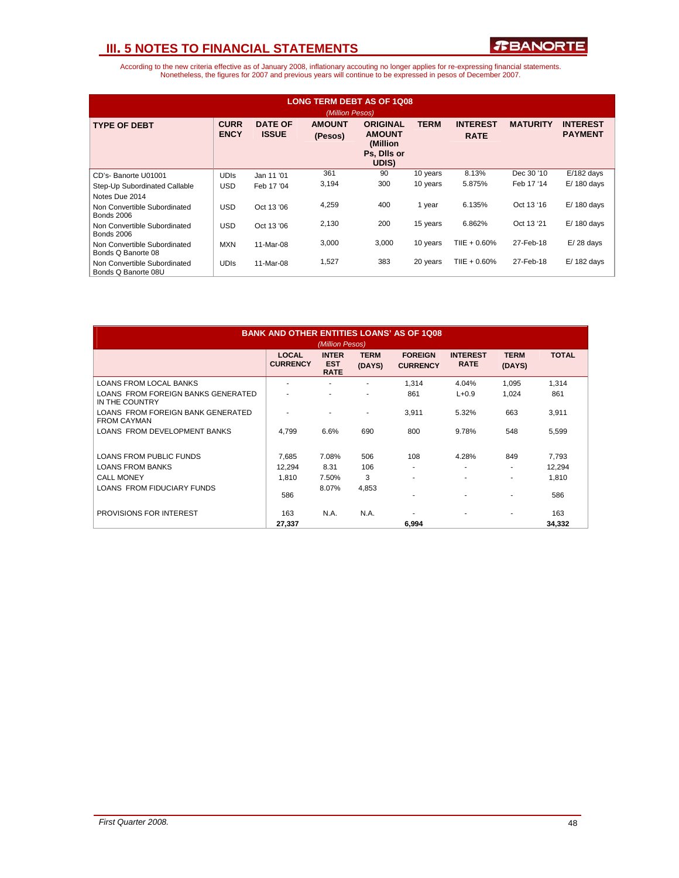

| <b>LONG TERM DEBT AS OF 1008</b><br>(Million Pesos) |                            |                                |                          |                                                                       |             |                                |                 |                                   |
|-----------------------------------------------------|----------------------------|--------------------------------|--------------------------|-----------------------------------------------------------------------|-------------|--------------------------------|-----------------|-----------------------------------|
| <b>TYPE OF DEBT</b>                                 | <b>CURR</b><br><b>ENCY</b> | <b>DATE OF</b><br><b>ISSUE</b> | <b>AMOUNT</b><br>(Pesos) | <b>ORIGINAL</b><br><b>AMOUNT</b><br>(Million)<br>Ps, Dils or<br>UDIS) | <b>TERM</b> | <b>INTEREST</b><br><b>RATE</b> | <b>MATURITY</b> | <b>INTEREST</b><br><b>PAYMENT</b> |
| CD's-Banorte U01001                                 | <b>UDIS</b>                | Jan 11 '01                     | 361                      | 90                                                                    | 10 years    | 8.13%                          | Dec 30 '10      | $E/182$ days                      |
| Step-Up Subordinated Callable                       | <b>USD</b>                 | Feb 17 '04                     | 3,194                    | 300                                                                   | 10 years    | 5.875%                         | Feb 17 '14      | $E/180$ days                      |
| Notes Due 2014                                      |                            |                                |                          |                                                                       |             |                                |                 |                                   |
| Non Convertible Subordinated<br><b>Bonds 2006</b>   | <b>USD</b>                 | Oct 13 '06                     | 4,259                    | 400                                                                   | 1 year      | 6.135%                         | Oct 13 '16      | $E/180$ days                      |
| Non Convertible Subordinated<br><b>Bonds 2006</b>   | <b>USD</b>                 | Oct 13 '06                     | 2,130                    | 200                                                                   | 15 years    | 6.862%                         | Oct 13 '21      | $E/180$ days                      |
| Non Convertible Subordinated<br>Bonds Q Banorte 08  | <b>MXN</b>                 | 11-Mar-08                      | 3,000                    | 3,000                                                                 | 10 years    | TIIE + $0.60\%$                | 27-Feb-18       | $E/28$ days                       |
| Non Convertible Subordinated<br>Bonds Q Banorte 08U | <b>UDIS</b>                | 11-Mar-08                      | 1,527                    | 383                                                                   | 20 years    | TIIE + $0.60\%$                | 27-Feb-18       | E/182 days                        |

| <b>BANK AND OTHER ENTITIES LOANS' AS OF 1Q08</b><br>(Million Pesos) |                                 |                                           |                       |                                   |                                |                          |              |
|---------------------------------------------------------------------|---------------------------------|-------------------------------------------|-----------------------|-----------------------------------|--------------------------------|--------------------------|--------------|
|                                                                     | <b>LOCAL</b><br><b>CURRENCY</b> | <b>INTER</b><br><b>EST</b><br><b>RATE</b> | <b>TERM</b><br>(DAYS) | <b>FOREIGN</b><br><b>CURRENCY</b> | <b>INTEREST</b><br><b>RATE</b> | <b>TERM</b><br>(DAYS)    | <b>TOTAL</b> |
| <b>LOANS FROM LOCAL BANKS</b>                                       | ۰                               |                                           |                       | 1.314                             | 4.04%                          | 1,095                    | 1,314        |
| LOANS FROM FOREIGN BANKS GENERATED<br>IN THE COUNTRY                |                                 |                                           |                       | 861                               | $L + 0.9$                      | 1,024                    | 861          |
| LOANS FROM FOREIGN BANK GENERATED<br><b>FROM CAYMAN</b>             |                                 |                                           | ٠                     | 3,911                             | 5.32%                          | 663                      | 3,911        |
| LOANS FROM DEVELOPMENT BANKS                                        | 4.799                           | 6.6%                                      | 690                   | 800                               | 9.78%                          | 548                      | 5,599        |
| <b>LOANS FROM PUBLIC FUNDS</b>                                      | 7.685                           | 7.08%                                     | 506                   | 108                               | 4.28%                          | 849                      | 7.793        |
| <b>LOANS FROM BANKS</b>                                             | 12,294                          | 8.31                                      | 106                   | ٠                                 | ٠                              | ٠                        | 12,294       |
| <b>CALL MONEY</b>                                                   | 1.810                           | 7.50%                                     | 3                     | ۰                                 | ٠                              | $\overline{\phantom{a}}$ | 1.810        |
| <b>LOANS FROM FIDUCIARY FUNDS</b>                                   | 586                             | 8.07%                                     | 4,853                 |                                   |                                | ۰                        | 586          |
| PROVISIONS FOR INTEREST                                             | 163                             | N.A.                                      | N.A.                  |                                   | ٠                              | ۰                        | 163          |
|                                                                     | 27,337                          |                                           |                       | 6,994                             |                                |                          | 34,332       |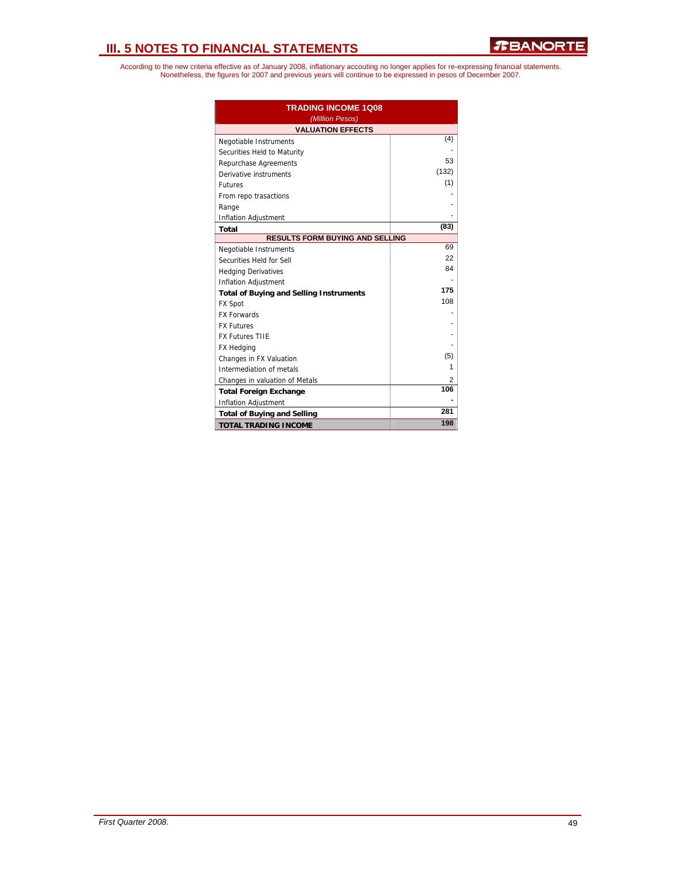| <b>TRADING INCOME 1Q08</b><br>(Million Pesos)  |       |  |  |  |  |
|------------------------------------------------|-------|--|--|--|--|
| <b>VALUATION EFFECTS</b>                       |       |  |  |  |  |
| Negotiable Instruments                         | (4)   |  |  |  |  |
| Securities Held to Maturity                    |       |  |  |  |  |
| Repurchase Agreements                          | 53    |  |  |  |  |
| Derivative instruments                         | (132) |  |  |  |  |
| <b>Futures</b>                                 | (1)   |  |  |  |  |
| From repo trasactions                          |       |  |  |  |  |
| Range                                          |       |  |  |  |  |
| Inflation Adjustment                           |       |  |  |  |  |
| Total                                          | (83)  |  |  |  |  |
| <b>RESULTS FORM BUYING AND SELLING</b>         |       |  |  |  |  |
| Negotiable Instruments                         | 69    |  |  |  |  |
| Securities Held for Sell                       | 22    |  |  |  |  |
| <b>Hedging Derivatives</b>                     | 84    |  |  |  |  |
| Inflation Adjustment                           |       |  |  |  |  |
| <b>Total of Buying and Selling Instruments</b> | 175   |  |  |  |  |
| <b>FX Spot</b>                                 | 108   |  |  |  |  |
| <b>FX Forwards</b>                             |       |  |  |  |  |
| <b>FX Futures</b>                              |       |  |  |  |  |
| <b>FX Futures TIIE</b>                         |       |  |  |  |  |
| <b>FX Hedging</b>                              |       |  |  |  |  |
| Changes in FX Valuation                        | (5)   |  |  |  |  |
| Intermediation of metals                       | 1     |  |  |  |  |
| Changes in valuation of Metals                 | 2     |  |  |  |  |
| <b>Total Foreign Exchange</b>                  | 106   |  |  |  |  |
| <b>Inflation Adjustment</b>                    |       |  |  |  |  |
| <b>Total of Buying and Selling</b>             | 281   |  |  |  |  |
| <b>TOTAL TRADING INCOME</b>                    | 198   |  |  |  |  |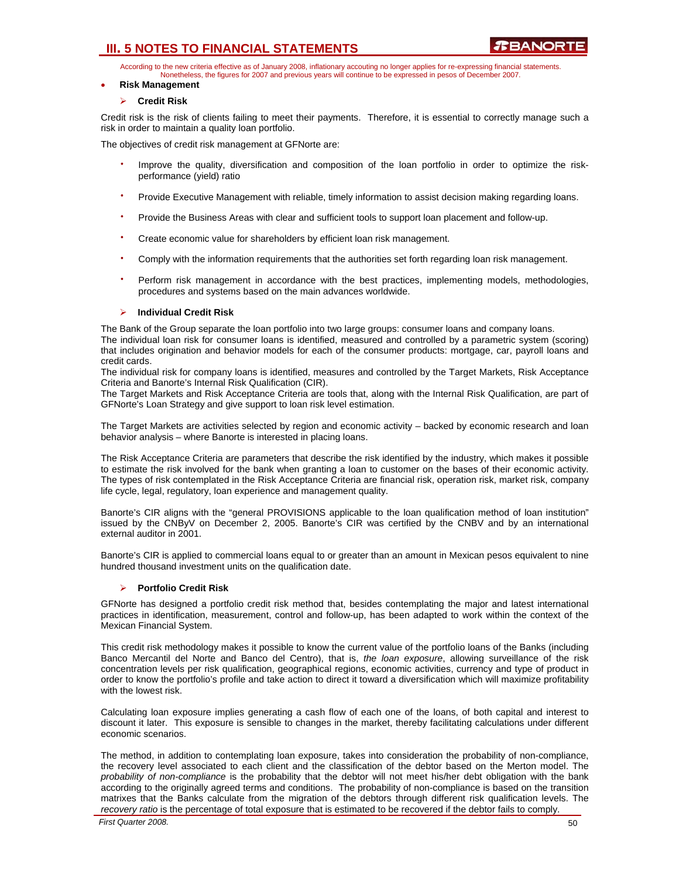According to the new criteria effective as of January 2008, inflationary accouting no longer applies for re-expressing financial statements. Nonetheless, the figures for 2007 and previous years will continue to be expressed in pesos of December 2007.

#### • **Risk Management**

#### ¾ **Credit Risk**

Credit risk is the risk of clients failing to meet their payments. Therefore, it is essential to correctly manage such a risk in order to maintain a quality loan portfolio.

The objectives of credit risk management at GFNorte are:

- Improve the quality, diversification and composition of the loan portfolio in order to optimize the riskperformance (yield) ratio
- Provide Executive Management with reliable, timely information to assist decision making regarding loans.
- Provide the Business Areas with clear and sufficient tools to support loan placement and follow-up.
- Create economic value for shareholders by efficient loan risk management.
- Comply with the information requirements that the authorities set forth regarding loan risk management.
- $\bullet$ Perform risk management in accordance with the best practices, implementing models, methodologies, procedures and systems based on the main advances worldwide.

### ¾ **Individual Credit Risk**

The Bank of the Group separate the loan portfolio into two large groups: consumer loans and company loans. The individual loan risk for consumer loans is identified, measured and controlled by a parametric system (scoring) that includes origination and behavior models for each of the consumer products: mortgage, car, payroll loans and credit cards.

The individual risk for company loans is identified, measures and controlled by the Target Markets, Risk Acceptance Criteria and Banorte's Internal Risk Qualification (CIR).

The Target Markets and Risk Acceptance Criteria are tools that, along with the Internal Risk Qualification, are part of GFNorte's Loan Strategy and give support to loan risk level estimation.

The Target Markets are activities selected by region and economic activity – backed by economic research and loan behavior analysis – where Banorte is interested in placing loans.

The Risk Acceptance Criteria are parameters that describe the risk identified by the industry, which makes it possible to estimate the risk involved for the bank when granting a loan to customer on the bases of their economic activity. The types of risk contemplated in the Risk Acceptance Criteria are financial risk, operation risk, market risk, company life cycle, legal, regulatory, loan experience and management quality.

Banorte's CIR aligns with the "general PROVISIONS applicable to the loan qualification method of loan institution" issued by the CNByV on December 2, 2005. Banorte's CIR was certified by the CNBV and by an international external auditor in 2001.

Banorte's CIR is applied to commercial loans equal to or greater than an amount in Mexican pesos equivalent to nine hundred thousand investment units on the qualification date.

#### ¾ **Portfolio Credit Risk**

GFNorte has designed a portfolio credit risk method that, besides contemplating the major and latest international practices in identification, measurement, control and follow-up, has been adapted to work within the context of the Mexican Financial System.

This credit risk methodology makes it possible to know the current value of the portfolio loans of the Banks (including Banco Mercantil del Norte and Banco del Centro), that is, *the loan exposure*, allowing surveillance of the risk concentration levels per risk qualification, geographical regions, economic activities, currency and type of product in order to know the portfolio's profile and take action to direct it toward a diversification which will maximize profitability with the lowest risk.

Calculating loan exposure implies generating a cash flow of each one of the loans, of both capital and interest to discount it later. This exposure is sensible to changes in the market, thereby facilitating calculations under different economic scenarios.

The method, in addition to contemplating loan exposure, takes into consideration the probability of non-compliance, the recovery level associated to each client and the classification of the debtor based on the Merton model. The *probability of non-compliance* is the probability that the debtor will not meet his/her debt obligation with the bank according to the originally agreed terms and conditions. The probability of non-compliance is based on the transition matrixes that the Banks calculate from the migration of the debtors through different risk qualification levels. The *recovery ratio* is the percentage of total exposure that is estimated to be recovered if the debtor fails to comply.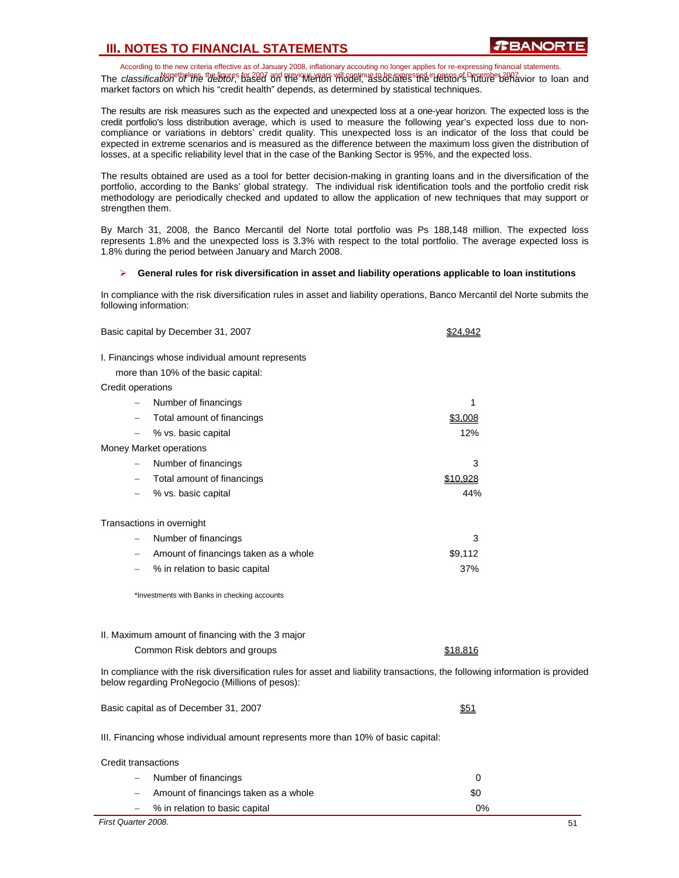According to the new criteria effective as of January 2008, inflationary accouting no longer applies for re-expressing financial statements. The classification of the figures for 2007 and previous will continue to be expressed in pesos of December 2007<br>The classification of the debtor, based on the Werton Wildel, associates the debtor's future behavior to loan market factors on which his "credit health" depends, as determined by statistical techniques.

The results are risk measures such as the expected and unexpected loss at a one-year horizon. The expected loss is the credit portfolio's loss distribution average, which is used to measure the following year's expected loss due to noncompliance or variations in debtors' credit quality. This unexpected loss is an indicator of the loss that could be expected in extreme scenarios and is measured as the difference between the maximum loss given the distribution of losses, at a specific reliability level that in the case of the Banking Sector is 95%, and the expected loss.

The results obtained are used as a tool for better decision-making in granting loans and in the diversification of the portfolio, according to the Banks' global strategy. The individual risk identification tools and the portfolio credit risk methodology are periodically checked and updated to allow the application of new techniques that may support or strengthen them.

By March 31, 2008, the Banco Mercantil del Norte total portfolio was Ps 188,148 million. The expected loss represents 1.8% and the unexpected loss is 3.3% with respect to the total portfolio. The average expected loss is 1.8% during the period between January and March 2008.

#### ¾ **General rules for risk diversification in asset and liability operations applicable to loan institutions**

In compliance with the risk diversification rules in asset and liability operations, Banco Mercantil del Norte submits the following information:

| Basic capital by December 31, 2007                                                                                                                                               | \$24,942 |
|----------------------------------------------------------------------------------------------------------------------------------------------------------------------------------|----------|
| I. Financings whose individual amount represents                                                                                                                                 |          |
| more than 10% of the basic capital:                                                                                                                                              |          |
| Credit operations                                                                                                                                                                |          |
| Number of financings                                                                                                                                                             | 1        |
| Total amount of financings<br>$\qquad \qquad -$                                                                                                                                  | \$3,008  |
| % vs. basic capital                                                                                                                                                              | 12%      |
| Money Market operations                                                                                                                                                          |          |
| Number of financings                                                                                                                                                             | 3        |
| Total amount of financings<br>$\qquad \qquad -$                                                                                                                                  | \$10,928 |
| % vs. basic capital<br>$\overline{\phantom{0}}$                                                                                                                                  | 44%      |
|                                                                                                                                                                                  |          |
| Transactions in overnight                                                                                                                                                        | 3        |
| Number of financings<br>$\qquad \qquad -$                                                                                                                                        | \$9,112  |
| Amount of financings taken as a whole                                                                                                                                            | 37%      |
| % in relation to basic capital                                                                                                                                                   |          |
| *Investments with Banks in checking accounts                                                                                                                                     |          |
| II. Maximum amount of financing with the 3 major                                                                                                                                 |          |
| Common Risk debtors and groups                                                                                                                                                   | \$18,816 |
|                                                                                                                                                                                  |          |
| In compliance with the risk diversification rules for asset and liability transactions, the following information is provided<br>below regarding ProNegocio (Millions of pesos): |          |
| Basic capital as of December 31, 2007                                                                                                                                            | \$51     |
| III. Financing whose individual amount represents more than 10% of basic capital:                                                                                                |          |
| Credit transactions                                                                                                                                                              |          |
| Number of financings                                                                                                                                                             | 0        |
| Amount of financings taken as a whole                                                                                                                                            | \$0      |
| % in relation to basic capital<br>$\overline{\phantom{0}}$                                                                                                                       | 0%       |

*First Quarter 2008.* 51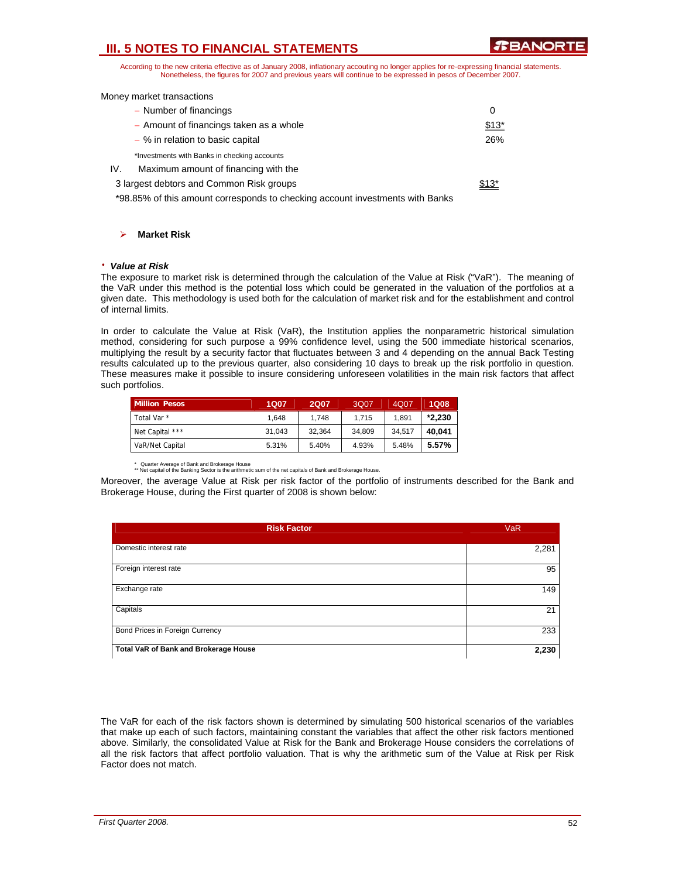**TEANORT** 

According to the new criteria effective as of January 2008, inflationary accouting no longer applies for re-expressing financial statements. Nonetheless, the figures for 2007 and previous years will continue to be expressed in pesos of December 2007.

|  |  | Money market transactions |
|--|--|---------------------------|
|--|--|---------------------------|

| - Number of financings                                                        | 0      |
|-------------------------------------------------------------------------------|--------|
| - Amount of financings taken as a whole                                       | $$13*$ |
| $-$ % in relation to basic capital                                            | 26%    |
| *Investments with Banks in checking accounts                                  |        |
| IV.<br>Maximum amount of financing with the                                   |        |
| 3 largest debtors and Common Risk groups                                      | $$13*$ |
| *98.85% of this amount corresponds to checking account investments with Banks |        |

### ¾ **Market Risk**

#### ⋅ *Value at Risk*

The exposure to market risk is determined through the calculation of the Value at Risk ("VaR"). The meaning of the VaR under this method is the potential loss which could be generated in the valuation of the portfolios at a given date. This methodology is used both for the calculation of market risk and for the establishment and control of internal limits.

In order to calculate the Value at Risk (VaR), the Institution applies the nonparametric historical simulation method, considering for such purpose a 99% confidence level, using the 500 immediate historical scenarios, multiplying the result by a security factor that fluctuates between 3 and 4 depending on the annual Back Testing results calculated up to the previous quarter, also considering 10 days to break up the risk portfolio in question. These measures make it possible to insure considering unforeseen volatilities in the main risk factors that affect such portfolios.

| <b>Million Pesos</b> | 1Q07   | 2Q07   | 3Q07   | 4Q07   | <b>1Q08</b> |
|----------------------|--------|--------|--------|--------|-------------|
| Total Var *          | 1.648  | 1.748  | 1.715  | 1.891  | $*2.230$    |
| Net Capital ***      | 31.043 | 32.364 | 34.809 | 34.517 | 40.041      |
| VaR/Net Capital      | 5.31%  | 5.40%  | 4.93%  | 5.48%  | 5.57%       |

Quarter Average of Bank and Brokerage House

\*\* Net capital of the Banking Sector is the arithmetic sum of the net capitals of Bank and Brokerage House. Moreover, the average Value at Risk per risk factor of the portfolio of instruments described for the Bank and

Brokerage House, during the First quarter of 2008 is shown below:

| <b>Risk Factor</b>                    | <b>VaR</b> |
|---------------------------------------|------------|
| Domestic interest rate                | 2,281      |
| Foreign interest rate                 | 95         |
| Exchange rate                         | 149        |
| Capitals                              | 21         |
| Bond Prices in Foreign Currency       | 233        |
| Total VaR of Bank and Brokerage House | 2,230      |

The VaR for each of the risk factors shown is determined by simulating 500 historical scenarios of the variables that make up each of such factors, maintaining constant the variables that affect the other risk factors mentioned above. Similarly, the consolidated Value at Risk for the Bank and Brokerage House considers the correlations of all the risk factors that affect portfolio valuation. That is why the arithmetic sum of the Value at Risk per Risk Factor does not match.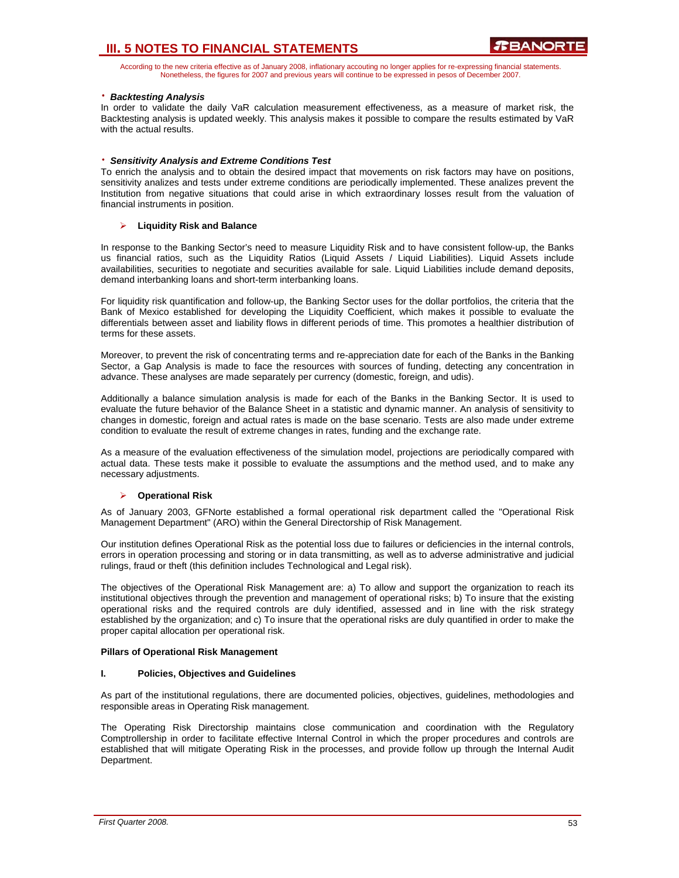According to the new criteria effective as of January 2008, inflationary accouting no longer applies for re-expressing financial statements. Nonetheless, the figures for 2007 and previous years will continue to be expressed in pesos of December 2007.

### ⋅ *Backtesting Analysis*

In order to validate the daily VaR calculation measurement effectiveness, as a measure of market risk, the Backtesting analysis is updated weekly. This analysis makes it possible to compare the results estimated by VaR with the actual results.

### ⋅ *Sensitivity Analysis and Extreme Conditions Test*

To enrich the analysis and to obtain the desired impact that movements on risk factors may have on positions, sensitivity analizes and tests under extreme conditions are periodically implemented. These analizes prevent the Institution from negative situations that could arise in which extraordinary losses result from the valuation of financial instruments in position.

### ¾ **Liquidity Risk and Balance**

In response to the Banking Sector's need to measure Liquidity Risk and to have consistent follow-up, the Banks us financial ratios, such as the Liquidity Ratios (Liquid Assets / Liquid Liabilities). Liquid Assets include availabilities, securities to negotiate and securities available for sale. Liquid Liabilities include demand deposits, demand interbanking loans and short-term interbanking loans.

For liquidity risk quantification and follow-up, the Banking Sector uses for the dollar portfolios, the criteria that the Bank of Mexico established for developing the Liquidity Coefficient, which makes it possible to evaluate the differentials between asset and liability flows in different periods of time. This promotes a healthier distribution of terms for these assets.

Moreover, to prevent the risk of concentrating terms and re-appreciation date for each of the Banks in the Banking Sector, a Gap Analysis is made to face the resources with sources of funding, detecting any concentration in advance. These analyses are made separately per currency (domestic, foreign, and udis).

Additionally a balance simulation analysis is made for each of the Banks in the Banking Sector. It is used to evaluate the future behavior of the Balance Sheet in a statistic and dynamic manner. An analysis of sensitivity to changes in domestic, foreign and actual rates is made on the base scenario. Tests are also made under extreme condition to evaluate the result of extreme changes in rates, funding and the exchange rate.

As a measure of the evaluation effectiveness of the simulation model, projections are periodically compared with actual data. These tests make it possible to evaluate the assumptions and the method used, and to make any necessary adjustments.

#### ¾ **Operational Risk**

As of January 2003, GFNorte established a formal operational risk department called the "Operational Risk Management Department" (ARO) within the General Directorship of Risk Management.

Our institution defines Operational Risk as the potential loss due to failures or deficiencies in the internal controls, errors in operation processing and storing or in data transmitting, as well as to adverse administrative and judicial rulings, fraud or theft (this definition includes Technological and Legal risk).

The objectives of the Operational Risk Management are: a) To allow and support the organization to reach its institutional objectives through the prevention and management of operational risks; b) To insure that the existing operational risks and the required controls are duly identified, assessed and in line with the risk strategy established by the organization; and c) To insure that the operational risks are duly quantified in order to make the proper capital allocation per operational risk.

#### **Pillars of Operational Risk Management**

#### **I. Policies, Objectives and Guidelines**

As part of the institutional regulations, there are documented policies, objectives, guidelines, methodologies and responsible areas in Operating Risk management.

The Operating Risk Directorship maintains close communication and coordination with the Regulatory Comptrollership in order to facilitate effective Internal Control in which the proper procedures and controls are established that will mitigate Operating Risk in the processes, and provide follow up through the Internal Audit Department.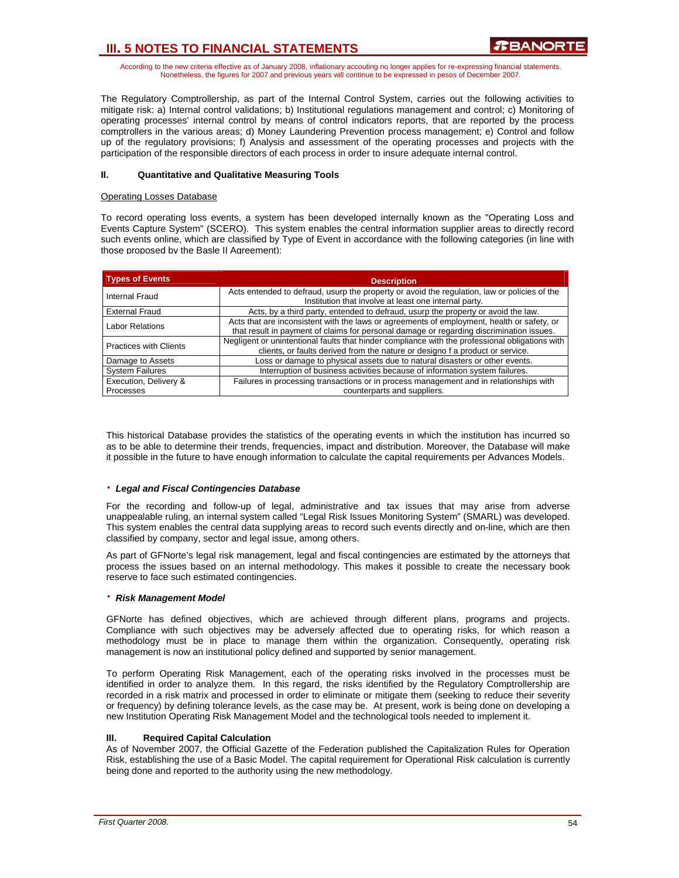According to the new criteria effective as of January 2008, inflationary accouting no longer applies for re-expressing financial statements. Nonetheless, the figures for 2007 and previous years will continue to be expressed in pesos of December 2007.

The Regulatory Comptrollership, as part of the Internal Control System, carries out the following activities to mitigate risk: a) Internal control validations; b) Institutional regulations management and control; c) Monitoring of operating processes' internal control by means of control indicators reports, that are reported by the process comptrollers in the various areas; d) Money Laundering Prevention process management; e) Control and follow up of the regulatory provisions; f) Analysis and assessment of the operating processes and projects with the participation of the responsible directors of each process in order to insure adequate internal control.

### **II. Quantitative and Qualitative Measuring Tools**

#### Operating Losses Database

To record operating loss events, a system has been developed internally known as the "Operating Loss and Events Capture System" (SCERO). This system enables the central information supplier areas to directly record such events online, which are classified by Type of Event in accordance with the following categories (in line with those proposed by the Basle II Agreement):

| <b>Types of Events</b>        | <b>Description</b>                                                                                                                                                                     |
|-------------------------------|----------------------------------------------------------------------------------------------------------------------------------------------------------------------------------------|
| Internal Fraud                | Acts entended to defraud, usurp the property or avoid the regulation, law or policies of the<br>Institution that involve at least one internal party.                                  |
| <b>External Fraud</b>         | Acts, by a third party, entended to defraud, usurp the property or avoid the law.                                                                                                      |
| <b>Labor Relations</b>        | Acts that are inconsistent with the laws or agreements of employment, health or safety, or<br>that result in payment of claims for personal damage or regarding discrimination issues. |
| <b>Practices with Clients</b> | Negligent or unintentional faults that hinder compliance with the professional obligations with<br>clients, or faults derived from the nature or designo f a product or service.       |
| Damage to Assets              | Loss or damage to physical assets due to natural disasters or other events.                                                                                                            |
| <b>System Failures</b>        | Interruption of business activities because of information system failures.                                                                                                            |
| Execution, Delivery &         | Failures in processing transactions or in process management and in relationships with                                                                                                 |
| Processes                     | counterparts and suppliers.                                                                                                                                                            |

This historical Database provides the statistics of the operating events in which the institution has incurred so as to be able to determine their trends, frequencies, impact and distribution. Moreover, the Database will make it possible in the future to have enough information to calculate the capital requirements per Advances Models.

#### ⋅ *Legal and Fiscal Contingencies Database*

For the recording and follow-up of legal, administrative and tax issues that may arise from adverse unappealable ruling, an internal system called "Legal Risk Issues Monitoring System" (SMARL) was developed. This system enables the central data supplying areas to record such events directly and on-line, which are then classified by company, sector and legal issue, among others.

As part of GFNorte's legal risk management, legal and fiscal contingencies are estimated by the attorneys that process the issues based on an internal methodology. This makes it possible to create the necessary book reserve to face such estimated contingencies.

#### ⋅ *Risk Management Model*

GFNorte has defined objectives, which are achieved through different plans, programs and projects. Compliance with such objectives may be adversely affected due to operating risks, for which reason a methodology must be in place to manage them within the organization. Consequently, operating risk management is now an institutional policy defined and supported by senior management.

To perform Operating Risk Management, each of the operating risks involved in the processes must be identified in order to analyze them. In this regard, the risks identified by the Regulatory Comptrollership are recorded in a risk matrix and processed in order to eliminate or mitigate them (seeking to reduce their severity or frequency) by defining tolerance levels, as the case may be. At present, work is being done on developing a new Institution Operating Risk Management Model and the technological tools needed to implement it.

## **III. Required Capital Calculation**

As of November 2007, the Official Gazette of the Federation published the Capitalization Rules for Operation Risk, establishing the use of a Basic Model. The capital requirement for Operational Risk calculation is currently being done and reported to the authority using the new methodology.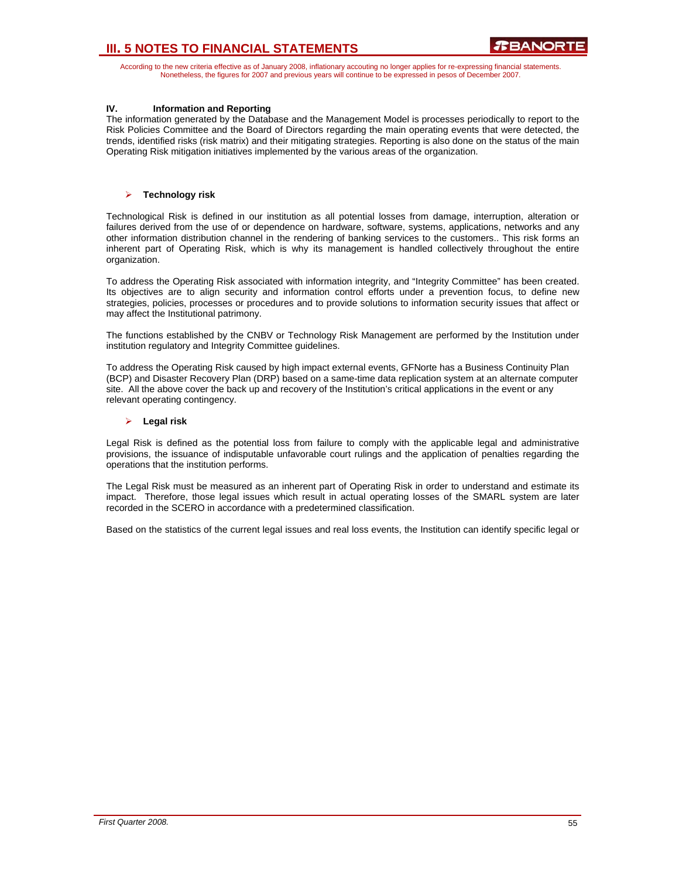According to the new criteria effective as of January 2008, inflationary accouting no longer applies for re-expressing financial statements. Nonetheless, the figures for 2007 and previous years will continue to be expressed in pesos of December 2007.

## **IV. Information and Reporting**

The information generated by the Database and the Management Model is processes periodically to report to the Risk Policies Committee and the Board of Directors regarding the main operating events that were detected, the trends, identified risks (risk matrix) and their mitigating strategies. Reporting is also done on the status of the main Operating Risk mitigation initiatives implemented by the various areas of the organization.

## ¾ **Technology risk**

Technological Risk is defined in our institution as all potential losses from damage, interruption, alteration or failures derived from the use of or dependence on hardware, software, systems, applications, networks and any other information distribution channel in the rendering of banking services to the customers.. This risk forms an inherent part of Operating Risk, which is why its management is handled collectively throughout the entire organization.

To address the Operating Risk associated with information integrity, and "Integrity Committee" has been created. Its objectives are to align security and information control efforts under a prevention focus, to define new strategies, policies, processes or procedures and to provide solutions to information security issues that affect or may affect the Institutional patrimony.

The functions established by the CNBV or Technology Risk Management are performed by the Institution under institution regulatory and Integrity Committee guidelines.

To address the Operating Risk caused by high impact external events, GFNorte has a Business Continuity Plan (BCP) and Disaster Recovery Plan (DRP) based on a same-time data replication system at an alternate computer site. All the above cover the back up and recovery of the Institution's critical applications in the event or any relevant operating contingency.

## ¾ **Legal risk**

Legal Risk is defined as the potential loss from failure to comply with the applicable legal and administrative provisions, the issuance of indisputable unfavorable court rulings and the application of penalties regarding the operations that the institution performs.

The Legal Risk must be measured as an inherent part of Operating Risk in order to understand and estimate its impact. Therefore, those legal issues which result in actual operating losses of the SMARL system are later recorded in the SCERO in accordance with a predetermined classification.

Based on the statistics of the current legal issues and real loss events, the Institution can identify specific legal or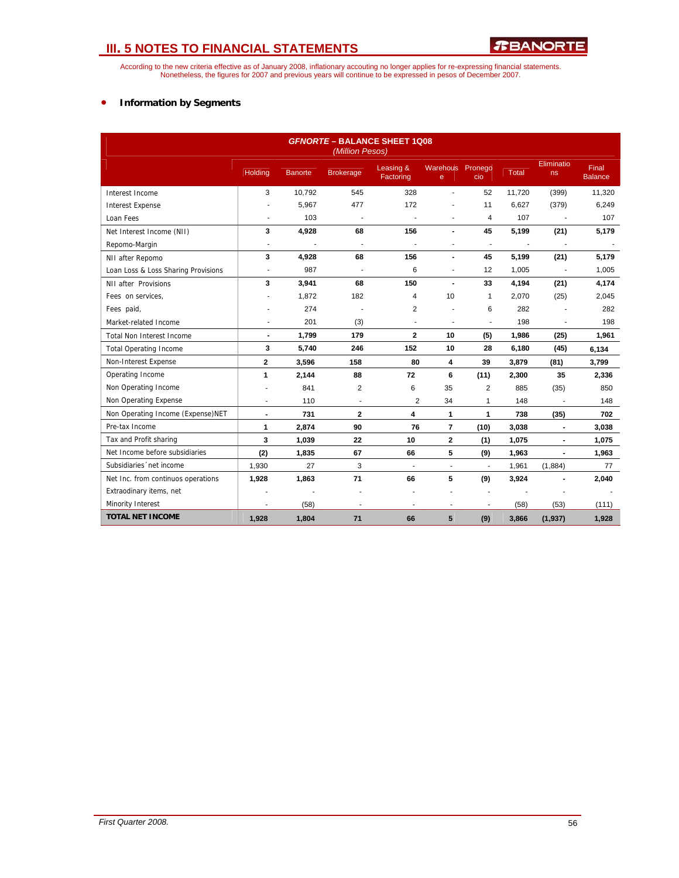According to the new criteria effective as of January 2008, inflationary accouting no longer applies for re-expressing financial statements.<br>Nonetheless, the figures for 2007 and previous years will continue to be expresse

## • **Information by Segments**

| <b>GFNORTE - BALANCE SHEET 1Q08</b><br>(Million Pesos) |                          |         |                          |                          |                                 |                          |                          |                          |                                |
|--------------------------------------------------------|--------------------------|---------|--------------------------|--------------------------|---------------------------------|--------------------------|--------------------------|--------------------------|--------------------------------|
|                                                        | Holding                  | Banorte | <b>Brokerage</b>         | Leasing &<br>Factoring   | Warehous Pronego<br>$\mathbf e$ | cio                      | Total                    | Eliminatio<br>ns         | <b>Final</b><br><b>Balance</b> |
| Interest Income                                        | 3                        | 10,792  | 545                      | 328                      |                                 | 52                       | 11,720                   | (399)                    | 11,320                         |
| <b>Interest Expense</b>                                |                          | 5,967   | 477                      | 172                      |                                 | 11                       | 6,627                    | (379)                    | 6,249                          |
| Loan Fees                                              | ٠                        | 103     |                          | ÷,                       |                                 | 4                        | 107                      | $\blacksquare$           | 107                            |
| Net Interest Income (NII)                              | 3                        | 4,928   | 68                       | 156                      |                                 | 45                       | 5,199                    | (21)                     | 5,179                          |
| Repomo-Margin                                          | $\blacksquare$           | ÷.      | $\overline{\phantom{a}}$ |                          |                                 | $\blacksquare$           | $\overline{\phantom{a}}$ | $\blacksquare$           |                                |
| NII after Repomo                                       | 3                        | 4,928   | 68                       | 156                      |                                 | 45                       | 5,199                    | (21)                     | 5,179                          |
| Loan Loss & Loss Sharing Provisions                    | $\blacksquare$           | 987     | $\blacksquare$           | 6                        | $\blacksquare$                  | 12                       | 1,005                    | $\blacksquare$           | 1,005                          |
| NII after Provisions                                   | 3                        | 3,941   | 68                       | 150                      |                                 | 33                       | 4,194                    | (21)                     | 4,174                          |
| Fees on services,                                      |                          | 1,872   | 182                      | 4                        | 10                              | $\mathbf{1}$             | 2,070                    | (25)                     | 2,045                          |
| Fees paid,                                             |                          | 274     |                          | $\overline{2}$           |                                 | 6                        | 282                      |                          | 282                            |
| Market-related Income                                  | $\overline{\phantom{a}}$ | 201     | (3)                      | $\blacksquare$           |                                 | ÷,                       | 198                      | $\blacksquare$           | 198                            |
| <b>Total Non Interest Income</b>                       | $\blacksquare$           | 1.799   | 179                      | $\mathbf{2}$             | 10                              | (5)                      | 1,986                    | (25)                     | 1,961                          |
| <b>Total Operating Income</b>                          | 3                        | 5,740   | 246                      | 152                      | 10                              | 28                       | 6,180                    | (45)                     | 6,134                          |
| Non-Interest Expense                                   | $\mathbf{2}$             | 3,596   | 158                      | 80                       | 4                               | 39                       | 3,879                    | (81)                     | 3,799                          |
| Operating Income                                       | 1                        | 2,144   | 88                       | 72                       | 6                               | (11)                     | 2,300                    | 35                       | 2,336                          |
| Non Operating Income                                   |                          | 841     | 2                        | 6                        | 35                              | $\overline{2}$           | 885                      | (35)                     | 850                            |
| Non Operating Expense                                  |                          | 110     | $\blacksquare$           | $\overline{2}$           | 34                              | 1                        | 148                      |                          | 148                            |
| Non Operating Income (Expense)NET                      | $\blacksquare$           | 731     | $\mathbf{2}$             | 4                        | 1                               | 1                        | 738                      | (35)                     | 702                            |
| Pre-tax Income                                         | 1                        | 2,874   | 90                       | 76                       | $\overline{7}$                  | (10)                     | 3,038                    | $\blacksquare$           | 3,038                          |
| Tax and Profit sharing                                 | 3                        | 1.039   | 22                       | 10                       | $\mathbf{2}$                    | (1)                      | 1,075                    | $\blacksquare$           | 1,075                          |
| Net Income before subsidiaries                         | (2)                      | 1,835   | 67                       | 66                       | 5                               | (9)                      | 1,963                    | $\blacksquare$           | 1,963                          |
| Subsidiaries 'net income                               | 1,930                    | 27      | 3                        | $\overline{\phantom{a}}$ | $\overline{\phantom{a}}$        | $\overline{\phantom{a}}$ | 1,961                    | (1,884)                  | 77                             |
| Net Inc. from continuos operations                     | 1,928                    | 1,863   | 71                       | 66                       | 5                               | (9)                      | 3,924                    |                          | 2,040                          |
| Extraodinary items, net                                |                          |         |                          |                          |                                 |                          |                          | $\overline{\phantom{a}}$ |                                |
| Minority Interest                                      |                          | (58)    | $\blacksquare$           | $\blacksquare$           |                                 | $\blacksquare$           | (58)                     | (53)                     | (111)                          |
| <b>TOTAL NET INCOME</b>                                | 1,928                    | 1,804   | 71                       | 66                       | $5\phantom{.0}$                 | (9)                      | 3,866                    | (1, 937)                 | 1,928                          |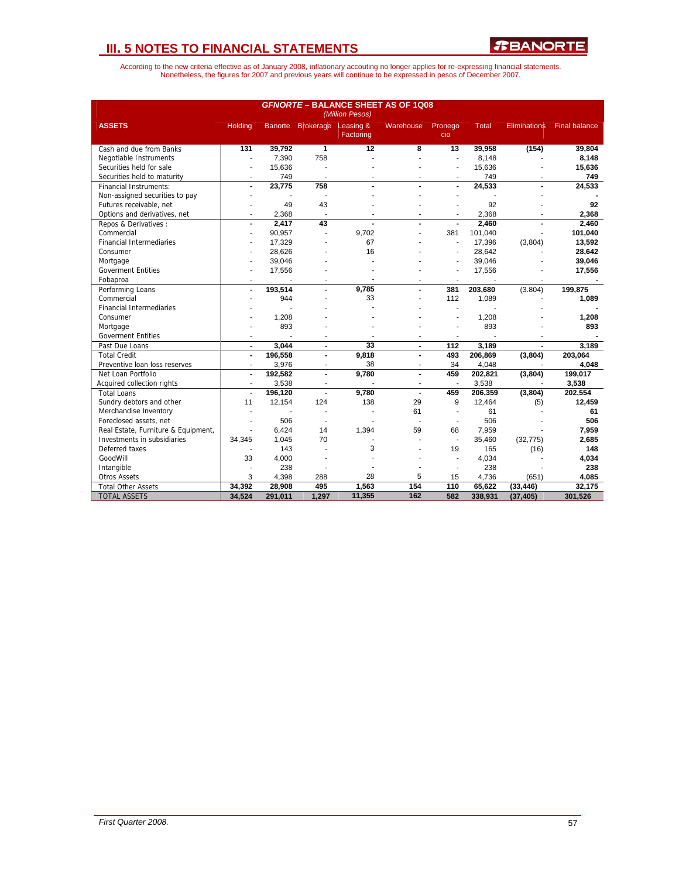| <b>GFNORTE - BALANCE SHEET AS OF 1Q08</b><br>(Million Pesos) |                          |                |                          |                        |                |                          |                |                     |                      |  |
|--------------------------------------------------------------|--------------------------|----------------|--------------------------|------------------------|----------------|--------------------------|----------------|---------------------|----------------------|--|
| <b>ASSETS</b>                                                | <b>Holding</b>           |                | Banorte Brokerage        | Leasing &<br>Factoring | Warehouse      | Pronego<br>cio           | <b>Total</b>   | <b>Eliminations</b> | <b>Final balance</b> |  |
| Cash and due from Banks                                      | 131                      | 39,792         | $\overline{1}$           | $\overline{12}$        | 8              | 13                       | 39,958         | (154)               | 39,804               |  |
| Negotiable Instruments                                       | $\overline{\phantom{a}}$ | 7,390          | 758                      |                        |                | ä,                       | 8,148          |                     | 8,148                |  |
| Securities held for sale                                     | $\overline{\phantom{a}}$ | 15,636         |                          |                        |                | $\overline{\phantom{a}}$ | 15,636         |                     | 15,636               |  |
| Securities held to maturity                                  | ÷                        | 749            | ÷.                       | ٠                      | ÷              | ÷                        | 749            |                     | 749                  |  |
| <b>Financial Instruments:</b>                                | $\blacksquare$           | 23.775         | 758                      |                        |                | $\blacksquare$           | 24,533         |                     | 24,533               |  |
| Non-assigned securities to pay                               |                          |                | J.                       |                        |                |                          |                |                     |                      |  |
| Futures receivable, net                                      |                          | 49             | 43                       |                        |                |                          | 92             |                     | 92                   |  |
| Options and derivatives, net                                 | $\overline{\phantom{a}}$ | 2,368          | $\overline{\phantom{a}}$ |                        | $\overline{a}$ | ÷                        | 2,368          |                     | 2.368                |  |
| Repos & Derivatives :                                        | $\blacksquare$           | 2,417          | 43                       |                        |                |                          | 2,460          |                     | 2,460                |  |
| Commercial                                                   |                          | 90,957         | ä,                       | 9,702                  |                | 381                      | 101,040        |                     | 101,040              |  |
| <b>Financial Intermediaries</b>                              |                          | 17,329         |                          | 67                     |                | $\overline{\phantom{a}}$ | 17,396         | (3,804)             | 13,592               |  |
| Consumer                                                     |                          | 28,626         |                          | 16                     |                |                          | 28,642         |                     | 28,642               |  |
| Mortgage                                                     |                          | 39,046         |                          |                        |                |                          | 39,046         |                     | 39,046               |  |
| <b>Goverment Entities</b>                                    |                          | 17,556         |                          |                        |                | $\overline{\phantom{a}}$ | 17,556         |                     | 17,556               |  |
| Fobaproa                                                     | $\overline{a}$           | $\overline{a}$ |                          |                        |                | $\overline{a}$           | $\overline{a}$ |                     |                      |  |
| Performing Loans                                             | ÷,                       | 193,514        | $\overline{a}$           | 9,785                  |                | 381                      | 203,680        | (3.804)             | 199,875              |  |
| Commercial                                                   |                          | 944            | ä,                       | 33                     |                | 112                      | 1.089          |                     | 1,089                |  |
| <b>Financial Intermediaries</b>                              |                          |                |                          |                        |                |                          |                |                     |                      |  |
| Consumer                                                     |                          | 1,208          |                          |                        |                |                          | 1,208          |                     | 1,208                |  |
| Mortgage                                                     |                          | 893            |                          |                        |                |                          | 893            |                     | 893                  |  |
| <b>Goverment Entities</b>                                    | $\blacksquare$           |                | ٠                        |                        | ٠              | $\blacksquare$           |                |                     |                      |  |
| Past Due Loans                                               | ÷,                       | 3,044          | $\blacksquare$           | 33                     | $\blacksquare$ | 112                      | 3,189          |                     | 3,189                |  |
| <b>Total Credit</b>                                          | ÷,                       | 196,558        | $\overline{a}$           | 9,818                  |                | 493                      | 206,869        | (3,804)             | 203,064              |  |
| Preventive loan loss reserves                                |                          | 3,976          |                          | 38                     |                | 34                       | 4,048          |                     | 4,048                |  |
| Net Loan Portfolio                                           | $\overline{a}$           | 192,582        | $\blacksquare$           | 9,780                  | $\overline{a}$ | 459                      | 202,821        | (3,804)             | 199,017              |  |
| Acquired collection rights                                   | $\overline{\phantom{a}}$ | 3,538          |                          |                        | ÷              | $\overline{\phantom{a}}$ | 3,538          |                     | 3,538                |  |
| <b>Total Loans</b>                                           | ÷,                       | 196,120        | $\blacksquare$           | 9,780                  |                | 459                      | 206,359        | (3,804)             | 202,554              |  |
| Sundry debtors and other                                     | 11                       | 12,154         | 124                      | 138                    | 29             | 9                        | 12,464         | (5)                 | 12,459               |  |
| Merchandise Inventory                                        | $\overline{\phantom{a}}$ |                | ٠                        |                        | 61             | ä,                       | 61             |                     | 61                   |  |
| Foreclosed assets, net                                       |                          | 506            |                          |                        |                | $\overline{a}$           | 506            |                     | 506                  |  |
| Real Estate, Furniture & Equipment,                          |                          | 6,424          | 14                       | 1,394                  | 59             | 68                       | 7,959          |                     | 7,959                |  |
| Investments in subsidiaries                                  | 34,345                   | 1,045          | 70                       |                        |                | ÷,                       | 35,460         | (32, 775)           | 2.685                |  |
| Deferred taxes                                               |                          | 143            |                          | 3                      |                | 19                       | 165            | (16)                | 148                  |  |
| GoodWill                                                     | 33                       | 4,000          |                          |                        |                | $\overline{a}$           | 4,034          |                     | 4,034                |  |
| Intangible                                                   | $\overline{a}$           | 238            |                          |                        |                | ä,                       | 238            |                     | 238                  |  |
| <b>Otros Assets</b>                                          | 3                        | 4,398          | 288                      | 28                     | 5              | 15                       | 4,736          | (651)               | 4,085                |  |
| <b>Total Other Assets</b>                                    | 34,392                   | 28,908         | 495                      | 1,563                  | 154            | 110                      | 65,622         | (33, 446)           | 32,175               |  |
| <b>TOTAL ASSETS</b>                                          | 34,524                   | 291,011        | 1,297                    | 11,355                 | 162            | 582                      | 338,931        | (37, 405)           | 301,526              |  |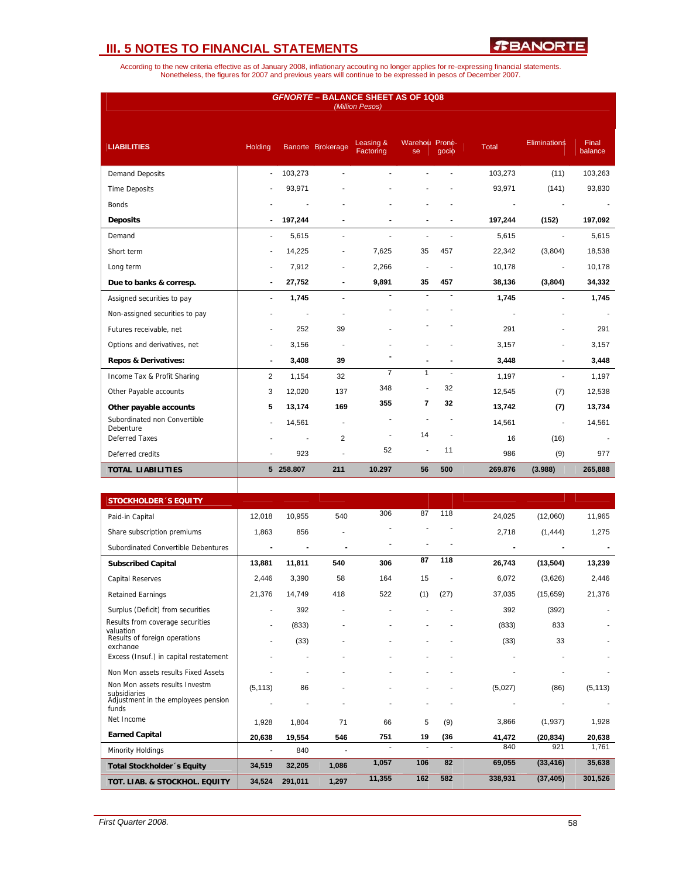*R***BANORTE** 

| <b>GFNORTE - BALANCE SHEET AS OF 1Q08</b><br>(Million Pesos) |                |           |                          |                        |                          |                |              |                     |                  |
|--------------------------------------------------------------|----------------|-----------|--------------------------|------------------------|--------------------------|----------------|--------------|---------------------|------------------|
| <b>LIABILITIES</b>                                           | Holding        |           | Banorte Brokerage        | Leasing &<br>Factoring | Warehou Prone-<br>se     | gocio          | <b>Total</b> | <b>Eliminations</b> | Final<br>balance |
| <b>Demand Deposits</b>                                       | $\sim$         | 103,273   |                          |                        |                          |                | 103,273      | (11)                | 103,263          |
| <b>Time Deposits</b>                                         |                | 93,971    |                          |                        |                          |                | 93,971       | (141)               | 93,830           |
| <b>Bonds</b>                                                 |                |           |                          |                        |                          |                |              |                     |                  |
| <b>Deposits</b>                                              |                | 197,244   |                          |                        |                          |                | 197,244      | (152)               | 197,092          |
| Demand                                                       | ÷              | 5,615     | $\blacksquare$           |                        | $\overline{\phantom{a}}$ | ä,             | 5.615        | $\mathbf{r}$        | 5,615            |
| Short term                                                   |                | 14,225    | $\overline{\phantom{a}}$ | 7,625                  | 35                       | 457            | 22,342       | (3,804)             | 18,538           |
| Long term                                                    | $\blacksquare$ | 7,912     | $\overline{\phantom{a}}$ | 2,266                  | $\overline{\phantom{a}}$ |                | 10,178       | $\blacksquare$      | 10,178           |
| Due to banks & corresp.                                      | $\blacksquare$ | 27,752    | $\blacksquare$           | 9,891                  | 35                       | 457            | 38,136       | (3,804)             | 34,332           |
| Assigned securities to pay                                   | $\blacksquare$ | 1,745     | $\blacksquare$           | $\blacksquare$         |                          |                | 1,745        |                     | 1,745            |
| Non-assigned securities to pay                               |                |           |                          |                        |                          |                |              |                     |                  |
| Futures receivable, net                                      |                | 252       | 39                       |                        |                          |                | 291          | ٠                   | 291              |
| Options and derivatives, net                                 |                | 3,156     |                          |                        |                          |                | 3,157        | ä,                  | 3,157            |
| <b>Repos &amp; Derivatives:</b>                              | $\blacksquare$ | 3,408     | 39                       |                        |                          |                | 3,448        | $\blacksquare$      | 3,448            |
| Income Tax & Profit Sharing                                  | 2              | 1,154     | 32                       | $\overline{7}$         | $\mathbf{1}$             | $\sim$         | 1,197        | $\blacksquare$      | 1,197            |
| Other Payable accounts                                       | 3              | 12,020    | 137                      | 348                    |                          | 32             | 12,545       | (7)                 | 12,538           |
| Other payable accounts                                       | 5              | 13,174    | 169                      | 355                    | $\overline{7}$           | 32             | 13,742       | (7)                 | 13,734           |
| Subordinated non Convertible<br>Debenture                    | $\blacksquare$ | 14,561    | $\blacksquare$           |                        |                          |                | 14,561       | $\overline{a}$      | 14,561           |
| <b>Deferred Taxes</b>                                        |                | ÷,        | 2                        | $\overline{a}$         | 14                       | $\overline{a}$ | 16           | (16)                |                  |
| Deferred credits                                             |                | 923       |                          | 52                     | ä,                       | 11             | 986          | (9)                 | 977              |
| <b>TOTAL LIABILITIES</b>                                     |                | 5 258.807 | 211                      | 10.297                 | 56                       | 500            | 269.876      | (3.988)             | 265,888          |
|                                                              |                |           |                          |                        |                          |                |              |                     |                  |

| <b>STOCKHOLDER 'S EQUITY</b>                   |          |         |       |        |     |      |         |           |          |
|------------------------------------------------|----------|---------|-------|--------|-----|------|---------|-----------|----------|
| Paid-in Capital                                | 12.018   | 10.955  | 540   | 306    | 87  | 118  | 24,025  | (12,060)  | 11,965   |
| Share subscription premiums                    | 1,863    | 856     |       |        |     |      | 2,718   | (1, 444)  | 1,275    |
| Subordinated Convertible Debentures            |          |         |       |        |     |      |         |           |          |
| <b>Subscribed Capital</b>                      | 13,881   | 11,811  | 540   | 306    | 87  | 118  | 26,743  | (13, 504) | 13,239   |
| <b>Capital Reserves</b>                        | 2,446    | 3,390   | 58    | 164    | 15  |      | 6,072   | (3,626)   | 2,446    |
| <b>Retained Earnings</b>                       | 21,376   | 14,749  | 418   | 522    | (1) | (27) | 37,035  | (15,659)  | 21,376   |
| Surplus (Deficit) from securities              |          | 392     |       |        |     |      | 392     | (392)     |          |
| Results from coverage securities<br>valuation  |          | (833)   |       |        |     |      | (833)   | 833       |          |
| Results of foreign operations<br>exchange      |          | (33)    |       |        |     |      | (33)    | 33        |          |
| Excess (Insuf.) in capital restatement         |          |         |       |        |     |      |         |           |          |
| Non Mon assets results Fixed Assets            |          |         |       |        |     |      |         |           |          |
| Non Mon assets results Investm<br>subsidiaries | (5, 113) | 86      |       |        |     |      | (5,027) | (86)      | (5, 113) |
| Adjustment in the employees pension<br>funds   |          |         |       |        |     |      |         |           |          |
| Net Income                                     | 1,928    | 1,804   | 71    | 66     | 5   | (9)  | 3,866   | (1,937)   | 1,928    |
| <b>Earned Capital</b>                          | 20,638   | 19,554  | 546   | 751    | 19  | (36) | 41,472  | (20, 834) | 20,638   |
| Minority Holdings                              |          | 840     |       |        |     |      | 840     | 921       | 1,761    |
| Total Stockholder 's Equity                    | 34,519   | 32,205  | 1,086 | 1,057  | 106 | 82   | 69,055  | (33, 416) | 35,638   |
| TOT. LIAB. & STOCKHOL. EQUITY                  | 34,524   | 291,011 | 1,297 | 11,355 | 162 | 582  | 338,931 | (37, 405) | 301,526  |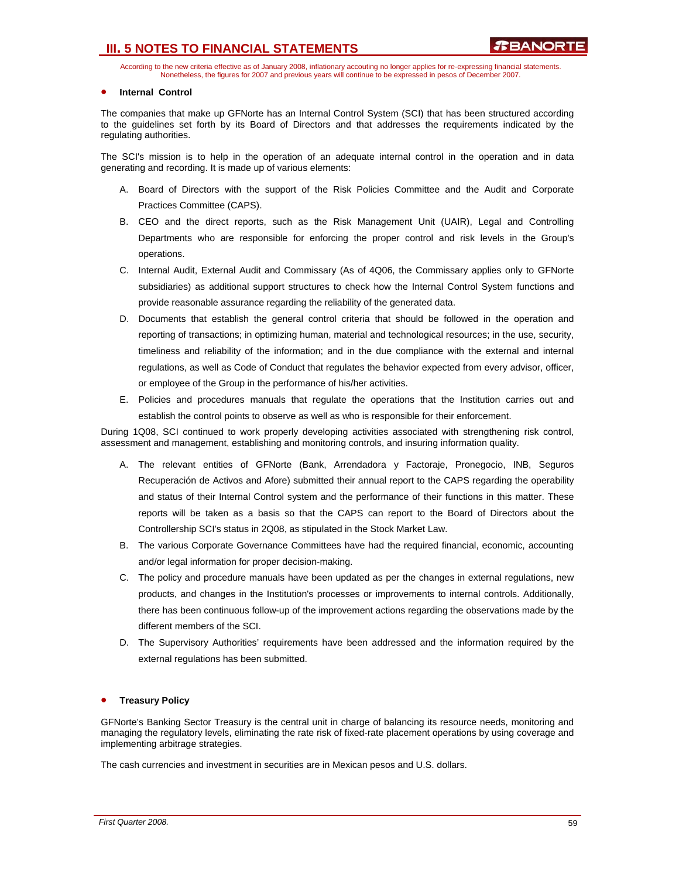According to the new criteria effective as of January 2008, inflationary accouting no longer applies for re-expressing financial statements. Nonetheless, the figures for 2007 and previous years will continue to be expressed in pesos of December 2007.

### • **Internal Control**

The companies that make up GFNorte has an Internal Control System (SCI) that has been structured according to the guidelines set forth by its Board of Directors and that addresses the requirements indicated by the regulating authorities.

The SCI's mission is to help in the operation of an adequate internal control in the operation and in data generating and recording. It is made up of various elements:

- A. Board of Directors with the support of the Risk Policies Committee and the Audit and Corporate Practices Committee (CAPS).
- B. CEO and the direct reports, such as the Risk Management Unit (UAIR), Legal and Controlling Departments who are responsible for enforcing the proper control and risk levels in the Group's operations.
- C. Internal Audit, External Audit and Commissary (As of 4Q06, the Commissary applies only to GFNorte subsidiaries) as additional support structures to check how the Internal Control System functions and provide reasonable assurance regarding the reliability of the generated data.
- D. Documents that establish the general control criteria that should be followed in the operation and reporting of transactions; in optimizing human, material and technological resources; in the use, security, timeliness and reliability of the information; and in the due compliance with the external and internal regulations, as well as Code of Conduct that regulates the behavior expected from every advisor, officer, or employee of the Group in the performance of his/her activities.
- E. Policies and procedures manuals that regulate the operations that the Institution carries out and establish the control points to observe as well as who is responsible for their enforcement.

During 1Q08, SCI continued to work properly developing activities associated with strengthening risk control, assessment and management, establishing and monitoring controls, and insuring information quality.

- A. The relevant entities of GFNorte (Bank, Arrendadora y Factoraje, Pronegocio, INB, Seguros Recuperación de Activos and Afore) submitted their annual report to the CAPS regarding the operability and status of their Internal Control system and the performance of their functions in this matter. These reports will be taken as a basis so that the CAPS can report to the Board of Directors about the Controllership SCI's status in 2Q08, as stipulated in the Stock Market Law.
- B. The various Corporate Governance Committees have had the required financial, economic, accounting and/or legal information for proper decision-making.
- C. The policy and procedure manuals have been updated as per the changes in external regulations, new products, and changes in the Institution's processes or improvements to internal controls. Additionally, there has been continuous follow-up of the improvement actions regarding the observations made by the different members of the SCI.
- D. The Supervisory Authorities' requirements have been addressed and the information required by the external regulations has been submitted.

#### • **Treasury Policy**

GFNorte's Banking Sector Treasury is the central unit in charge of balancing its resource needs, monitoring and managing the regulatory levels, eliminating the rate risk of fixed-rate placement operations by using coverage and implementing arbitrage strategies.

The cash currencies and investment in securities are in Mexican pesos and U.S. dollars.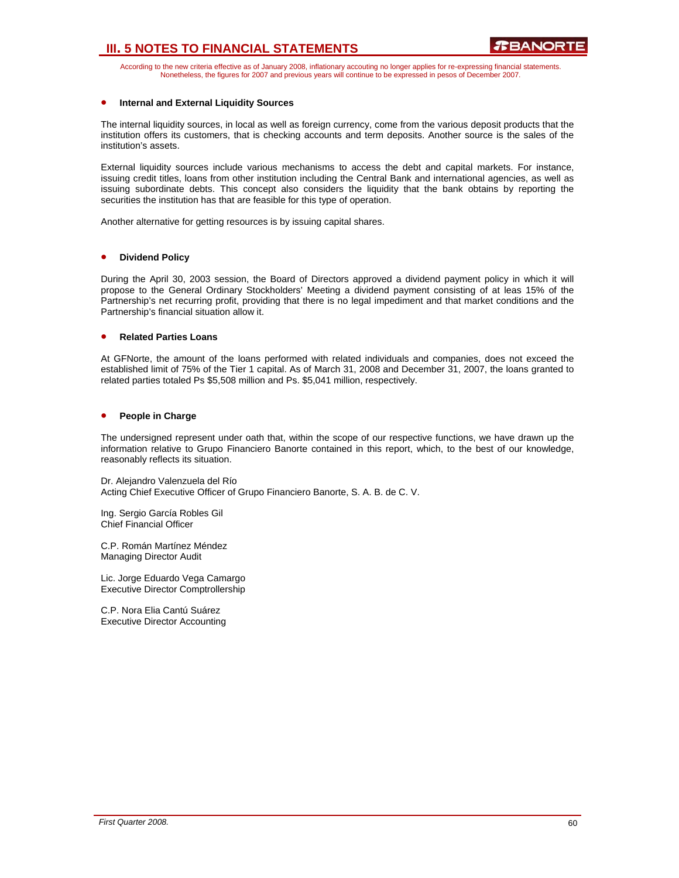According to the new criteria effective as of January 2008, inflationary accouting no longer applies for re-expressing financial statements. Nonetheless, the figures for 2007 and previous years will continue to be expressed in pesos of December 2007.

#### • **Internal and External Liquidity Sources**

The internal liquidity sources, in local as well as foreign currency, come from the various deposit products that the institution offers its customers, that is checking accounts and term deposits. Another source is the sales of the institution's assets.

External liquidity sources include various mechanisms to access the debt and capital markets. For instance, issuing credit titles, loans from other institution including the Central Bank and international agencies, as well as issuing subordinate debts. This concept also considers the liquidity that the bank obtains by reporting the securities the institution has that are feasible for this type of operation.

Another alternative for getting resources is by issuing capital shares.

#### • **Dividend Policy**

During the April 30, 2003 session, the Board of Directors approved a dividend payment policy in which it will propose to the General Ordinary Stockholders' Meeting a dividend payment consisting of at leas 15% of the Partnership's net recurring profit, providing that there is no legal impediment and that market conditions and the Partnership's financial situation allow it.

#### • **Related Parties Loans**

At GFNorte, the amount of the loans performed with related individuals and companies, does not exceed the established limit of 75% of the Tier 1 capital. As of March 31, 2008 and December 31, 2007, the loans granted to related parties totaled Ps \$5,508 million and Ps. \$5,041 million, respectively.

### • **People in Charge**

The undersigned represent under oath that, within the scope of our respective functions, we have drawn up the information relative to Grupo Financiero Banorte contained in this report, which, to the best of our knowledge, reasonably reflects its situation.

Dr. Alejandro Valenzuela del Río Acting Chief Executive Officer of Grupo Financiero Banorte, S. A. B. de C. V.

Ing. Sergio García Robles Gil Chief Financial Officer

C.P. Román Martínez Méndez Managing Director Audit

Lic. Jorge Eduardo Vega Camargo Executive Director Comptrollership

C.P. Nora Elia Cantú Suárez Executive Director Accounting